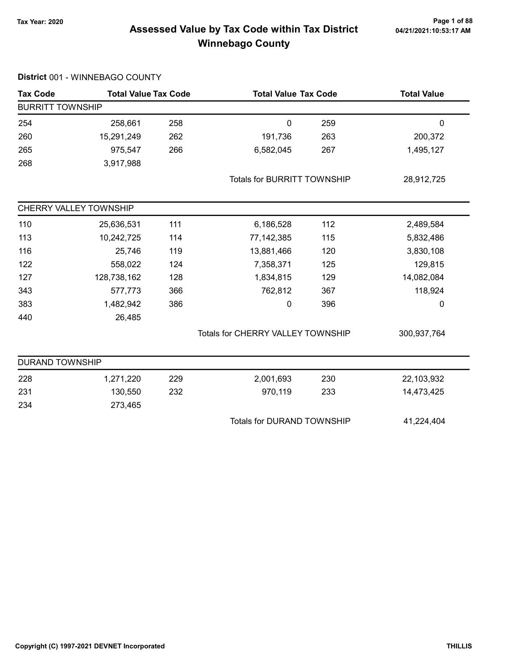# Page 1 of 88<br>Assessed Value by Tax Code within Tax District <sub>04/21/2021:10:53:17 AM</sub> Winnebago County

| <b>Tax Code</b>         | <b>Total Value Tax Code</b> |     | <b>Total Value Tax Code</b>              |     | <b>Total Value</b> |
|-------------------------|-----------------------------|-----|------------------------------------------|-----|--------------------|
| <b>BURRITT TOWNSHIP</b> |                             |     |                                          |     |                    |
| 254                     | 258,661                     | 258 | $\mathbf 0$                              | 259 | $\mathbf 0$        |
| 260                     | 15,291,249                  | 262 | 191,736                                  | 263 | 200,372            |
| 265                     | 975,547                     | 266 | 6,582,045                                | 267 | 1,495,127          |
| 268                     | 3,917,988                   |     |                                          |     |                    |
|                         |                             |     | <b>Totals for BURRITT TOWNSHIP</b>       |     | 28,912,725         |
|                         | CHERRY VALLEY TOWNSHIP      |     |                                          |     |                    |
| 110                     | 25,636,531                  | 111 | 6,186,528                                | 112 | 2,489,584          |
| 113                     | 10,242,725                  | 114 | 77,142,385                               | 115 | 5,832,486          |
| 116                     | 25,746                      | 119 | 13,881,466                               | 120 | 3,830,108          |
| 122                     | 558,022                     | 124 | 7,358,371                                | 125 | 129,815            |
| 127                     | 128,738,162                 | 128 | 1,834,815                                | 129 | 14,082,084         |
| 343                     | 577,773                     | 366 | 762,812                                  | 367 | 118,924            |
| 383                     | 1,482,942                   | 386 | 0                                        | 396 | 0                  |
| 440                     | 26,485                      |     |                                          |     |                    |
|                         |                             |     | <b>Totals for CHERRY VALLEY TOWNSHIP</b> |     | 300,937,764        |
| <b>DURAND TOWNSHIP</b>  |                             |     |                                          |     |                    |
| 228                     | 1,271,220                   | 229 | 2,001,693                                | 230 | 22,103,932         |
| 231                     | 130,550                     | 232 | 970,119                                  | 233 | 14,473,425         |
| 234                     | 273,465                     |     |                                          |     |                    |
|                         |                             |     | <b>Totals for DURAND TOWNSHIP</b>        |     | 41,224,404         |
|                         |                             |     |                                          |     |                    |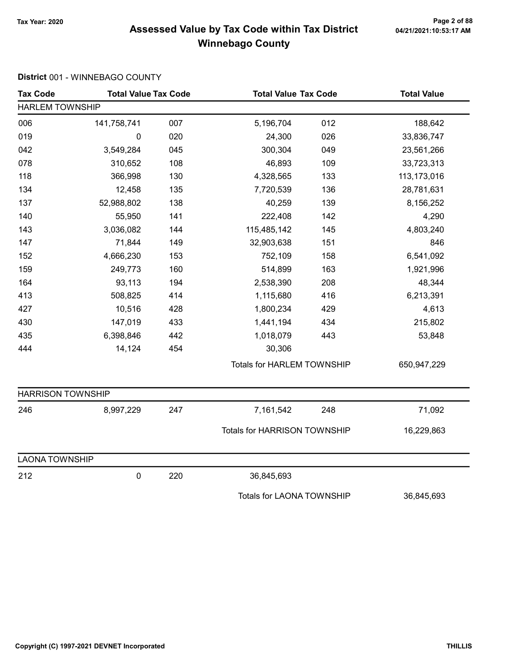# Page 2 of 88<br>Assessed Value by Tax Code within Tax District <sub>04/21/2021:10:53:17 AM</sub> Winnebago County

| <b>Tax Code</b>          | <b>Total Value Tax Code</b> |     |                                   | <b>Total Value Tax Code</b> |             |  |
|--------------------------|-----------------------------|-----|-----------------------------------|-----------------------------|-------------|--|
| <b>HARLEM TOWNSHIP</b>   |                             |     |                                   |                             |             |  |
| 006                      | 141,758,741                 | 007 | 5,196,704                         | 012                         | 188,642     |  |
| 019                      | 0                           | 020 | 24,300                            | 026                         | 33,836,747  |  |
| 042                      | 3,549,284                   | 045 | 300,304                           | 049                         | 23,561,266  |  |
| 078                      | 310,652                     | 108 | 46,893                            | 109                         | 33,723,313  |  |
| 118                      | 366,998                     | 130 | 4,328,565                         | 133                         | 113,173,016 |  |
| 134                      | 12,458                      | 135 | 7,720,539                         | 136                         | 28,781,631  |  |
| 137                      | 52,988,802                  | 138 | 40,259                            | 139                         | 8,156,252   |  |
| 140                      | 55,950                      | 141 | 222,408                           | 142                         | 4,290       |  |
| 143                      | 3,036,082                   | 144 | 115,485,142                       | 145                         | 4,803,240   |  |
| 147                      | 71,844                      | 149 | 32,903,638                        | 151                         | 846         |  |
| 152                      | 4,666,230                   | 153 | 752,109                           | 158                         | 6,541,092   |  |
| 159                      | 249,773                     | 160 | 514,899                           | 163                         | 1,921,996   |  |
| 164                      | 93,113                      | 194 | 2,538,390                         | 208                         | 48,344      |  |
| 413                      | 508,825                     | 414 | 1,115,680                         | 416                         | 6,213,391   |  |
| 427                      | 10,516                      | 428 | 1,800,234                         | 429                         | 4,613       |  |
| 430                      | 147,019                     | 433 | 1,441,194                         | 434                         | 215,802     |  |
| 435                      | 6,398,846                   | 442 | 1,018,079                         | 443                         | 53,848      |  |
| 444                      | 14,124                      | 454 | 30,306                            |                             |             |  |
|                          |                             |     | <b>Totals for HARLEM TOWNSHIP</b> |                             | 650,947,229 |  |
| <b>HARRISON TOWNSHIP</b> |                             |     |                                   |                             |             |  |
| 246                      | 8,997,229                   | 247 | 7,161,542                         | 248                         | 71,092      |  |
|                          |                             |     | Totals for HARRISON TOWNSHIP      |                             | 16,229,863  |  |
| <b>LAONA TOWNSHIP</b>    |                             |     |                                   |                             |             |  |
| 212                      | 0                           | 220 | 36,845,693                        |                             |             |  |
|                          |                             |     | <b>Totals for LAONA TOWNSHIP</b>  |                             | 36,845,693  |  |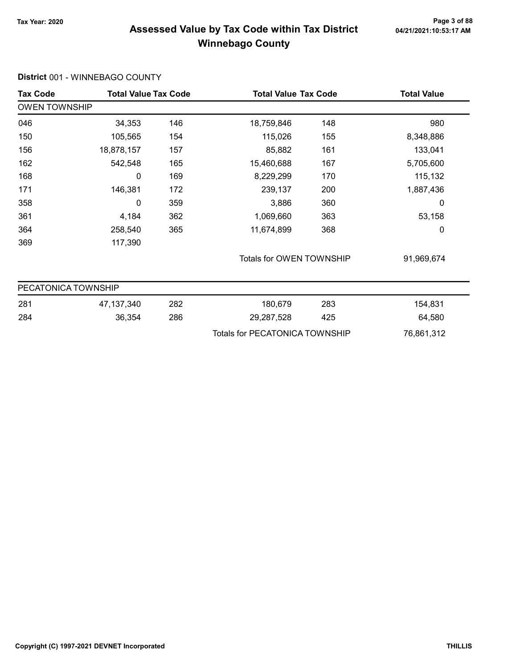#### Page 3 of 88<br>Assessed Value by Tax Code within Tax District <sub>04/21/2021:10:53:17 AM</sub> Winnebago County

#### Tax Code Total Value Tax Code Total Value Tax Code Total Value Tax Code OWEN TOWNSHIP 046 18,759,846 146 18,759,846 148 148 150 105,565 115,026 154 155 8,348,886 156 18,878,157 85,882 157 161 133,041 162 542,548 15,460,688 165 167 5,705,600 168 0 169 8,229,299 170 115,132 171 146,381 239,137 172 200 1,887,436 358 0 3,886 359 360 0 361 4,184 1,069,660 362 363 53,158 364 258,540 11,674,899 365 368 0 369 117,390 Totals for OWEN TOWNSHIP 91,969,674 PECATONICA TOWNSHIP 281 47,137,340 180,679 282 283 154,831 284 36,354 29,287,528 286 425 64,580 Totals for PECATONICA TOWNSHIP 76,861,312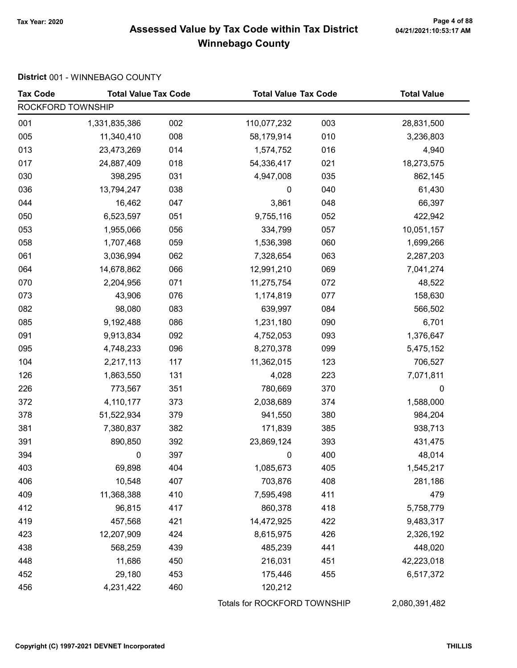# Page 4 of 88<br>Assessed Value by Tax Code within Tax District <sub>04/21/2021:10:53:17 AM</sub> Winnebago County

| <b>Tax Code</b>   | <b>Total Value Tax Code</b> |     | <b>Total Value Tax Code</b>  |     | <b>Total Value</b> |  |
|-------------------|-----------------------------|-----|------------------------------|-----|--------------------|--|
| ROCKFORD TOWNSHIP |                             |     |                              |     |                    |  |
| 001               | 1,331,835,386               | 002 | 110,077,232                  | 003 | 28,831,500         |  |
| 005               | 11,340,410                  | 008 | 58,179,914                   | 010 | 3,236,803          |  |
| 013               | 23,473,269                  | 014 | 1,574,752                    | 016 | 4,940              |  |
| 017               | 24,887,409                  | 018 | 54,336,417                   | 021 | 18,273,575         |  |
| 030               | 398,295                     | 031 | 4,947,008                    | 035 | 862,145            |  |
| 036               | 13,794,247                  | 038 | 0                            | 040 | 61,430             |  |
| 044               | 16,462                      | 047 | 3,861                        | 048 | 66,397             |  |
| 050               | 6,523,597                   | 051 | 9,755,116                    | 052 | 422,942            |  |
| 053               | 1,955,066                   | 056 | 334,799                      | 057 | 10,051,157         |  |
| 058               | 1,707,468                   | 059 | 1,536,398                    | 060 | 1,699,266          |  |
| 061               | 3,036,994                   | 062 | 7,328,654                    | 063 | 2,287,203          |  |
| 064               | 14,678,862                  | 066 | 12,991,210                   | 069 | 7,041,274          |  |
| 070               | 2,204,956                   | 071 | 11,275,754                   | 072 | 48,522             |  |
| 073               | 43,906                      | 076 | 1,174,819                    | 077 | 158,630            |  |
| 082               | 98,080                      | 083 | 639,997                      | 084 | 566,502            |  |
| 085               | 9,192,488                   | 086 | 1,231,180                    | 090 | 6,701              |  |
| 091               | 9,913,834                   | 092 | 4,752,053                    | 093 | 1,376,647          |  |
| 095               | 4,748,233                   | 096 | 8,270,378                    | 099 | 5,475,152          |  |
| 104               | 2,217,113                   | 117 | 11,362,015                   | 123 | 706,527            |  |
| 126               | 1,863,550                   | 131 | 4,028                        | 223 | 7,071,811          |  |
| 226               | 773,567                     | 351 | 780,669                      | 370 | 0                  |  |
| 372               | 4,110,177                   | 373 | 2,038,689                    | 374 | 1,588,000          |  |
| 378               | 51,522,934                  | 379 | 941,550                      | 380 | 984,204            |  |
| 381               | 7,380,837                   | 382 | 171,839                      | 385 | 938,713            |  |
| 391               | 890,850                     | 392 | 23,869,124                   | 393 | 431,475            |  |
| 394               | 0                           | 397 | 0                            | 400 | 48,014             |  |
| 403               | 69,898                      | 404 | 1,085,673                    | 405 | 1,545,217          |  |
| 406               | 10,548                      | 407 | 703,876                      | 408 | 281,186            |  |
| 409               | 11,368,388                  | 410 | 7,595,498                    | 411 | 479                |  |
| 412               | 96,815                      | 417 | 860,378                      | 418 | 5,758,779          |  |
| 419               | 457,568                     | 421 | 14,472,925                   | 422 | 9,483,317          |  |
| 423               | 12,207,909                  | 424 | 8,615,975                    | 426 | 2,326,192          |  |
| 438               | 568,259                     | 439 | 485,239                      | 441 | 448,020            |  |
| 448               | 11,686                      | 450 | 216,031                      | 451 | 42,223,018         |  |
| 452               | 29,180                      | 453 | 175,446                      | 455 | 6,517,372          |  |
| 456               | 4,231,422                   | 460 | 120,212                      |     |                    |  |
|                   |                             |     | Totals for ROCKFORD TOWNSHIP |     | 2,080,391,482      |  |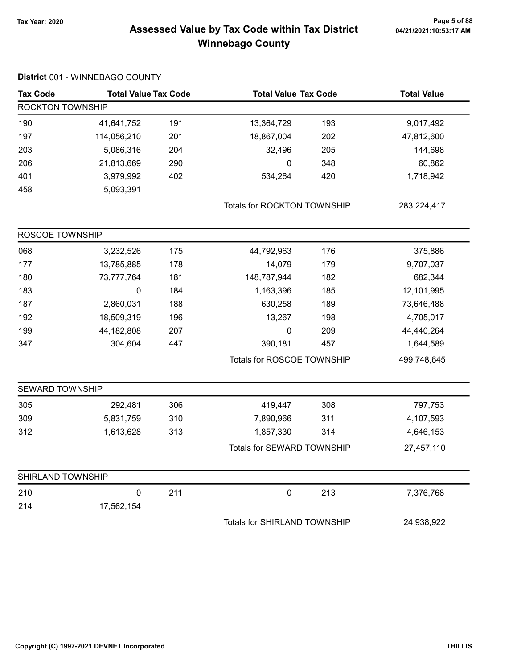# Page 5 of 88<br>Assessed Value by Tax Code within Tax District <sub>04/21/2021:10:53:17 AM</sub> Winnebago County

| <b>Tax Code</b>        | <b>Total Value Tax Code</b> |     | <b>Total Value Tax Code</b>        |     | <b>Total Value</b> |  |
|------------------------|-----------------------------|-----|------------------------------------|-----|--------------------|--|
|                        | <b>ROCKTON TOWNSHIP</b>     |     |                                    |     |                    |  |
| 190                    | 41,641,752                  | 191 | 13,364,729                         | 193 | 9,017,492          |  |
| 197                    | 114,056,210                 | 201 | 18,867,004                         | 202 | 47,812,600         |  |
| 203                    | 5,086,316                   | 204 | 32,496                             | 205 | 144,698            |  |
| 206                    | 21,813,669                  | 290 | $\mathbf 0$                        | 348 | 60,862             |  |
| 401                    | 3,979,992                   | 402 | 534,264                            | 420 | 1,718,942          |  |
| 458                    | 5,093,391                   |     |                                    |     |                    |  |
|                        |                             |     | <b>Totals for ROCKTON TOWNSHIP</b> |     | 283,224,417        |  |
| ROSCOE TOWNSHIP        |                             |     |                                    |     |                    |  |
| 068                    | 3,232,526                   | 175 | 44,792,963                         | 176 | 375,886            |  |
| 177                    | 13,785,885                  | 178 | 14,079                             | 179 | 9,707,037          |  |
| 180                    | 73,777,764                  | 181 | 148,787,944                        | 182 | 682,344            |  |
| 183                    | $\pmb{0}$                   | 184 | 1,163,396                          | 185 | 12,101,995         |  |
| 187                    | 2,860,031                   | 188 | 630,258                            | 189 | 73,646,488         |  |
| 192                    | 18,509,319                  | 196 | 13,267                             | 198 | 4,705,017          |  |
| 199                    | 44,182,808                  | 207 | $\mathbf 0$                        | 209 | 44,440,264         |  |
| 347                    | 304,604                     | 447 | 390,181                            | 457 | 1,644,589          |  |
|                        |                             |     | Totals for ROSCOE TOWNSHIP         |     | 499,748,645        |  |
| <b>SEWARD TOWNSHIP</b> |                             |     |                                    |     |                    |  |
| 305                    | 292,481                     | 306 | 419,447                            | 308 | 797,753            |  |
| 309                    | 5,831,759                   | 310 | 7,890,966                          | 311 | 4,107,593          |  |
| 312                    | 1,613,628                   | 313 | 1,857,330                          | 314 | 4,646,153          |  |
|                        |                             |     | Totals for SEWARD TOWNSHIP         |     | 27,457,110         |  |
| SHIRLAND TOWNSHIP      |                             |     |                                    |     |                    |  |
| 210                    | $\pmb{0}$                   | 211 | $\pmb{0}$                          | 213 | 7,376,768          |  |
| 214                    | 17,562,154                  |     |                                    |     |                    |  |
|                        |                             |     | Totals for SHIRLAND TOWNSHIP       |     | 24,938,922         |  |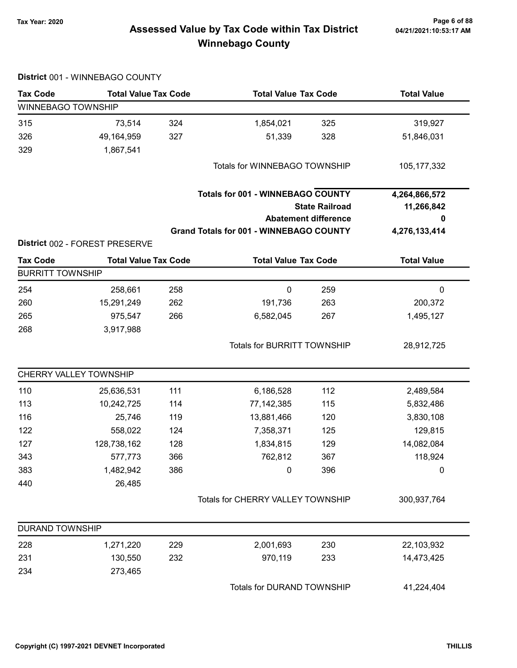# Tax Year: 2020 Page 6 of 88 Assessed Value by Tax Code within Tax District Winnebago County

|                         | District 001 - WINNEBAGO COUNTY |     |                                                |                             |                    |  |
|-------------------------|---------------------------------|-----|------------------------------------------------|-----------------------------|--------------------|--|
| <b>Tax Code</b>         | <b>Total Value Tax Code</b>     |     | <b>Total Value Tax Code</b>                    |                             | <b>Total Value</b> |  |
| WINNEBAGO TOWNSHIP      |                                 |     |                                                |                             |                    |  |
| 315                     | 73,514                          | 324 | 1,854,021                                      | 325                         | 319,927            |  |
| 326                     | 49,164,959                      | 327 | 51,339                                         | 328                         | 51,846,031         |  |
| 329                     | 1,867,541                       |     |                                                |                             |                    |  |
|                         |                                 |     | Totals for WINNEBAGO TOWNSHIP                  |                             | 105, 177, 332      |  |
|                         |                                 |     | <b>Totals for 001 - WINNEBAGO COUNTY</b>       |                             | 4,264,866,572      |  |
|                         |                                 |     |                                                | <b>State Railroad</b>       | 11,266,842         |  |
|                         |                                 |     |                                                | <b>Abatement difference</b> | 0                  |  |
|                         |                                 |     | <b>Grand Totals for 001 - WINNEBAGO COUNTY</b> |                             | 4,276,133,414      |  |
|                         | District 002 - FOREST PRESERVE  |     |                                                |                             |                    |  |
| <b>Tax Code</b>         | <b>Total Value Tax Code</b>     |     | <b>Total Value Tax Code</b>                    |                             | <b>Total Value</b> |  |
| <b>BURRITT TOWNSHIP</b> |                                 |     |                                                |                             |                    |  |
| 254                     | 258,661                         | 258 | 0                                              | 259                         | 0                  |  |
| 260                     | 15,291,249                      | 262 | 191,736                                        | 263                         | 200,372            |  |
| 265                     | 975,547                         | 266 | 6,582,045                                      | 267                         | 1,495,127          |  |
| 268                     | 3,917,988                       |     |                                                |                             |                    |  |
|                         |                                 |     | <b>Totals for BURRITT TOWNSHIP</b>             |                             | 28,912,725         |  |
|                         | CHERRY VALLEY TOWNSHIP          |     |                                                |                             |                    |  |
| 110                     | 25,636,531                      | 111 | 6,186,528                                      | 112                         | 2,489,584          |  |
| 113                     | 10,242,725                      | 114 | 77,142,385                                     | 115                         | 5,832,486          |  |
| 116                     | 25,746                          | 119 | 13,881,466                                     | 120                         | 3,830,108          |  |
| 122                     | 558,022                         | 124 | 7,358,371                                      | 125                         | 129,815            |  |
| 127                     | 128,738,162                     | 128 | 1,834,815                                      | 129                         | 14,082,084         |  |
| 343                     | 577,773                         | 366 | 762,812                                        | 367                         | 118,924            |  |
| 383                     | 1,482,942                       | 386 | 0                                              | 396                         | 0                  |  |
| 440                     | 26,485                          |     |                                                |                             |                    |  |
|                         |                                 |     | Totals for CHERRY VALLEY TOWNSHIP              |                             | 300,937,764        |  |
| <b>DURAND TOWNSHIP</b>  |                                 |     |                                                |                             |                    |  |
| 228                     | 1,271,220                       | 229 | 2,001,693                                      | 230                         | 22,103,932         |  |
| 231                     | 130,550                         | 232 | 970,119                                        | 233                         | 14,473,425         |  |
| 234                     | 273,465                         |     |                                                |                             |                    |  |
|                         |                                 |     | Totals for DURAND TOWNSHIP                     |                             | 41,224,404         |  |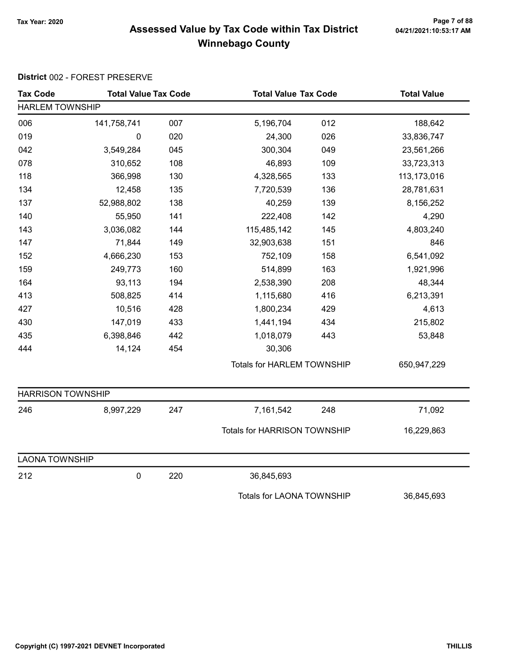# Tax Year: 2020 Page 7 of 88 Assessed Value by Tax Code within Tax District Winnebago County

| <b>Tax Code</b>          | <b>Total Value Tax Code</b> |     | <b>Total Value Tax Code</b>         |     | <b>Total Value</b> |
|--------------------------|-----------------------------|-----|-------------------------------------|-----|--------------------|
| <b>HARLEM TOWNSHIP</b>   |                             |     |                                     |     |                    |
| 006                      | 141,758,741                 | 007 | 5,196,704                           | 012 | 188,642            |
| 019                      | $\mathbf 0$                 | 020 | 24,300                              | 026 | 33,836,747         |
| 042                      | 3,549,284                   | 045 | 300,304                             | 049 | 23,561,266         |
| 078                      | 310,652                     | 108 | 46,893                              | 109 | 33,723,313         |
| 118                      | 366,998                     | 130 | 4,328,565                           | 133 | 113,173,016        |
| 134                      | 12,458                      | 135 | 7,720,539                           | 136 | 28,781,631         |
| 137                      | 52,988,802                  | 138 | 40,259                              | 139 | 8,156,252          |
| 140                      | 55,950                      | 141 | 222,408                             | 142 | 4,290              |
| 143                      | 3,036,082                   | 144 | 115,485,142                         | 145 | 4,803,240          |
| 147                      | 71,844                      | 149 | 32,903,638                          | 151 | 846                |
| 152                      | 4,666,230                   | 153 | 752,109                             | 158 | 6,541,092          |
| 159                      | 249,773                     | 160 | 514,899                             | 163 | 1,921,996          |
| 164                      | 93,113                      | 194 | 2,538,390                           | 208 | 48,344             |
| 413                      | 508,825                     | 414 | 1,115,680                           | 416 | 6,213,391          |
| 427                      | 10,516                      | 428 | 1,800,234                           | 429 | 4,613              |
| 430                      | 147,019                     | 433 | 1,441,194                           | 434 | 215,802            |
| 435                      | 6,398,846                   | 442 | 1,018,079                           | 443 | 53,848             |
| 444                      | 14,124                      | 454 | 30,306                              |     |                    |
|                          |                             |     | <b>Totals for HARLEM TOWNSHIP</b>   |     | 650,947,229        |
| <b>HARRISON TOWNSHIP</b> |                             |     |                                     |     |                    |
| 246                      | 8,997,229                   | 247 | 7,161,542                           | 248 | 71,092             |
|                          |                             |     | <b>Totals for HARRISON TOWNSHIP</b> |     | 16,229,863         |
| <b>LAONA TOWNSHIP</b>    |                             |     |                                     |     |                    |
| 212                      | $\pmb{0}$                   | 220 | 36,845,693                          |     |                    |
|                          |                             |     | <b>Totals for LAONA TOWNSHIP</b>    |     | 36,845,693         |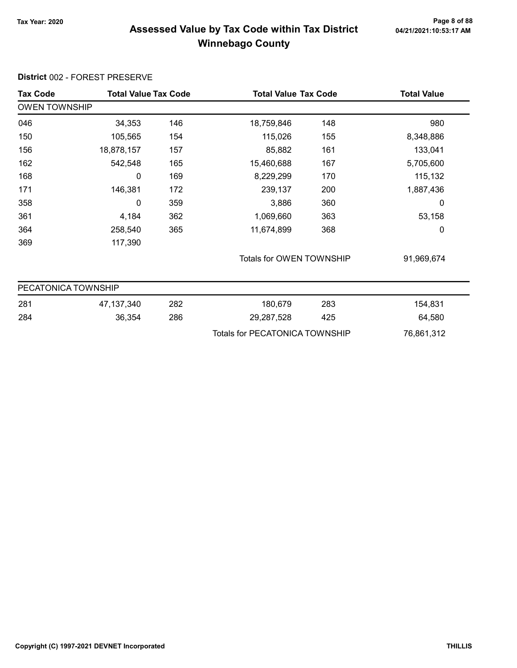# Tax Year: 2020 Page 8 of 88 Assessed Value by Tax Code within Tax District Winnebago County

| <b>Tax Code</b>      | <b>Total Value Tax Code</b> |     | <b>Total Value Tax Code</b>           |     | <b>Total Value</b> |  |  |
|----------------------|-----------------------------|-----|---------------------------------------|-----|--------------------|--|--|
| <b>OWEN TOWNSHIP</b> |                             |     |                                       |     |                    |  |  |
| 046                  | 34,353                      | 146 | 18,759,846                            | 148 | 980                |  |  |
| 150                  | 105,565                     | 154 | 115,026                               | 155 | 8,348,886          |  |  |
| 156                  | 18,878,157                  | 157 | 85,882                                | 161 | 133,041            |  |  |
| 162                  | 542,548                     | 165 | 15,460,688                            | 167 | 5,705,600          |  |  |
| 168                  | 0                           | 169 | 8,229,299                             | 170 | 115,132            |  |  |
| 171                  | 146,381                     | 172 | 239,137                               | 200 | 1,887,436          |  |  |
| 358                  | 0                           | 359 | 3,886                                 | 360 | 0                  |  |  |
| 361                  | 4,184                       | 362 | 1,069,660                             | 363 | 53,158             |  |  |
| 364                  | 258,540                     | 365 | 11,674,899                            | 368 | 0                  |  |  |
| 369                  | 117,390                     |     |                                       |     |                    |  |  |
|                      |                             |     | Totals for OWEN TOWNSHIP              |     | 91,969,674         |  |  |
| PECATONICA TOWNSHIP  |                             |     |                                       |     |                    |  |  |
| 281                  | 47, 137, 340                | 282 | 180,679                               | 283 | 154,831            |  |  |
| 284                  | 36,354                      | 286 | 29,287,528                            | 425 | 64,580             |  |  |
|                      |                             |     | <b>Totals for PECATONICA TOWNSHIP</b> |     | 76,861,312         |  |  |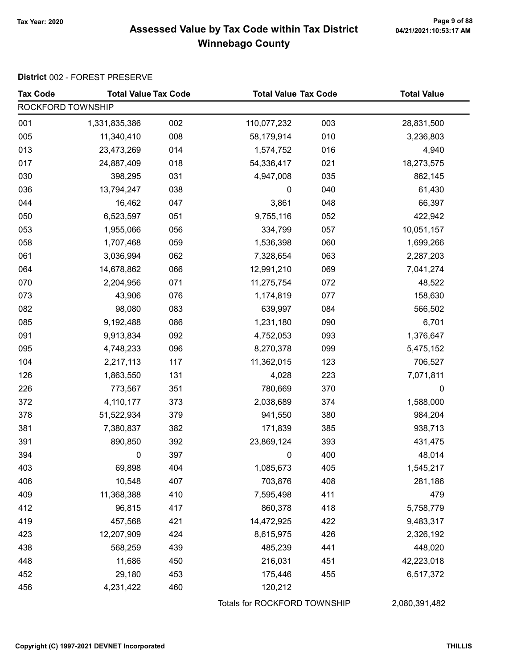# Page 9 of 88<br>Assessed Value by Tax Code within Tax District <sub>04/21/2021:10:53:17 AM</sub> Winnebago County

| <b>Tax Code</b>   | <b>Total Value Tax Code</b> |     | <b>Total Value Tax Code</b>  |     | <b>Total Value</b> |  |
|-------------------|-----------------------------|-----|------------------------------|-----|--------------------|--|
| ROCKFORD TOWNSHIP |                             |     |                              |     |                    |  |
| 001               | 1,331,835,386               | 002 | 110,077,232                  | 003 | 28,831,500         |  |
| 005               | 11,340,410                  | 008 | 58,179,914                   | 010 | 3,236,803          |  |
| 013               | 23,473,269                  | 014 | 1,574,752                    | 016 | 4,940              |  |
| 017               | 24,887,409                  | 018 | 54,336,417                   | 021 | 18,273,575         |  |
| 030               | 398,295                     | 031 | 4,947,008                    | 035 | 862,145            |  |
| 036               | 13,794,247                  | 038 | $\pmb{0}$                    | 040 | 61,430             |  |
| 044               | 16,462                      | 047 | 3,861                        | 048 | 66,397             |  |
| 050               | 6,523,597                   | 051 | 9,755,116                    | 052 | 422,942            |  |
| 053               | 1,955,066                   | 056 | 334,799                      | 057 | 10,051,157         |  |
| 058               | 1,707,468                   | 059 | 1,536,398                    | 060 | 1,699,266          |  |
| 061               | 3,036,994                   | 062 | 7,328,654                    | 063 | 2,287,203          |  |
| 064               | 14,678,862                  | 066 | 12,991,210                   | 069 | 7,041,274          |  |
| 070               | 2,204,956                   | 071 | 11,275,754                   | 072 | 48,522             |  |
| 073               | 43,906                      | 076 | 1,174,819                    | 077 | 158,630            |  |
| 082               | 98,080                      | 083 | 639,997                      | 084 | 566,502            |  |
| 085               | 9,192,488                   | 086 | 1,231,180                    | 090 | 6,701              |  |
| 091               | 9,913,834                   | 092 | 4,752,053                    | 093 | 1,376,647          |  |
| 095               | 4,748,233                   | 096 | 8,270,378                    | 099 | 5,475,152          |  |
| 104               | 2,217,113                   | 117 | 11,362,015                   | 123 | 706,527            |  |
| 126               | 1,863,550                   | 131 | 4,028                        | 223 | 7,071,811          |  |
| 226               | 773,567                     | 351 | 780,669                      | 370 | $\mathbf 0$        |  |
| 372               | 4,110,177                   | 373 | 2,038,689                    | 374 | 1,588,000          |  |
| 378               | 51,522,934                  | 379 | 941,550                      | 380 | 984,204            |  |
| 381               | 7,380,837                   | 382 | 171,839                      | 385 | 938,713            |  |
| 391               | 890,850                     | 392 | 23,869,124                   | 393 | 431,475            |  |
| 394               | 0                           | 397 | 0                            | 400 | 48,014             |  |
| 403               | 69,898                      | 404 | 1,085,673                    | 405 | 1,545,217          |  |
| 406               | 10,548                      | 407 | 703,876                      | 408 | 281,186            |  |
| 409               | 11,368,388                  | 410 | 7,595,498                    | 411 | 479                |  |
| 412               | 96,815                      | 417 | 860,378                      | 418 | 5,758,779          |  |
| 419               | 457,568                     | 421 | 14,472,925                   | 422 | 9,483,317          |  |
| 423               | 12,207,909                  | 424 | 8,615,975                    | 426 | 2,326,192          |  |
| 438               | 568,259                     | 439 | 485,239                      | 441 | 448,020            |  |
| 448               | 11,686                      | 450 | 216,031                      | 451 | 42,223,018         |  |
| 452               | 29,180                      | 453 | 175,446                      | 455 | 6,517,372          |  |
| 456               | 4,231,422                   | 460 | 120,212                      |     |                    |  |
|                   |                             |     | Totals for ROCKFORD TOWNSHIP |     | 2,080,391,482      |  |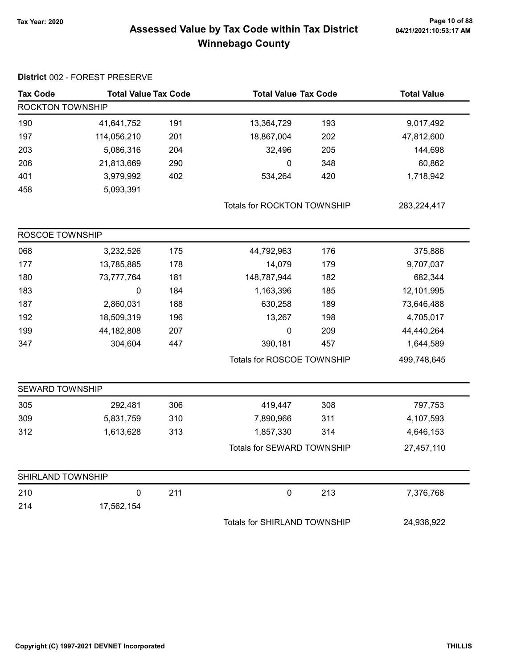#### Tax Year: 2020 Page 10 of 88 Assessed Value by Tax Code within Tax District **complex 04/21/2021:10:53:17 AM** Winnebago County

| <b>Tax Code</b>        | <b>Total Value Tax Code</b> |     | <b>Total Value Tax Code</b>  |     | <b>Total Value</b> |
|------------------------|-----------------------------|-----|------------------------------|-----|--------------------|
| ROCKTON TOWNSHIP       |                             |     |                              |     |                    |
| 190                    | 41,641,752                  | 191 | 13,364,729                   | 193 | 9,017,492          |
| 197                    | 114,056,210                 | 201 | 18,867,004                   | 202 | 47,812,600         |
| 203                    | 5,086,316                   | 204 | 32,496                       | 205 | 144,698            |
| 206                    | 21,813,669                  | 290 | 0                            | 348 | 60,862             |
| 401                    | 3,979,992                   | 402 | 534,264                      | 420 | 1,718,942          |
| 458                    | 5,093,391                   |     |                              |     |                    |
|                        |                             |     | Totals for ROCKTON TOWNSHIP  |     | 283,224,417        |
| ROSCOE TOWNSHIP        |                             |     |                              |     |                    |
| 068                    | 3,232,526                   | 175 | 44,792,963                   | 176 | 375,886            |
| 177                    | 13,785,885                  | 178 | 14,079                       | 179 | 9,707,037          |
| 180                    | 73,777,764                  | 181 | 148,787,944                  | 182 | 682,344            |
| 183                    | $\pmb{0}$                   | 184 | 1,163,396                    | 185 | 12,101,995         |
| 187                    | 2,860,031                   | 188 | 630,258                      | 189 | 73,646,488         |
| 192                    | 18,509,319                  | 196 | 13,267                       | 198 | 4,705,017          |
| 199                    | 44, 182, 808                | 207 | 0                            | 209 | 44,440,264         |
| 347                    | 304,604                     | 447 | 390,181                      | 457 | 1,644,589          |
|                        |                             |     | Totals for ROSCOE TOWNSHIP   |     | 499,748,645        |
| <b>SEWARD TOWNSHIP</b> |                             |     |                              |     |                    |
| 305                    | 292,481                     | 306 | 419,447                      | 308 | 797,753            |
| 309                    | 5,831,759                   | 310 | 7,890,966                    | 311 | 4,107,593          |
| 312                    | 1,613,628                   | 313 | 1,857,330                    | 314 | 4,646,153          |
|                        |                             |     | Totals for SEWARD TOWNSHIP   |     | 27,457,110         |
| SHIRLAND TOWNSHIP      |                             |     |                              |     |                    |
| 210                    | $\pmb{0}$                   | 211 | $\pmb{0}$                    | 213 | 7,376,768          |
| 214                    | 17,562,154                  |     |                              |     |                    |
|                        |                             |     | Totals for SHIRLAND TOWNSHIP |     | 24,938,922         |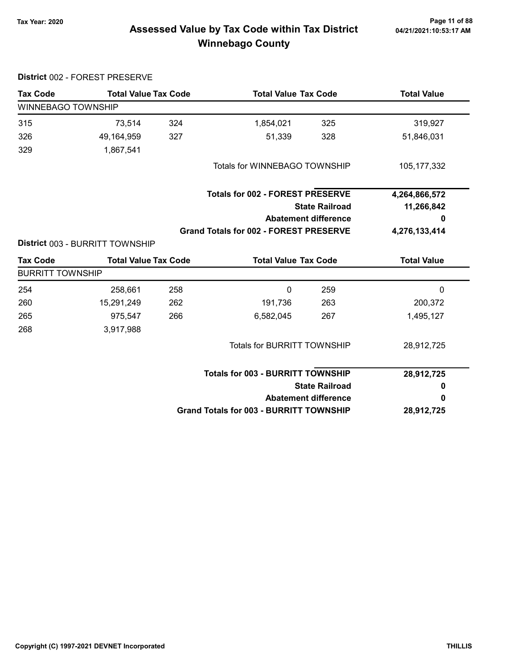District 002 - FOREST PRESERVE

# Page 11 of 88<br>Assessed Value by Tax Code within Tax District <sub>04/21/2021:10:53:17 AM</sub> Winnebago County

| <b>Tax Code</b>         | <b>Total Value Tax Code</b>     |     | <b>Total Value Tax Code</b>                    |                                                      | <b>Total Value</b> |  |
|-------------------------|---------------------------------|-----|------------------------------------------------|------------------------------------------------------|--------------------|--|
| WINNEBAGO TOWNSHIP      |                                 |     |                                                |                                                      |                    |  |
| 315                     | 73,514                          | 324 | 1,854,021                                      | 325                                                  | 319,927            |  |
| 326                     | 49,164,959                      | 327 | 51,339                                         | 328                                                  | 51,846,031         |  |
| 329                     | 1,867,541                       |     |                                                |                                                      |                    |  |
|                         |                                 |     | Totals for WINNEBAGO TOWNSHIP                  |                                                      | 105, 177, 332      |  |
|                         |                                 |     | <b>Totals for 002 - FOREST PRESERVE</b>        |                                                      | 4,264,866,572      |  |
|                         |                                 |     |                                                | <b>State Railroad</b>                                |                    |  |
|                         |                                 |     |                                                | <b>Abatement difference</b>                          | 0                  |  |
|                         |                                 |     | <b>Grand Totals for 002 - FOREST PRESERVE</b>  |                                                      | 4,276,133,414      |  |
|                         | District 003 - BURRITT TOWNSHIP |     |                                                |                                                      |                    |  |
| <b>Tax Code</b>         | <b>Total Value Tax Code</b>     |     | <b>Total Value Tax Code</b>                    |                                                      | <b>Total Value</b> |  |
| <b>BURRITT TOWNSHIP</b> |                                 |     |                                                |                                                      |                    |  |
| 254                     | 258,661                         | 258 | 0                                              | 259                                                  | 0                  |  |
| 260                     | 15,291,249                      | 262 | 191,736                                        | 263                                                  | 200,372            |  |
| 265                     | 975,547                         | 266 | 6,582,045                                      | 267                                                  | 1,495,127          |  |
| 268                     | 3,917,988                       |     |                                                |                                                      |                    |  |
|                         |                                 |     | <b>Totals for BURRITT TOWNSHIP</b>             |                                                      | 28,912,725         |  |
|                         |                                 |     | <b>Totals for 003 - BURRITT TOWNSHIP</b>       |                                                      | 28,912,725         |  |
|                         |                                 |     |                                                | <b>State Railroad</b><br><b>Abatement difference</b> |                    |  |
|                         |                                 |     |                                                |                                                      |                    |  |
|                         |                                 |     | <b>Grand Totals for 003 - BURRITT TOWNSHIP</b> | 28,912,725                                           |                    |  |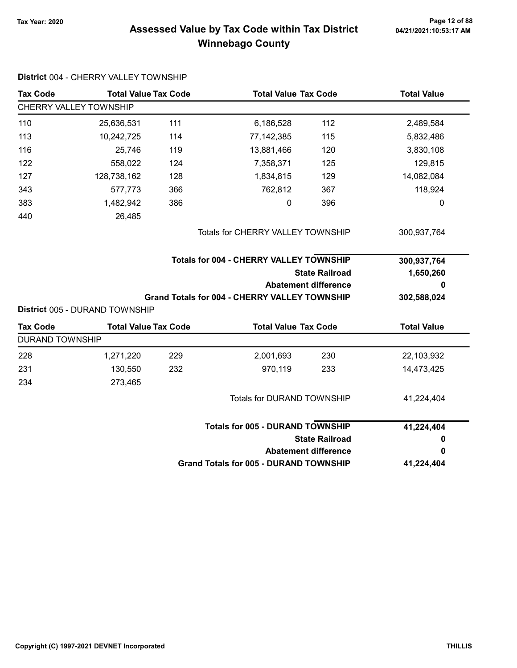# Page 12 of 88 مع Page 12 of 88<br>Assessed Value by Tax Code within Tax District مع Assessed Value by Tax Code Winnebago County

| <b>Tax Code</b>        | <b>Total Value Tax Code</b>                                   |     | <b>Total Value Tax Code</b>                          |                             | <b>Total Value</b> |  |
|------------------------|---------------------------------------------------------------|-----|------------------------------------------------------|-----------------------------|--------------------|--|
|                        | CHERRY VALLEY TOWNSHIP                                        |     |                                                      |                             |                    |  |
| 110                    | 25,636,531                                                    | 111 | 6,186,528                                            | 112                         | 2,489,584          |  |
| 113                    | 10,242,725                                                    | 114 | 77,142,385                                           | 115                         | 5,832,486          |  |
| 116                    | 25,746                                                        | 119 | 13,881,466                                           | 120                         | 3,830,108          |  |
| 122                    | 558,022                                                       | 124 | 7,358,371                                            | 125                         | 129,815            |  |
| 127                    | 128,738,162                                                   | 128 | 1,834,815                                            | 129                         | 14,082,084         |  |
| 343                    | 577,773                                                       | 366 | 762,812                                              | 367                         | 118,924            |  |
| 383                    | 1,482,942                                                     | 386 | 0                                                    | 396                         | 0                  |  |
| 440                    | 26,485                                                        |     |                                                      |                             |                    |  |
|                        |                                                               |     | Totals for CHERRY VALLEY TOWNSHIP                    |                             | 300,937,764        |  |
|                        |                                                               |     | <b>Totals for 004 - CHERRY VALLEY TOWNSHIP</b>       |                             | 300,937,764        |  |
|                        |                                                               |     |                                                      | <b>State Railroad</b>       | 1,650,260          |  |
|                        |                                                               |     |                                                      |                             |                    |  |
|                        |                                                               |     |                                                      | <b>Abatement difference</b> | 0                  |  |
|                        |                                                               |     | <b>Grand Totals for 004 - CHERRY VALLEY TOWNSHIP</b> |                             | 302,588,024        |  |
| <b>Tax Code</b>        | District 005 - DURAND TOWNSHIP<br><b>Total Value Tax Code</b> |     | <b>Total Value Tax Code</b>                          |                             | <b>Total Value</b> |  |
| <b>DURAND TOWNSHIP</b> |                                                               |     |                                                      |                             |                    |  |
| 228                    | 1,271,220                                                     | 229 | 2,001,693                                            | 230                         | 22,103,932         |  |
| 231                    | 130,550                                                       | 232 | 970,119                                              | 233                         | 14,473,425         |  |
| 234                    | 273,465                                                       |     |                                                      |                             |                    |  |
|                        |                                                               |     | Totals for DURAND TOWNSHIP                           |                             | 41,224,404         |  |
|                        |                                                               |     | <b>Totals for 005 - DURAND TOWNSHIP</b>              |                             | 41,224,404         |  |
|                        |                                                               |     |                                                      | <b>State Railroad</b>       | 0                  |  |
|                        |                                                               |     |                                                      | <b>Abatement difference</b> | 0                  |  |

District 004 - CHERRY VALLEY TOWNSHIP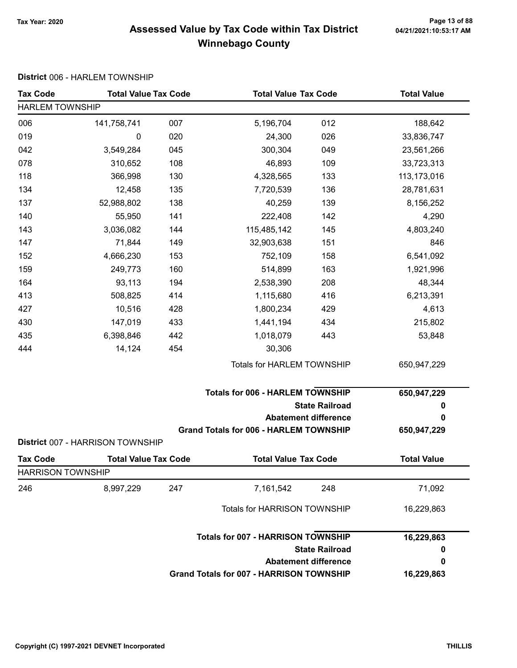# Page 13 of 88 وPage 13 of 88<br>Assessed Value by Tax Code within Tax District هو Assessed Value by Tax Code within Tax District Winnebago County

#### District 006 - HARLEM TOWNSHIP

| <b>Tax Code</b>          | <b>Total Value Tax Code</b>      |     | <b>Total Value Tax Code</b>                     |                             | <b>Total Value</b> |
|--------------------------|----------------------------------|-----|-------------------------------------------------|-----------------------------|--------------------|
| <b>HARLEM TOWNSHIP</b>   |                                  |     |                                                 |                             |                    |
| 006                      | 141,758,741                      | 007 | 5,196,704                                       | 012                         | 188,642            |
| 019                      | 0                                | 020 | 24,300                                          | 026                         | 33,836,747         |
| 042                      | 3,549,284                        | 045 | 300,304                                         | 049                         | 23,561,266         |
| 078                      | 310,652                          | 108 | 46,893                                          | 109                         | 33,723,313         |
| 118                      | 366,998                          | 130 | 4,328,565                                       | 133                         | 113,173,016        |
| 134                      | 12,458                           | 135 | 7,720,539                                       | 136                         | 28,781,631         |
| 137                      | 52,988,802                       | 138 | 40,259                                          | 139                         | 8,156,252          |
| 140                      | 55,950                           | 141 | 222,408                                         | 142                         | 4,290              |
| 143                      | 3,036,082                        | 144 | 115,485,142                                     | 145                         | 4,803,240          |
| 147                      | 71,844                           | 149 | 32,903,638                                      | 151                         | 846                |
| 152                      | 4,666,230                        | 153 | 752,109                                         | 158                         | 6,541,092          |
| 159                      | 249,773                          | 160 | 514,899                                         | 163                         | 1,921,996          |
| 164                      | 93,113                           | 194 | 2,538,390                                       | 208                         | 48,344             |
| 413                      | 508,825                          | 414 | 1,115,680                                       | 416                         | 6,213,391          |
| 427                      | 10,516                           | 428 | 1,800,234                                       | 429                         | 4,613              |
| 430                      | 147,019                          | 433 | 1,441,194                                       | 434                         | 215,802            |
| 435                      | 6,398,846                        | 442 | 1,018,079                                       | 443                         | 53,848             |
| 444                      | 14,124                           | 454 | 30,306                                          |                             |                    |
|                          |                                  |     | Totals for HARLEM TOWNSHIP                      |                             | 650,947,229        |
|                          |                                  |     | <b>Totals for 006 - HARLEM TOWNSHIP</b>         |                             | 650,947,229        |
|                          |                                  |     |                                                 | <b>State Railroad</b>       | 0                  |
|                          |                                  |     |                                                 | <b>Abatement difference</b> | 0                  |
|                          | District 007 - HARRISON TOWNSHIP |     | <b>Grand Totals for 006 - HARLEM TOWNSHIP</b>   |                             | 650,947,229        |
| <b>Tax Code</b>          | <b>Total Value Tax Code</b>      |     | <b>Total Value Tax Code</b>                     |                             | <b>Total Value</b> |
| <b>HARRISON TOWNSHIP</b> |                                  |     |                                                 |                             |                    |
| 246                      | 8,997,229                        | 247 | 7,161,542                                       | 248                         | 71,092             |
|                          |                                  |     | Totals for HARRISON TOWNSHIP                    |                             | 16,229,863         |
|                          |                                  |     | <b>Totals for 007 - HARRISON TOWNSHIP</b>       |                             | 16,229,863         |
|                          |                                  |     |                                                 | <b>State Railroad</b>       | 0                  |
|                          |                                  |     |                                                 | <b>Abatement difference</b> | 0                  |
|                          |                                  |     | <b>Grand Totals for 007 - HARRISON TOWNSHIP</b> |                             | 16,229,863         |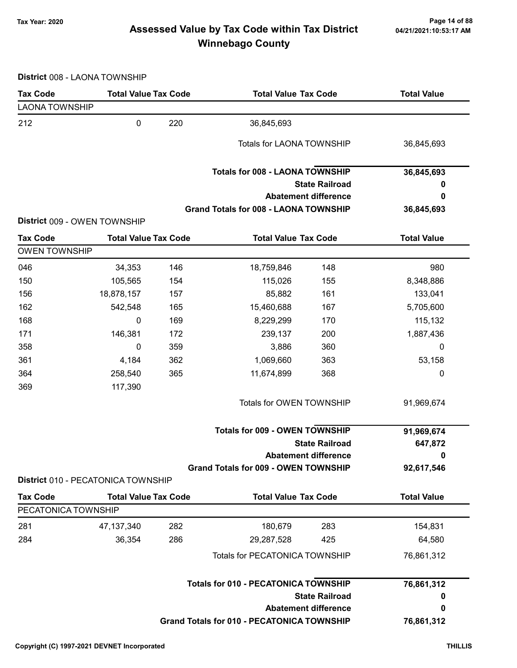# Page 14 of 88 مع Page 14 of 88<br>Assessed Value by Tax Code within Tax District مع Assessed Value by Tax Code Winnebago County

District 008 - LAONA TOWNSHIP

| <b>Tax Code</b>       | <b>Total Value Tax Code</b>        |     | <b>Total Value Tax Code</b>                       |                             | <b>Total Value</b> |
|-----------------------|------------------------------------|-----|---------------------------------------------------|-----------------------------|--------------------|
| <b>LAONA TOWNSHIP</b> |                                    |     |                                                   |                             |                    |
| 212                   | $\pmb{0}$                          | 220 | 36,845,693                                        |                             |                    |
|                       |                                    |     | <b>Totals for LAONA TOWNSHIP</b>                  |                             | 36,845,693         |
|                       |                                    |     | <b>Totals for 008 - LAONA TOWNSHIP</b>            |                             | 36,845,693         |
|                       |                                    |     |                                                   | <b>State Railroad</b>       | 0                  |
|                       |                                    |     |                                                   | <b>Abatement difference</b> | 0                  |
|                       | District 009 - OWEN TOWNSHIP       |     | <b>Grand Totals for 008 - LAONA TOWNSHIP</b>      |                             | 36,845,693         |
| <b>Tax Code</b>       | <b>Total Value Tax Code</b>        |     | <b>Total Value Tax Code</b>                       |                             | <b>Total Value</b> |
| <b>OWEN TOWNSHIP</b>  |                                    |     |                                                   |                             |                    |
| 046                   | 34,353                             | 146 | 18,759,846                                        | 148                         | 980                |
| 150                   | 105,565                            | 154 | 115,026                                           | 155                         | 8,348,886          |
| 156                   | 18,878,157                         | 157 | 85,882                                            | 161                         | 133,041            |
| 162                   | 542,548                            | 165 | 15,460,688                                        | 167                         | 5,705,600          |
| 168                   | 0                                  | 169 | 8,229,299                                         | 170                         | 115,132            |
| 171                   | 146,381                            | 172 | 239,137                                           | 200                         | 1,887,436          |
| 358                   | 0                                  | 359 | 3,886                                             | 360                         | 0                  |
| 361                   | 4,184                              | 362 | 1,069,660                                         | 363                         | 53,158             |
| 364                   | 258,540                            | 365 | 11,674,899                                        | 368                         | 0                  |
| 369                   | 117,390                            |     |                                                   |                             |                    |
|                       |                                    |     | Totals for OWEN TOWNSHIP                          |                             | 91,969,674         |
|                       |                                    |     | <b>Totals for 009 - OWEN TOWNSHIP</b>             |                             | 91,969,674         |
|                       |                                    |     |                                                   | <b>State Railroad</b>       | 647,872            |
|                       |                                    |     |                                                   | <b>Abatement difference</b> | 0                  |
|                       |                                    |     | <b>Grand Totals for 009 - OWEN TOWNSHIP</b>       |                             | 92,617,546         |
|                       | District 010 - PECATONICA TOWNSHIP |     |                                                   |                             |                    |
| <b>Tax Code</b>       | <b>Total Value Tax Code</b>        |     | <b>Total Value Tax Code</b>                       |                             | <b>Total Value</b> |
| PECATONICA TOWNSHIP   |                                    |     |                                                   |                             |                    |
| 281                   | 47, 137, 340                       | 282 | 180,679                                           | 283                         | 154,831            |
| 284                   | 36,354                             | 286 | 29,287,528                                        | 425                         | 64,580             |
|                       |                                    |     | Totals for PECATONICA TOWNSHIP                    |                             | 76,861,312         |
|                       |                                    |     | <b>Totals for 010 - PECATONICA TOWNSHIP</b>       |                             | 76,861,312         |
|                       |                                    |     |                                                   | <b>State Railroad</b>       | 0                  |
|                       |                                    |     |                                                   | <b>Abatement difference</b> | 0                  |
|                       |                                    |     | <b>Grand Totals for 010 - PECATONICA TOWNSHIP</b> |                             | 76,861,312         |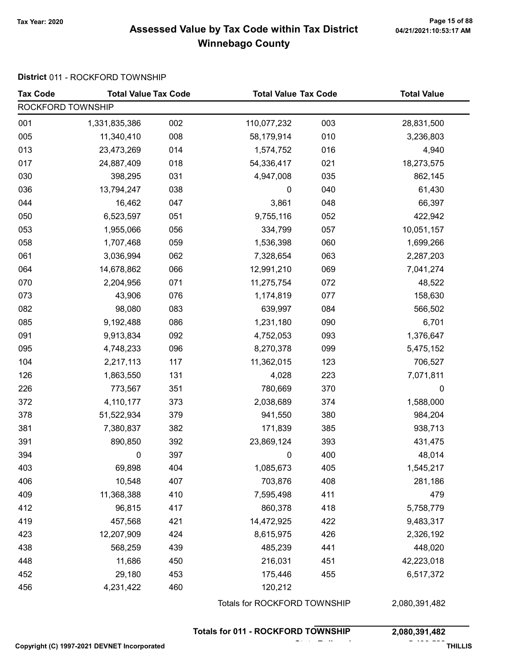#### Page 15 of 88 وPage 15 of 88<br>Assessed Value by Tax Code within Tax District هو Assessed Value by Tax Code within Tax District Winnebago County

#### District 011 - ROCKFORD TOWNSHIP

| <b>Tax Code</b>   | <b>Total Value Tax Code</b> |     | <b>Total Value Tax Code</b>               |     | <b>Total Value</b> |
|-------------------|-----------------------------|-----|-------------------------------------------|-----|--------------------|
| ROCKFORD TOWNSHIP |                             |     |                                           |     |                    |
| 001               | 1,331,835,386               | 002 | 110,077,232                               | 003 | 28,831,500         |
| 005               | 11,340,410                  | 008 | 58,179,914                                | 010 | 3,236,803          |
| 013               | 23,473,269                  | 014 | 1,574,752                                 | 016 | 4,940              |
| 017               | 24,887,409                  | 018 | 54,336,417                                | 021 | 18,273,575         |
| 030               | 398,295                     | 031 | 4,947,008                                 | 035 | 862,145            |
| 036               | 13,794,247                  | 038 | $\pmb{0}$                                 | 040 | 61,430             |
| 044               | 16,462                      | 047 | 3,861                                     | 048 | 66,397             |
| 050               | 6,523,597                   | 051 | 9,755,116                                 | 052 | 422,942            |
| 053               | 1,955,066                   | 056 | 334,799                                   | 057 | 10,051,157         |
| 058               | 1,707,468                   | 059 | 1,536,398                                 | 060 | 1,699,266          |
| 061               | 3,036,994                   | 062 | 7,328,654                                 | 063 | 2,287,203          |
| 064               | 14,678,862                  | 066 | 12,991,210                                | 069 | 7,041,274          |
| 070               | 2,204,956                   | 071 | 11,275,754                                | 072 | 48,522             |
| 073               | 43,906                      | 076 | 1,174,819                                 | 077 | 158,630            |
| 082               | 98,080                      | 083 | 639,997                                   | 084 | 566,502            |
| 085               | 9,192,488                   | 086 | 1,231,180                                 | 090 | 6,701              |
| 091               | 9,913,834                   | 092 | 4,752,053                                 | 093 | 1,376,647          |
| 095               | 4,748,233                   | 096 | 8,270,378                                 | 099 | 5,475,152          |
| 104               | 2,217,113                   | 117 | 11,362,015                                | 123 | 706,527            |
| 126               | 1,863,550                   | 131 | 4,028                                     | 223 | 7,071,811          |
| 226               | 773,567                     | 351 | 780,669                                   | 370 | 0                  |
| 372               | 4,110,177                   | 373 | 2,038,689                                 | 374 | 1,588,000          |
| 378               | 51,522,934                  | 379 | 941,550                                   | 380 | 984,204            |
| 381               | 7,380,837                   | 382 | 171,839                                   | 385 | 938,713            |
| 391               | 890,850                     | 392 | 23,869,124                                | 393 | 431,475            |
| 394               | 0                           | 397 | 0                                         | 400 | 48,014             |
| 403               | 69,898                      | 404 | 1,085,673                                 | 405 | 1,545,217          |
| 406               | 10,548                      | 407 | 703,876                                   | 408 | 281,186            |
| 409               | 11,368,388                  | 410 | 7,595,498                                 | 411 | 479                |
| 412               | 96,815                      | 417 | 860,378                                   | 418 | 5,758,779          |
| 419               | 457,568                     | 421 | 14,472,925                                | 422 | 9,483,317          |
| 423               | 12,207,909                  | 424 | 8,615,975                                 | 426 | 2,326,192          |
| 438               | 568,259                     | 439 | 485,239                                   | 441 | 448,020            |
| 448               | 11,686                      | 450 | 216,031                                   | 451 | 42,223,018         |
| 452               | 29,180                      | 453 | 175,446                                   | 455 | 6,517,372          |
| 456               | 4,231,422                   | 460 | 120,212                                   |     |                    |
|                   |                             |     | Totals for ROCKFORD TOWNSHIP              |     | 2,080,391,482      |
|                   |                             |     | <b>Totals for 011 - ROCKFORD TOWNSHIP</b> |     | 2,080,391,482      |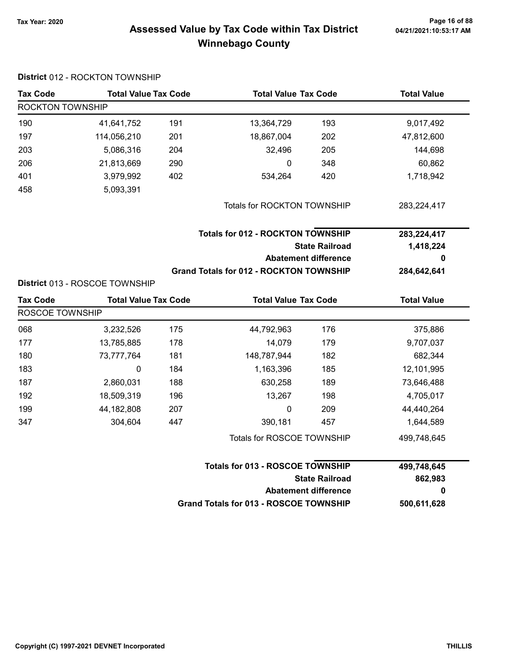#### Page 16 of 88 مع Page 16 of 88<br>Assessed Value by Tax Code within Tax District مع Assessed Value by Tax Code Winnebago County

#### District 012 - ROCKTON TOWNSHIP Tax Code Total Value Tax Code Total Value Tax Code Total Value ROCKTON TOWNSHIP 190 41,641,752 191 13,364,729 193 9,017,492 197 114,056,210 18,867,004 201 202 47,812,600 203 5,086,316 32,496 204 205 144,698 206 21,813,669 0 290 348 60,862 401 3,979,992 534,264 402 420 1,718,942 458 5,093,391 Totals for ROCKTON TOWNSHIP 283,224,417 State Railroad Totals for 012 - ROCKTON TOWNSHIP Abatement difference Grand Totals for 012 - ROCKTON TOWNSHIP 283,224,417 1,418,224 0 284,642,641 District 013 - ROSCOE TOWNSHIP Tax Code Total Value Tax Code Total Value Tax Code Total Value Tax Code Total Value ROSCOE TOWNSHIP 068 3,232,526 175 44,792,963 176 375,886 177 13,785,885 14,079 178 179 9,707,037 180 73,777,764 148,787,944 181 182 682,344 183 0 184 1,163,396 185 12,101,995 187 2,860,031 630,258 188 189 73,646,488 192 18,509,319 13,267 196 198 4,705,017 199 44,182,808 0 207 209 44,440,264 347 304,604 390,181 447 457 1,644,589 Totals for ROSCOE TOWNSHIP 499,748,645 State Railroad Totals for 013 - ROSCOE TOWNSHIP Abatement difference Grand Totals for 013 - ROSCOE TOWNSHIP 499,748,645 862,983 0 500,611,628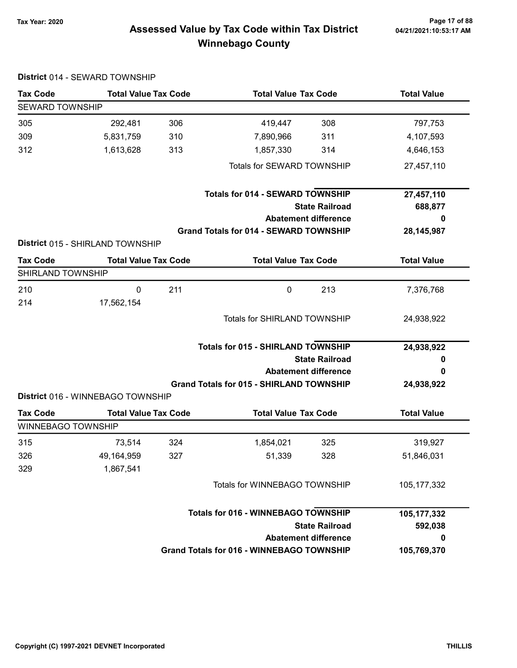# Page 17 of 88 مسلم Page 17 of 88<br>Assessed Value by Tax Code within Tax District مسلم 121/2021:10:53:17 Am Winnebago County

| <b>Tax Code</b>           | <b>Total Value Tax Code</b>       |     | <b>Total Value Tax Code</b>                      |     | <b>Total Value</b> |  |
|---------------------------|-----------------------------------|-----|--------------------------------------------------|-----|--------------------|--|
| <b>SEWARD TOWNSHIP</b>    |                                   |     |                                                  |     |                    |  |
| 305                       | 292,481                           | 306 | 419,447                                          | 308 | 797,753            |  |
| 309                       | 5,831,759                         | 310 | 7,890,966                                        | 311 | 4,107,593          |  |
| 312                       | 1,613,628                         | 313 | 1,857,330                                        | 314 | 4,646,153          |  |
|                           |                                   |     | Totals for SEWARD TOWNSHIP                       |     | 27,457,110         |  |
|                           |                                   |     | <b>Totals for 014 - SEWARD TOWNSHIP</b>          |     | 27,457,110         |  |
|                           |                                   |     | <b>State Railroad</b>                            |     | 688,877            |  |
|                           |                                   |     | <b>Abatement difference</b>                      |     | 0                  |  |
|                           |                                   |     | <b>Grand Totals for 014 - SEWARD TOWNSHIP</b>    |     | 28, 145, 987       |  |
|                           | District 015 - SHIRLAND TOWNSHIP  |     |                                                  |     |                    |  |
| <b>Tax Code</b>           | <b>Total Value Tax Code</b>       |     | <b>Total Value Tax Code</b>                      |     | <b>Total Value</b> |  |
| SHIRLAND TOWNSHIP         |                                   |     |                                                  |     |                    |  |
| 210                       | 0                                 | 211 | $\mathbf 0$                                      | 213 | 7,376,768          |  |
| 214                       | 17,562,154                        |     |                                                  |     |                    |  |
|                           |                                   |     | <b>Totals for SHIRLAND TOWNSHIP</b>              |     | 24,938,922         |  |
|                           |                                   |     |                                                  |     |                    |  |
|                           |                                   |     | <b>Totals for 015 - SHIRLAND TOWNSHIP</b>        |     | 24,938,922         |  |
|                           |                                   |     | <b>State Railroad</b>                            |     | 0                  |  |
|                           |                                   |     | <b>Abatement difference</b>                      |     | 0                  |  |
|                           |                                   |     | <b>Grand Totals for 015 - SHIRLAND TOWNSHIP</b>  |     | 24,938,922         |  |
|                           | District 016 - WINNEBAGO TOWNSHIP |     |                                                  |     |                    |  |
| <b>Tax Code</b>           | <b>Total Value Tax Code</b>       |     | <b>Total Value Tax Code</b>                      |     | <b>Total Value</b> |  |
| <b>WINNEBAGO TOWNSHIP</b> |                                   |     |                                                  |     |                    |  |
| 315                       | 73,514                            | 324 | 1,854,021                                        | 325 | 319,927            |  |
| 326                       | 49,164,959                        | 327 | 51,339                                           | 328 | 51,846,031         |  |
| 329                       | 1,867,541                         |     |                                                  |     |                    |  |
|                           |                                   |     | Totals for WINNEBAGO TOWNSHIP                    |     | 105, 177, 332      |  |
|                           |                                   |     |                                                  |     |                    |  |
|                           |                                   |     | <b>Totals for 016 - WINNEBAGO TOWNSHIP</b>       |     | 105,177,332        |  |
|                           |                                   |     | <b>State Railroad</b>                            |     | 592,038            |  |
|                           |                                   |     | <b>Abatement difference</b>                      |     | 0                  |  |
|                           |                                   |     | <b>Grand Totals for 016 - WINNEBAGO TOWNSHIP</b> |     | 105,769,370        |  |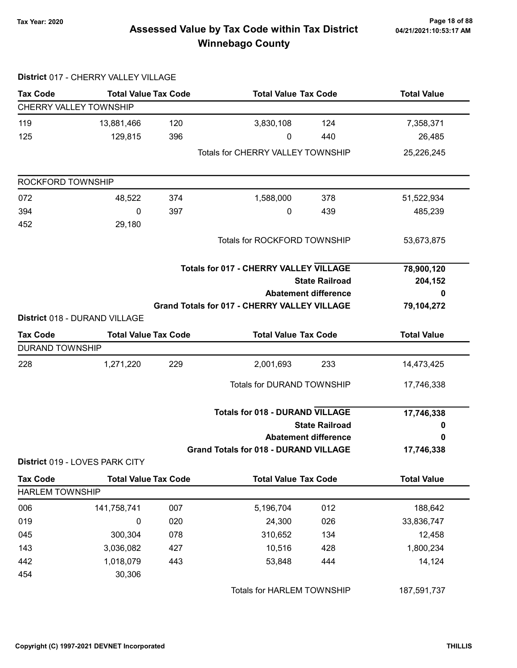# Page 18 of 88 و Tax Year: 2020<br>Assessed Value by Tax Code within Tax District هو Assessed Value by Tax Code within Tax District Winnebago County

|                               | District 017 - CHERRY VALLEY VILLAGE |     |                                                     |                             |                    |
|-------------------------------|--------------------------------------|-----|-----------------------------------------------------|-----------------------------|--------------------|
| <b>Tax Code</b>               | <b>Total Value Tax Code</b>          |     | <b>Total Value Tax Code</b>                         |                             | <b>Total Value</b> |
| <b>CHERRY VALLEY TOWNSHIP</b> |                                      |     |                                                     |                             |                    |
| 119                           | 13,881,466                           | 120 | 3,830,108                                           | 124                         | 7,358,371          |
| 125                           | 129,815                              | 396 | 0                                                   | 440                         | 26,485             |
|                               |                                      |     | <b>Totals for CHERRY VALLEY TOWNSHIP</b>            |                             | 25,226,245         |
| ROCKFORD TOWNSHIP             |                                      |     |                                                     |                             |                    |
| 072                           | 48,522                               | 374 | 1,588,000                                           | 378                         | 51,522,934         |
| 394                           | 0                                    | 397 | 0                                                   | 439                         | 485,239            |
| 452                           | 29,180                               |     |                                                     |                             |                    |
|                               |                                      |     | Totals for ROCKFORD TOWNSHIP                        |                             | 53,673,875         |
|                               |                                      |     | <b>Totals for 017 - CHERRY VALLEY VILLAGE</b>       |                             | 78,900,120         |
|                               |                                      |     |                                                     | <b>State Railroad</b>       | 204,152            |
|                               |                                      |     | <b>Abatement difference</b>                         |                             | 0                  |
|                               |                                      |     | <b>Grand Totals for 017 - CHERRY VALLEY VILLAGE</b> |                             | 79,104,272         |
|                               | District 018 - DURAND VILLAGE        |     |                                                     |                             |                    |
| <b>Tax Code</b>               | <b>Total Value Tax Code</b>          |     | <b>Total Value Tax Code</b>                         |                             | <b>Total Value</b> |
| <b>DURAND TOWNSHIP</b>        |                                      |     |                                                     |                             |                    |
| 228                           | 1,271,220                            | 229 | 2,001,693                                           | 233                         | 14,473,425         |
|                               |                                      |     | Totals for DURAND TOWNSHIP                          |                             | 17,746,338         |
|                               |                                      |     | <b>Totals for 018 - DURAND VILLAGE</b>              |                             | 17,746,338         |
|                               |                                      |     |                                                     | <b>State Railroad</b>       | 0                  |
|                               |                                      |     |                                                     | <b>Abatement difference</b> | 0                  |
|                               |                                      |     | <b>Grand Totals for 018 - DURAND VILLAGE</b>        |                             | 17,746,338         |
|                               | District 019 - LOVES PARK CITY       |     |                                                     |                             |                    |
| <b>Tax Code</b>               | <b>Total Value Tax Code</b>          |     | <b>Total Value Tax Code</b>                         |                             | <b>Total Value</b> |
| <b>HARLEM TOWNSHIP</b>        |                                      |     |                                                     |                             |                    |
| 006                           | 141,758,741                          | 007 | 5,196,704                                           | 012                         | 188,642            |
| 019                           | 0                                    | 020 | 24,300                                              | 026                         | 33,836,747         |
| 045                           | 300,304                              | 078 | 310,652                                             | 134                         | 12,458             |
| 143                           | 3,036,082                            | 427 | 10,516                                              | 428                         | 1,800,234          |
| 442                           | 1,018,079                            | 443 | 53,848                                              | 444                         | 14,124             |
| 454                           | 30,306                               |     |                                                     |                             |                    |
|                               |                                      |     | Totals for HARLEM TOWNSHIP                          |                             | 187,591,737        |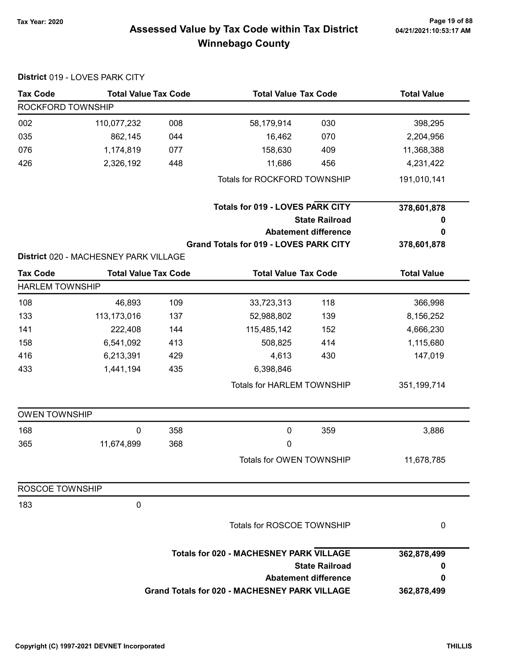# 04/21/2021:10:53:17 AM

# Page 19 of 88 وPage 19 of 88<br>Assessed Value by Tax Code within Tax District هو Assessed Value by Tax Code within Tax District Winnebago County

|                        | District 019 - LOVES PARK CITY        |     |                                                      |                             |                    |
|------------------------|---------------------------------------|-----|------------------------------------------------------|-----------------------------|--------------------|
| <b>Tax Code</b>        | <b>Total Value Tax Code</b>           |     | <b>Total Value Tax Code</b>                          |                             | <b>Total Value</b> |
| ROCKFORD TOWNSHIP      |                                       |     |                                                      |                             |                    |
| 002                    | 110,077,232                           | 008 | 58,179,914                                           | 030                         | 398,295            |
| 035                    | 862,145                               | 044 | 16,462                                               | 070                         | 2,204,956          |
| 076                    | 1,174,819                             | 077 | 158,630                                              | 409                         | 11,368,388         |
| 426                    | 2,326,192                             | 448 | 11,686                                               | 456                         | 4,231,422          |
|                        |                                       |     | Totals for ROCKFORD TOWNSHIP                         |                             | 191,010,141        |
|                        |                                       |     | <b>Totals for 019 - LOVES PARK CITY</b>              |                             | 378,601,878        |
|                        |                                       |     |                                                      | <b>State Railroad</b>       | 0                  |
|                        |                                       |     |                                                      | <b>Abatement difference</b> | 0                  |
|                        |                                       |     | <b>Grand Totals for 019 - LOVES PARK CITY</b>        |                             | 378,601,878        |
|                        | District 020 - MACHESNEY PARK VILLAGE |     |                                                      |                             |                    |
| <b>Tax Code</b>        | <b>Total Value Tax Code</b>           |     | <b>Total Value Tax Code</b>                          |                             | <b>Total Value</b> |
| <b>HARLEM TOWNSHIP</b> |                                       |     |                                                      |                             |                    |
| 108                    | 46,893                                | 109 | 33,723,313                                           | 118                         | 366,998            |
| 133                    | 113,173,016                           | 137 | 52,988,802                                           | 139                         | 8,156,252          |
| 141                    | 222,408                               | 144 | 115,485,142                                          | 152                         | 4,666,230          |
| 158                    | 6,541,092                             | 413 | 508,825                                              | 414                         | 1,115,680          |
| 416                    | 6,213,391                             | 429 | 4,613                                                | 430                         | 147,019            |
| 433                    | 1,441,194                             | 435 | 6,398,846                                            |                             |                    |
|                        |                                       |     | Totals for HARLEM TOWNSHIP                           |                             | 351,199,714        |
| <b>OWEN TOWNSHIP</b>   |                                       |     |                                                      |                             |                    |
| 168                    | $\mathbf 0$                           | 358 | $\mathbf 0$                                          | 359                         | 3,886              |
| 365                    | 11,674,899                            | 368 | 0                                                    |                             |                    |
|                        |                                       |     | Totals for OWEN TOWNSHIP                             |                             | 11,678,785         |
| ROSCOE TOWNSHIP        |                                       |     |                                                      |                             |                    |
| 183                    | 0                                     |     |                                                      |                             |                    |
|                        |                                       |     | Totals for ROSCOE TOWNSHIP                           |                             | 0                  |
|                        |                                       |     | <b>Totals for 020 - MACHESNEY PARK VILLAGE</b>       |                             | 362,878,499        |
|                        |                                       |     |                                                      | <b>State Railroad</b>       | 0                  |
|                        |                                       |     |                                                      | <b>Abatement difference</b> | 0                  |
|                        |                                       |     | <b>Grand Totals for 020 - MACHESNEY PARK VILLAGE</b> |                             | 362,878,499        |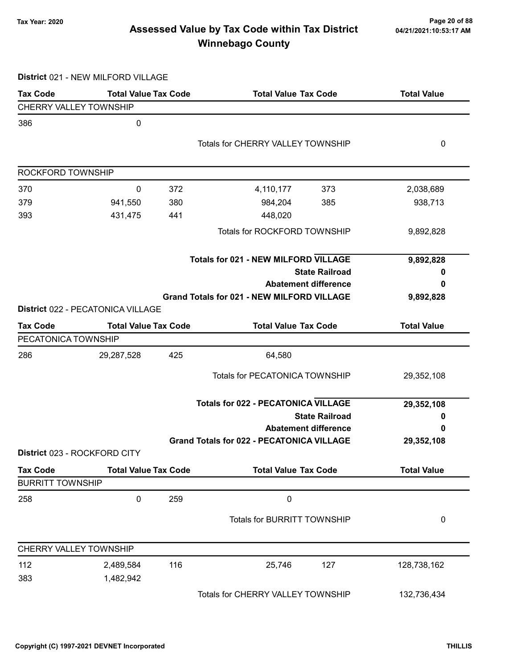# Page 20 of 88 و Tax Year: 2020 Page 20 of 88<br>Assessed Value by Tax Code within Tax District می Magaz1/2021:10:53:17 AM Winnebago County

District 021 - NEW MILFORD VILLAGE

| <b>Tax Code</b>               | <b>Total Value Tax Code</b>       |     | <b>Total Value Tax Code</b>                       |                       | <b>Total Value</b> |
|-------------------------------|-----------------------------------|-----|---------------------------------------------------|-----------------------|--------------------|
| <b>CHERRY VALLEY TOWNSHIP</b> |                                   |     |                                                   |                       |                    |
| 386                           | $\pmb{0}$                         |     |                                                   |                       |                    |
|                               |                                   |     | <b>Totals for CHERRY VALLEY TOWNSHIP</b>          |                       | 0                  |
|                               |                                   |     |                                                   |                       |                    |
| ROCKFORD TOWNSHIP             |                                   |     |                                                   |                       |                    |
| 370                           | 0                                 | 372 | 4,110,177                                         | 373                   | 2,038,689          |
| 379                           | 941,550                           | 380 | 984,204                                           | 385                   | 938,713            |
| 393                           | 431,475                           | 441 | 448,020                                           |                       |                    |
|                               |                                   |     | Totals for ROCKFORD TOWNSHIP                      |                       | 9,892,828          |
|                               |                                   |     | <b>Totals for 021 - NEW MILFORD VILLAGE</b>       |                       | 9,892,828          |
|                               |                                   |     |                                                   | <b>State Railroad</b> | o                  |
|                               |                                   |     | <b>Abatement difference</b>                       |                       | 0                  |
|                               |                                   |     | <b>Grand Totals for 021 - NEW MILFORD VILLAGE</b> |                       | 9,892,828          |
|                               | District 022 - PECATONICA VILLAGE |     |                                                   |                       |                    |
| <b>Tax Code</b>               | <b>Total Value Tax Code</b>       |     | <b>Total Value Tax Code</b>                       |                       | <b>Total Value</b> |
| PECATONICA TOWNSHIP           |                                   |     |                                                   |                       |                    |
| 286                           | 29,287,528                        | 425 | 64,580                                            |                       |                    |
|                               |                                   |     | <b>Totals for PECATONICA TOWNSHIP</b>             |                       | 29,352,108         |
|                               |                                   |     | <b>Totals for 022 - PECATONICA VILLAGE</b>        |                       | 29,352,108         |
|                               |                                   |     |                                                   | <b>State Railroad</b> | 0                  |
|                               |                                   |     | <b>Abatement difference</b>                       |                       | 0                  |
|                               |                                   |     | <b>Grand Totals for 022 - PECATONICA VILLAGE</b>  |                       | 29,352,108         |
|                               | District 023 - ROCKFORD CITY      |     |                                                   |                       |                    |
| <b>Tax Code</b>               | <b>Total Value Tax Code</b>       |     | <b>Total Value Tax Code</b>                       |                       | <b>Total Value</b> |
| <b>BURRITT TOWNSHIP</b>       |                                   |     |                                                   |                       |                    |
| 258                           | 0                                 | 259 | $\mathbf 0$                                       |                       |                    |
|                               |                                   |     | <b>Totals for BURRITT TOWNSHIP</b>                |                       | 0                  |
| CHERRY VALLEY TOWNSHIP        |                                   |     |                                                   |                       |                    |
| 112                           | 2,489,584                         | 116 | 25,746                                            | 127                   | 128,738,162        |
| 383                           | 1,482,942                         |     |                                                   |                       |                    |
|                               |                                   |     | Totals for CHERRY VALLEY TOWNSHIP                 |                       | 132,736,434        |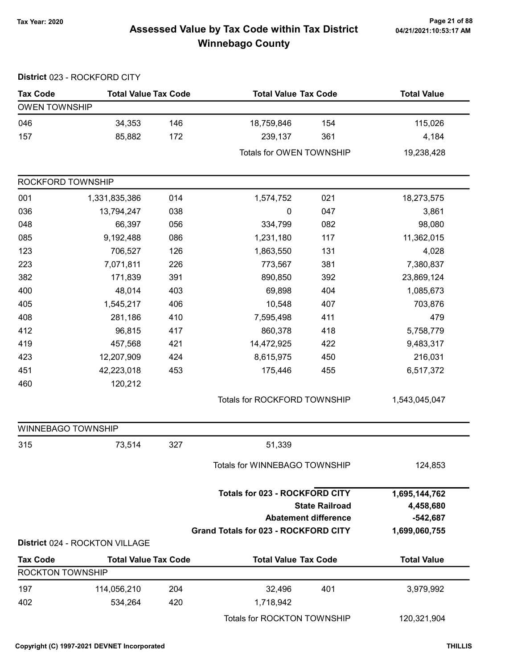# Page 21 of 88 مسمع Page 21 of 88<br>Assessed Value by Tax Code within Tax District مسمع Assessed Value by Tax Code within Tax District Winnebago County

|                         | District 023 - ROCKFORD CITY   |     |                                                                                      |                                                      |                                                           |
|-------------------------|--------------------------------|-----|--------------------------------------------------------------------------------------|------------------------------------------------------|-----------------------------------------------------------|
| <b>Tax Code</b>         | <b>Total Value Tax Code</b>    |     | <b>Total Value Tax Code</b>                                                          |                                                      | <b>Total Value</b>                                        |
| <b>OWEN TOWNSHIP</b>    |                                |     |                                                                                      |                                                      |                                                           |
| 046                     | 34,353                         | 146 | 18,759,846                                                                           | 154                                                  | 115,026                                                   |
| 157                     | 85,882                         | 172 | 239,137                                                                              | 361                                                  | 4,184                                                     |
|                         |                                |     | Totals for OWEN TOWNSHIP                                                             |                                                      | 19,238,428                                                |
| ROCKFORD TOWNSHIP       |                                |     |                                                                                      |                                                      |                                                           |
| 001                     | 1,331,835,386                  | 014 | 1,574,752                                                                            | 021                                                  | 18,273,575                                                |
| 036                     | 13,794,247                     | 038 | $\pmb{0}$                                                                            | 047                                                  | 3,861                                                     |
| 048                     | 66,397                         | 056 | 334,799                                                                              | 082                                                  | 98,080                                                    |
| 085                     | 9,192,488                      | 086 | 1,231,180                                                                            | 117                                                  | 11,362,015                                                |
| 123                     | 706,527                        | 126 | 1,863,550                                                                            | 131                                                  | 4,028                                                     |
| 223                     | 7,071,811                      | 226 | 773,567                                                                              | 381                                                  | 7,380,837                                                 |
| 382                     | 171,839                        | 391 | 890,850                                                                              | 392                                                  | 23,869,124                                                |
| 400                     | 48,014                         | 403 | 69,898                                                                               | 404                                                  | 1,085,673                                                 |
| 405                     | 1,545,217                      | 406 | 10,548                                                                               | 407                                                  | 703,876                                                   |
| 408                     | 281,186                        | 410 | 7,595,498                                                                            | 411                                                  | 479                                                       |
| 412                     | 96,815                         | 417 | 860,378                                                                              | 418                                                  | 5,758,779                                                 |
| 419                     | 457,568                        | 421 | 14,472,925                                                                           | 422                                                  | 9,483,317                                                 |
| 423                     | 12,207,909                     | 424 | 8,615,975                                                                            | 450                                                  | 216,031                                                   |
| 451                     | 42,223,018                     | 453 | 175,446                                                                              | 455                                                  | 6,517,372                                                 |
| 460                     | 120,212                        |     |                                                                                      |                                                      |                                                           |
|                         |                                |     | Totals for ROCKFORD TOWNSHIP                                                         |                                                      | 1,543,045,047                                             |
| WINNEBAGO TOWNSHIP      |                                |     |                                                                                      |                                                      |                                                           |
| 315                     | 73,514                         | 327 | 51,339                                                                               |                                                      |                                                           |
|                         |                                |     | Totals for WINNEBAGO TOWNSHIP                                                        |                                                      | 124,853                                                   |
|                         |                                |     | <b>Totals for 023 - ROCKFORD CITY</b><br><b>Grand Totals for 023 - ROCKFORD CITY</b> | <b>State Railroad</b><br><b>Abatement difference</b> | 1,695,144,762<br>4,458,680<br>$-542,687$<br>1,699,060,755 |
|                         | District 024 - ROCKTON VILLAGE |     |                                                                                      |                                                      |                                                           |
| <b>Tax Code</b>         | <b>Total Value Tax Code</b>    |     | <b>Total Value Tax Code</b>                                                          |                                                      | <b>Total Value</b>                                        |
| <b>ROCKTON TOWNSHIP</b> |                                |     |                                                                                      |                                                      |                                                           |
| 197                     | 114,056,210                    | 204 | 32,496                                                                               | 401                                                  | 3,979,992                                                 |
| 402                     | 534,264                        | 420 | 1,718,942                                                                            |                                                      |                                                           |
|                         |                                |     | Totals for ROCKTON TOWNSHIP                                                          |                                                      | 120,321,904                                               |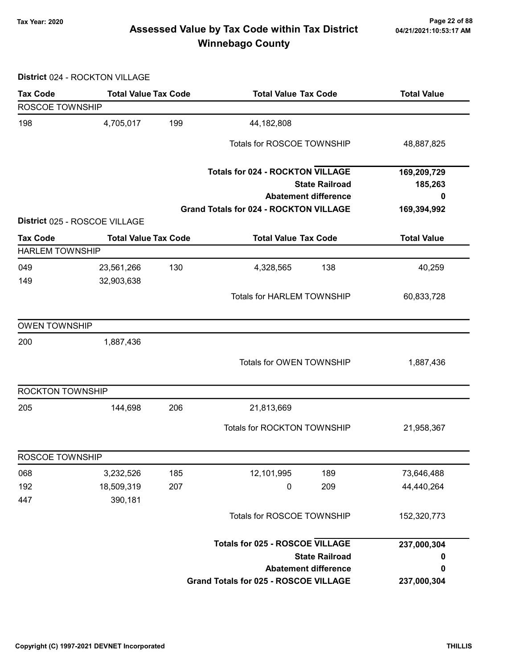# Page 22 of 88 مسمح Page 22 of 88<br>Assessed Value by Tax Code within Tax District مسمح Assessed Value by Tax Code within Tax District Winnebago County

District 024 - ROCKTON VILLAGE

| <b>Tax Code</b>         | <b>Total Value Tax Code</b>   |     | <b>Total Value Tax Code</b>                                            |                       | <b>Total Value</b>     |
|-------------------------|-------------------------------|-----|------------------------------------------------------------------------|-----------------------|------------------------|
| ROSCOE TOWNSHIP         |                               |     |                                                                        |                       |                        |
| 198                     | 4,705,017                     | 199 | 44,182,808                                                             |                       |                        |
|                         |                               |     | Totals for ROSCOE TOWNSHIP                                             |                       | 48,887,825             |
|                         |                               |     | <b>Totals for 024 - ROCKTON VILLAGE</b><br><b>Abatement difference</b> | <b>State Railroad</b> | 169,209,729<br>185,263 |
|                         |                               |     | <b>Grand Totals for 024 - ROCKTON VILLAGE</b>                          |                       | 0<br>169,394,992       |
|                         | District 025 - ROSCOE VILLAGE |     |                                                                        |                       |                        |
| <b>Tax Code</b>         | <b>Total Value Tax Code</b>   |     | <b>Total Value Tax Code</b>                                            |                       | <b>Total Value</b>     |
| <b>HARLEM TOWNSHIP</b>  |                               |     |                                                                        |                       |                        |
| 049<br>149              | 23,561,266<br>32,903,638      | 130 | 4,328,565                                                              | 138                   | 40,259                 |
|                         |                               |     | <b>Totals for HARLEM TOWNSHIP</b>                                      |                       | 60,833,728             |
| <b>OWEN TOWNSHIP</b>    |                               |     |                                                                        |                       |                        |
| 200                     | 1,887,436                     |     |                                                                        |                       |                        |
|                         |                               |     | Totals for OWEN TOWNSHIP                                               |                       | 1,887,436              |
| <b>ROCKTON TOWNSHIP</b> |                               |     |                                                                        |                       |                        |
| 205                     | 144,698                       | 206 | 21,813,669                                                             |                       |                        |
|                         |                               |     | Totals for ROCKTON TOWNSHIP                                            |                       | 21,958,367             |
| ROSCOE TOWNSHIP         |                               |     |                                                                        |                       |                        |
| 068                     | 3,232,526                     | 185 | 12,101,995                                                             | 189                   | 73,646,488             |
| 192                     | 18,509,319                    | 207 | $\pmb{0}$                                                              | 209                   | 44,440,264             |
| 447                     | 390,181                       |     |                                                                        |                       |                        |
|                         |                               |     | Totals for ROSCOE TOWNSHIP                                             |                       | 152,320,773            |
|                         |                               |     | <b>Totals for 025 - ROSCOE VILLAGE</b>                                 |                       | 237,000,304            |
|                         |                               |     |                                                                        | <b>State Railroad</b> | $\bf{0}$               |
|                         |                               |     | <b>Abatement difference</b>                                            |                       | 0                      |
|                         |                               |     | <b>Grand Totals for 025 - ROSCOE VILLAGE</b>                           |                       | 237,000,304            |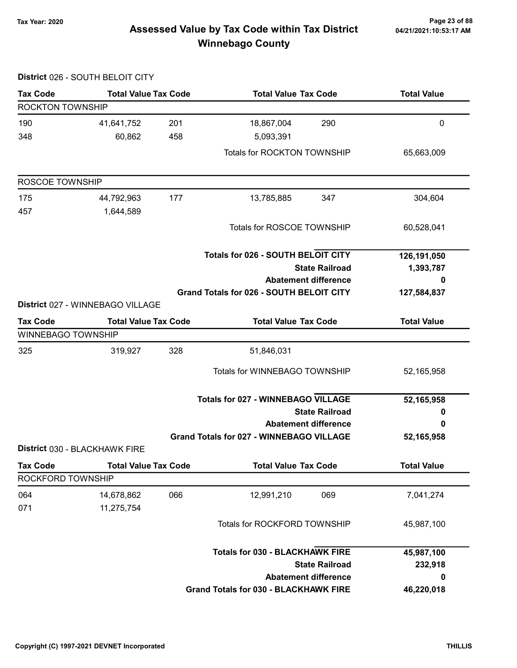District 026 - SOUTH BELOIT CITY

# Page 23 of 88 مسلم Page 23 of 88<br>Assessed Value by Tax Code within Tax District مسلم 121/2021:10:53:17 Am Winnebago County

| <b>Tax Code</b>         | <b>Total Value Tax Code</b>      |     | <b>Total Value Tax Code</b>                     | <b>Total Value</b> |
|-------------------------|----------------------------------|-----|-------------------------------------------------|--------------------|
| <b>ROCKTON TOWNSHIP</b> |                                  |     |                                                 |                    |
| 190                     | 41,641,752                       | 201 | 18,867,004<br>290                               | 0                  |
| 348                     | 60,862                           | 458 | 5,093,391                                       |                    |
|                         |                                  |     | Totals for ROCKTON TOWNSHIP                     | 65,663,009         |
| ROSCOE TOWNSHIP         |                                  |     |                                                 |                    |
| 175                     | 44,792,963                       | 177 | 13,785,885<br>347                               | 304,604            |
| 457                     | 1,644,589                        |     |                                                 |                    |
|                         |                                  |     | Totals for ROSCOE TOWNSHIP                      | 60,528,041         |
|                         |                                  |     | <b>Totals for 026 - SOUTH BELOIT CITY</b>       | 126,191,050        |
|                         |                                  |     | <b>State Railroad</b>                           | 1,393,787          |
|                         |                                  |     | <b>Abatement difference</b>                     | 0                  |
|                         |                                  |     | Grand Totals for 026 - SOUTH BELOIT CITY        | 127,584,837        |
|                         | District 027 - WINNEBAGO VILLAGE |     |                                                 |                    |
| <b>Tax Code</b>         | <b>Total Value Tax Code</b>      |     | <b>Total Value Tax Code</b>                     | <b>Total Value</b> |
| WINNEBAGO TOWNSHIP      |                                  |     |                                                 |                    |
| 325                     | 319,927                          | 328 | 51,846,031                                      |                    |
|                         |                                  |     | <b>Totals for WINNEBAGO TOWNSHIP</b>            | 52,165,958         |
|                         |                                  |     | <b>Totals for 027 - WINNEBAGO VILLAGE</b>       |                    |
|                         |                                  |     | <b>State Railroad</b>                           | 52,165,958<br>0    |
|                         |                                  |     | <b>Abatement difference</b>                     | 0                  |
|                         |                                  |     | <b>Grand Totals for 027 - WINNEBAGO VILLAGE</b> | 52,165,958         |
|                         | District 030 - BLACKHAWK FIRE    |     |                                                 |                    |
| <b>Tax Code</b>         | <b>Total Value Tax Code</b>      |     | <b>Total Value Tax Code</b>                     | <b>Total Value</b> |
| ROCKFORD TOWNSHIP       |                                  |     |                                                 |                    |
| 064                     | 14,678,862                       | 066 | 12,991,210<br>069                               | 7,041,274          |
| 071                     | 11,275,754                       |     |                                                 |                    |
|                         |                                  |     | <b>Totals for ROCKFORD TOWNSHIP</b>             | 45,987,100         |
|                         |                                  |     | <b>Totals for 030 - BLACKHAWK FIRE</b>          | 45,987,100         |
|                         |                                  |     | <b>State Railroad</b>                           | 232,918            |
|                         |                                  |     | <b>Abatement difference</b>                     | 0                  |
|                         |                                  |     | <b>Grand Totals for 030 - BLACKHAWK FIRE</b>    | 46,220,018         |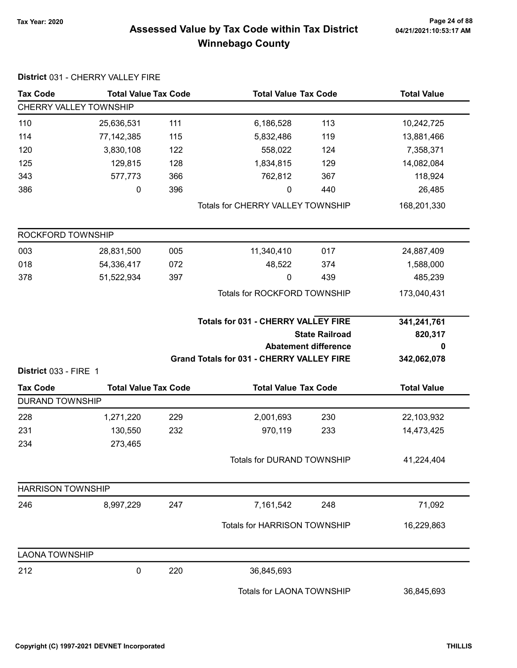District 031 - CHERRY VALLEY FIRE

# Page 24 of 88 مع Page 24 of 88<br>Assessed Value by Tax Code within Tax District مع Assessed Value by Tax Code within Tax District Winnebago County

| <b>Tax Code</b>                          | <b>Total Value Tax Code</b> |     | <b>Total Value Tax Code</b>                      |                             | <b>Total Value</b> |
|------------------------------------------|-----------------------------|-----|--------------------------------------------------|-----------------------------|--------------------|
| CHERRY VALLEY TOWNSHIP                   |                             |     |                                                  |                             |                    |
| 110                                      | 25,636,531                  | 111 | 6,186,528                                        | 113                         | 10,242,725         |
| 114                                      | 77, 142, 385                | 115 | 5,832,486                                        | 119                         | 13,881,466         |
| 120                                      | 3,830,108                   | 122 | 558,022                                          | 124                         | 7,358,371          |
| 125                                      | 129,815                     | 128 | 1,834,815                                        | 129                         | 14,082,084         |
| 343                                      | 577,773                     | 366 | 762,812                                          | 367                         | 118,924            |
| 386                                      | 0                           | 396 | 0                                                | 440                         | 26,485             |
|                                          |                             |     | <b>Totals for CHERRY VALLEY TOWNSHIP</b>         |                             | 168,201,330        |
| ROCKFORD TOWNSHIP                        |                             |     |                                                  |                             |                    |
| 003                                      | 28,831,500                  | 005 | 11,340,410                                       | 017                         | 24,887,409         |
| 018                                      | 54,336,417                  | 072 | 48,522                                           | 374                         | 1,588,000          |
| 378                                      | 51,522,934                  | 397 | 0                                                | 439                         | 485,239            |
|                                          |                             |     | Totals for ROCKFORD TOWNSHIP                     |                             | 173,040,431        |
|                                          |                             |     | <b>Totals for 031 - CHERRY VALLEY FIRE</b>       |                             | 341,241,761        |
|                                          |                             |     |                                                  | <b>State Railroad</b>       | 820,317            |
|                                          |                             |     |                                                  | <b>Abatement difference</b> | 0                  |
|                                          |                             |     | <b>Grand Totals for 031 - CHERRY VALLEY FIRE</b> |                             | 342,062,078        |
| District 033 - FIRE 1<br><b>Tax Code</b> | <b>Total Value Tax Code</b> |     | <b>Total Value Tax Code</b>                      |                             | <b>Total Value</b> |
| <b>DURAND TOWNSHIP</b>                   |                             |     |                                                  |                             |                    |
| 228                                      | 1,271,220                   | 229 | 2,001,693                                        | 230                         | 22,103,932         |
| 231                                      | 130,550                     | 232 | 970,119                                          | 233                         | 14,473,425         |
| 234                                      | 273,465                     |     |                                                  |                             |                    |
|                                          |                             |     | Totals for DURAND TOWNSHIP                       |                             | 41,224,404         |
| <b>HARRISON TOWNSHIP</b>                 |                             |     |                                                  |                             |                    |
| 246                                      | 8,997,229                   | 247 | 7,161,542                                        | 248                         | 71,092             |
|                                          |                             |     | <b>Totals for HARRISON TOWNSHIP</b>              |                             | 16,229,863         |
| <b>LAONA TOWNSHIP</b>                    |                             |     |                                                  |                             |                    |
| 212                                      | $\pmb{0}$                   | 220 | 36,845,693                                       |                             |                    |
|                                          |                             |     | Totals for LAONA TOWNSHIP                        |                             | 36,845,693         |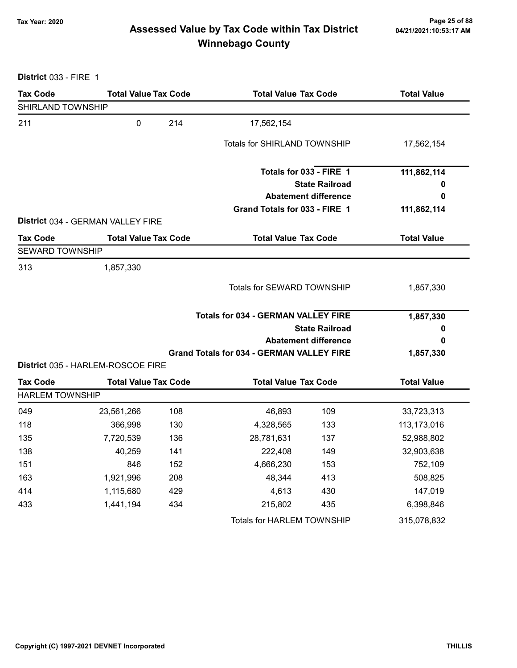# Page 25 of 88 مع Page 25 of 88<br>Assessed Value by Tax Code within Tax District مع Assessed Value by Tax Code Winnebago County

District 033 - FIRE 1

| <b>Tax Code</b>        | <b>Total Value Tax Code</b>       |     | <b>Total Value Tax Code</b>                      |                             | <b>Total Value</b> |  |
|------------------------|-----------------------------------|-----|--------------------------------------------------|-----------------------------|--------------------|--|
| SHIRLAND TOWNSHIP      |                                   |     |                                                  |                             |                    |  |
| 211                    | $\mathbf 0$                       | 214 | 17,562,154                                       |                             |                    |  |
|                        |                                   |     | <b>Totals for SHIRLAND TOWNSHIP</b>              |                             | 17,562,154         |  |
|                        |                                   |     |                                                  | Totals for 033 - FIRE 1     | 111,862,114        |  |
|                        |                                   |     |                                                  | <b>State Railroad</b>       | o                  |  |
|                        |                                   |     |                                                  | <b>Abatement difference</b> | 0                  |  |
|                        |                                   |     | Grand Totals for 033 - FIRE 1                    |                             | 111,862,114        |  |
|                        | District 034 - GERMAN VALLEY FIRE |     |                                                  |                             |                    |  |
| <b>Tax Code</b>        | <b>Total Value Tax Code</b>       |     | <b>Total Value Tax Code</b>                      |                             | <b>Total Value</b> |  |
| <b>SEWARD TOWNSHIP</b> |                                   |     |                                                  |                             |                    |  |
| 313                    | 1,857,330                         |     |                                                  |                             |                    |  |
|                        |                                   |     | Totals for SEWARD TOWNSHIP                       |                             | 1,857,330          |  |
|                        |                                   |     | <b>Totals for 034 - GERMAN VALLEY FIRE</b>       |                             | 1,857,330          |  |
|                        |                                   |     |                                                  | <b>State Railroad</b>       | 0                  |  |
|                        |                                   |     |                                                  | <b>Abatement difference</b> | 0                  |  |
|                        | District 035 - HARLEM-ROSCOE FIRE |     | <b>Grand Totals for 034 - GERMAN VALLEY FIRE</b> |                             | 1,857,330          |  |
| <b>Tax Code</b>        | <b>Total Value Tax Code</b>       |     | <b>Total Value Tax Code</b>                      |                             | <b>Total Value</b> |  |
| <b>HARLEM TOWNSHIP</b> |                                   |     |                                                  |                             |                    |  |
| 049                    | 23,561,266                        | 108 | 46,893                                           | 109                         | 33,723,313         |  |
| 118                    | 366,998                           | 130 | 4,328,565                                        | 133                         | 113,173,016        |  |
| 135                    | 7,720,539                         | 136 | 28,781,631                                       | 137                         | 52,988,802         |  |
| 138                    | 40,259                            | 141 | 222,408                                          | 149                         | 32,903,638         |  |
| 151                    | 846                               | 152 | 4,666,230                                        | 153                         | 752,109            |  |
| 163                    | 1,921,996                         | 208 | 48,344                                           | 413                         | 508,825            |  |
| 414                    | 1,115,680                         | 429 | 4,613                                            | 430                         | 147,019            |  |
| 433                    | 1,441,194                         | 434 | 215,802                                          | 435                         | 6,398,846          |  |
|                        |                                   |     | Totals for HARLEM TOWNSHIP                       |                             | 315,078,832        |  |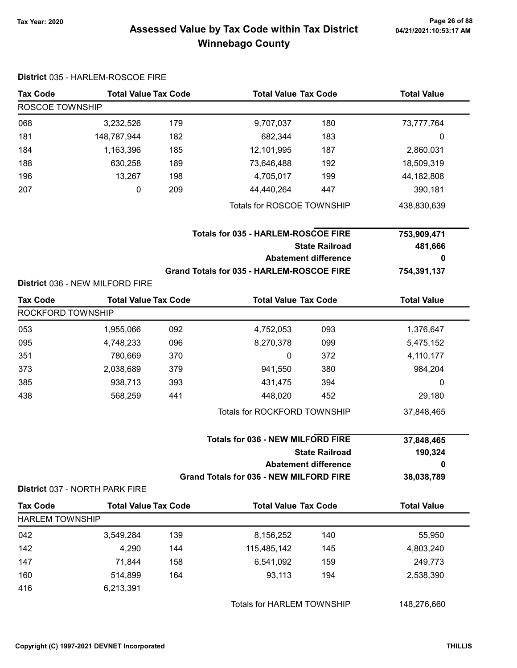# Page 26 of 88 مع Page 26 of 88<br>Assessed Value by Tax Code within Tax District مع Assessed Value by Tax Code Winnebago County

|                                                                   | District 035 - HARLEM-ROSCOE FIRE |     |                                                  |                             |                    |
|-------------------------------------------------------------------|-----------------------------------|-----|--------------------------------------------------|-----------------------------|--------------------|
| <b>Tax Code</b>                                                   | <b>Total Value Tax Code</b>       |     | <b>Total Value Tax Code</b>                      |                             | <b>Total Value</b> |
| ROSCOE TOWNSHIP                                                   |                                   |     |                                                  |                             |                    |
| 068                                                               | 3,232,526                         | 179 | 9,707,037                                        | 180                         | 73,777,764         |
| 181                                                               | 148,787,944                       | 182 | 682,344                                          | 183                         | 0                  |
| 184                                                               | 1,163,396                         | 185 | 12,101,995                                       | 187                         | 2,860,031          |
| 188                                                               | 630,258                           | 189 | 73,646,488                                       | 192                         | 18,509,319         |
| 196                                                               | 13,267                            | 198 | 4,705,017                                        | 199                         | 44,182,808         |
| 207                                                               | 0                                 | 209 | 44,440,264                                       | 447                         | 390,181            |
|                                                                   |                                   |     | Totals for ROSCOE TOWNSHIP                       |                             | 438,830,639        |
|                                                                   |                                   |     | <b>Totals for 035 - HARLEM-ROSCOE FIRE</b>       |                             | 753,909,471        |
|                                                                   |                                   |     |                                                  | <b>State Railroad</b>       | 481,666            |
|                                                                   |                                   |     |                                                  | <b>Abatement difference</b> | 0                  |
|                                                                   |                                   |     | <b>Grand Totals for 035 - HARLEM-ROSCOE FIRE</b> |                             | 754,391,137        |
|                                                                   | District 036 - NEW MILFORD FIRE   |     |                                                  |                             |                    |
| <b>Tax Code</b>                                                   | <b>Total Value Tax Code</b>       |     | <b>Total Value Tax Code</b>                      |                             | <b>Total Value</b> |
| ROCKFORD TOWNSHIP                                                 |                                   |     |                                                  |                             |                    |
| 053                                                               | 1,955,066                         | 092 | 4,752,053                                        | 093                         | 1,376,647          |
| 095                                                               | 4,748,233                         | 096 | 8,270,378                                        | 099                         | 5,475,152          |
| 351                                                               | 780,669                           | 370 | 0                                                | 372                         | 4,110,177          |
| 373                                                               | 2,038,689                         | 379 | 941,550                                          | 380                         | 984,204            |
| 385                                                               | 938,713                           | 393 | 431,475                                          | 394                         | 0                  |
| 438                                                               | 568,259                           | 441 | 448,020                                          | 452                         | 29,180             |
|                                                                   |                                   |     | Totals for ROCKFORD TOWNSHIP                     |                             | 37,848,465         |
| <b>Totals for 036 - NEW MILFORD FIRE</b><br><b>State Railroad</b> |                                   |     | 37,848,465<br>190,324                            |                             |                    |
|                                                                   |                                   |     |                                                  | <b>Abatement difference</b> | 0                  |
|                                                                   | District 037 - NORTH PARK FIRE    |     | <b>Grand Totals for 036 - NEW MILFORD FIRE</b>   |                             | 38,038,789         |
| <b>Tax Code</b>                                                   | <b>Total Value Tax Code</b>       |     | <b>Total Value Tax Code</b>                      |                             | <b>Total Value</b> |
| <b>HARLEM TOWNSHIP</b>                                            |                                   |     |                                                  |                             |                    |
| 042                                                               | 3,549,284                         | 139 | 8,156,252                                        | 140                         | 55,950             |
| 142                                                               | 4,290                             | 144 | 115,485,142                                      | 145                         | 4,803,240          |
| 147                                                               | 71,844                            | 158 | 6,541,092                                        | 159                         | 249,773            |
| 160                                                               | 514,899                           | 164 | 93,113                                           | 194                         | 2,538,390          |
| 416                                                               | 6,213,391                         |     |                                                  |                             |                    |
|                                                                   |                                   |     | Totals for HARLEM TOWNSHIP                       |                             | 148,276,660        |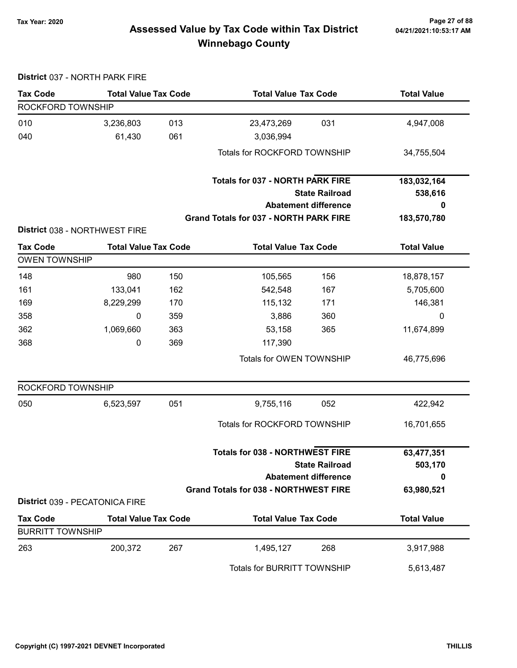District 037 - NORTH PARK FIRE

#### Page 27 of 88 مسمح Page 27 of 88<br>Assessed Value by Tax Code within Tax District مسمح Assessed Value by Tax Code within Tax District Winnebago County

#### Tax Code Total Value Tax Code Total Value Tax Code Total Value ROCKFORD TOWNSHIP 010 3,236,803 013 23,473,269 031 4,947,008 040 61,430 061 3,036,994 Totals for ROCKFORD TOWNSHIP 34,755,504 State Railroad Totals for 037 - NORTH PARK FIRE Abatement difference Grand Totals for 037 - NORTH PARK FIRE 183,032,164 538,616 0 183,570,780 District 038 - NORTHWEST FIRE Tax Code Total Value Tax Code Total Value Tax Code Total Value Tax Code OWEN TOWNSHIP 148 105,565 150 150 105,565 156 18,878,157 161 133,041 542,548 162 167 5,705,600 169 8,229,299 115,132 170 171 146,381 358 0 3,886 359 360 0 362 1,069,660 53,158 363 365 11,674,899 368 0 117,390 369 Totals for OWEN TOWNSHIP 46,775,696 ROCKFORD TOWNSHIP 050 6,523,597 051 9,755,116 052 422,942 Totals for ROCKFORD TOWNSHIP 16,701,655 State Railroad Totals for 038 - NORTHWEST FIRE Abatement difference Grand Totals for 038 - NORTHWEST FIRE 63,477,351 503,170  $\Omega$ 63,980,521 District 039 - PECATONICA FIRE Tax Code Total Value Tax Code Total Value Tax Code Total Value Tax Code BURRITT TOWNSHIP 263 200,372 1,495,127 267 268 3,917,988 Totals for BURRITT TOWNSHIP 5,613,487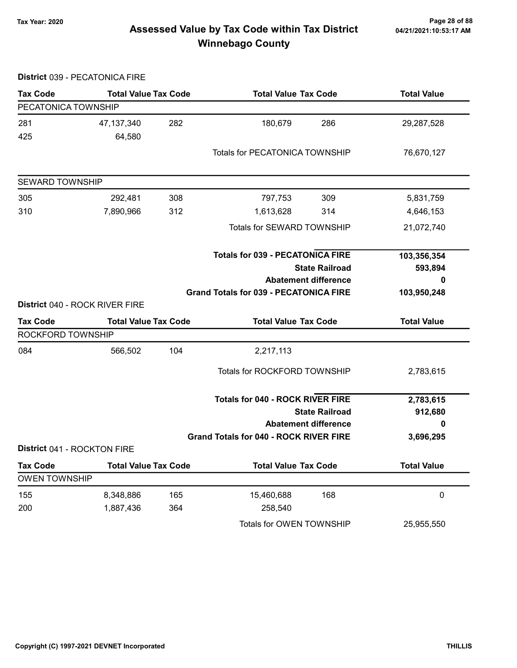District 039 - PECATONICA FIRE

# Page 28 of 88 مع Page 28 of 88<br>Assessed Value by Tax Code within Tax District مع Assessed Value by Tax Code within Tax District Winnebago County

Tax Code Total Value Tax Code Total Value Tax Code Total Value PECATONICA TOWNSHIP 281 47,137,340 180,679 282 286 29,287,528 425 64,580 Totals for PECATONICA TOWNSHIP 76,670,127 SEWARD TOWNSHIP 305 292,481 797,753 308 309 5,831,759 310 7,890,966 1,613,628 312 314 4,646,153 Totals for SEWARD TOWNSHIP 21,072,740 State Railroad Totals for 039 - PECATONICA FIRE Abatement difference Grand Totals for 039 - PECATONICA FIRE 103,356,354 593,894 0 103,950,248 District 040 - ROCK RIVER FIRE Tax Code Total Value Tax Code Total Value Tax Code Total Value Tax Code ROCKFORD TOWNSHIP 084 566,502 104 2,217,113 Totals for ROCKFORD TOWNSHIP 2,783,615 State Railroad Totals for 040 - ROCK RIVER FIRE Abatement difference Grand Totals for 040 - ROCK RIVER FIRE 2,783,615 912,680 0 3,696,295 District 041 - ROCKTON FIRE Tax Code Total Value Tax Code Total Value Tax Code Total Value OWEN TOWNSHIP 155 8,348,886 165 15,460,688 168 168 200 1,887,436 258,540 364 Totals for OWEN TOWNSHIP 25,955,550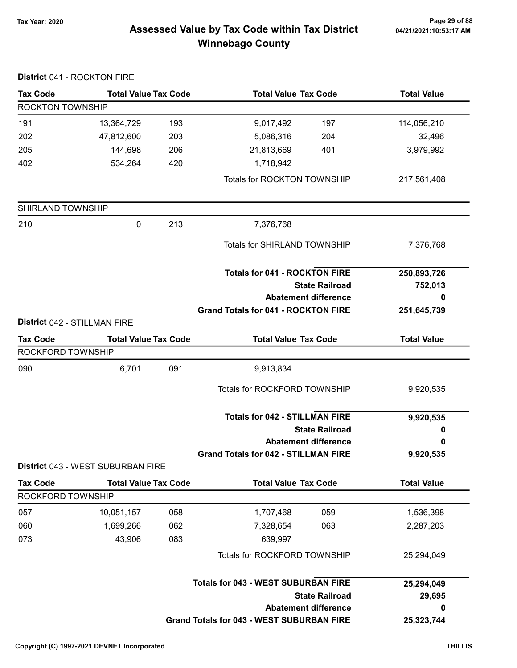#### Page 29 of 88 موجوع Page 29 of 88<br>Assessed Value by Tax Code within Tax District می Assessed Value by Tax Code within Tax District Winnebago County

#### Tax Code Total Value Tax Code Total Value Tax Code Total Value ROCKTON TOWNSHIP 191 13,364,729 193 9,017,492 197 114,056,210 202 47,812,600 5,086,316 203 204 32,496 205 144,698 21,813,669 206 401 3,979,992 402 534,264 420 1,718,942 Totals for ROCKTON TOWNSHIP 217,561,408 SHIRLAND TOWNSHIP 210 0 7,376,768 213 Totals for SHIRLAND TOWNSHIP 7,376,768 State Railroad Totals for 041 - ROCKTON FIRE Abatement difference Grand Totals for 041 - ROCKTON FIRE 250,893,726 752,013 0 251,645,739 District 042 - STILLMAN FIRE Tax Code Total Value Tax Code Total Value Tax Code Total Value Tax Code ROCKFORD TOWNSHIP 090 6,701 091 9,913,834 Totals for ROCKFORD TOWNSHIP 9,920,535 State Railroad Totals for 042 - STILLMAN FIRE Abatement difference Grand Totals for 042 - STILLMAN FIRE 9,920,535 0 0 9,920,535 District 043 - WEST SUBURBAN FIRE Tax Code Total Value Tax Code Total Value Tax Code Total Value Tax Code ROCKFORD TOWNSHIP 057 10,051,157 058 1,707,468 059 1,536,398 060 1,699,266 7,328,654 062 063 2,287,203 073 43,906 639,997 083 Totals for ROCKFORD TOWNSHIP 25,294,049 State Railroad Totals for 043 - WEST SUBURBAN FIRE Abatement difference Grand Totals for 043 - WEST SUBURBAN FIRE 25,294,049 29,695 0 25,323,744

#### District 041 - ROCKTON FIRE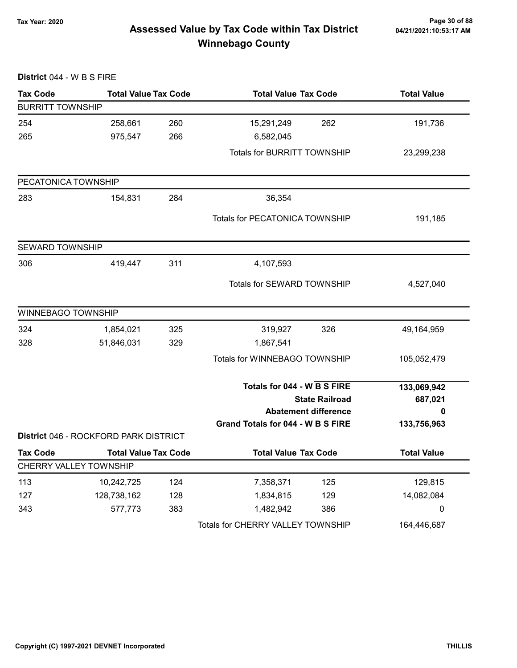# Page 30 of 88 وTax Year: 2020<br>Assessed Value by Tax Code within Tax District هو Assessed Value by Tax Code within Tax District Winnebago County

| District 044 - W B S FIRE |                                       |     |                                                                                     |     |                             |
|---------------------------|---------------------------------------|-----|-------------------------------------------------------------------------------------|-----|-----------------------------|
| <b>Tax Code</b>           | <b>Total Value Tax Code</b>           |     | <b>Total Value Tax Code</b>                                                         |     | <b>Total Value</b>          |
| <b>BURRITT TOWNSHIP</b>   |                                       |     |                                                                                     |     |                             |
| 254                       | 258,661                               | 260 | 15,291,249                                                                          | 262 | 191,736                     |
| 265                       | 975,547                               | 266 | 6,582,045                                                                           |     |                             |
|                           |                                       |     | <b>Totals for BURRITT TOWNSHIP</b>                                                  |     | 23,299,238                  |
| PECATONICA TOWNSHIP       |                                       |     |                                                                                     |     |                             |
| 283                       | 154,831                               | 284 | 36,354                                                                              |     |                             |
|                           |                                       |     | Totals for PECATONICA TOWNSHIP                                                      |     | 191,185                     |
| <b>SEWARD TOWNSHIP</b>    |                                       |     |                                                                                     |     |                             |
| 306                       | 419,447                               | 311 | 4,107,593                                                                           |     |                             |
|                           |                                       |     | Totals for SEWARD TOWNSHIP                                                          |     | 4,527,040                   |
| WINNEBAGO TOWNSHIP        |                                       |     |                                                                                     |     |                             |
| 324                       | 1,854,021                             | 325 | 319,927                                                                             | 326 | 49,164,959                  |
| 328                       | 51,846,031                            | 329 | 1,867,541                                                                           |     |                             |
|                           |                                       |     | Totals for WINNEBAGO TOWNSHIP                                                       |     | 105,052,479                 |
|                           |                                       |     | Totals for 044 - W B S FIRE<br><b>State Railroad</b><br><b>Abatement difference</b> |     | 133,069,942<br>687,021<br>0 |
|                           |                                       |     | Grand Totals for 044 - W B S FIRE                                                   |     | 133,756,963                 |
|                           | District 046 - ROCKFORD PARK DISTRICT |     |                                                                                     |     |                             |
| Tax Code                  | <b>Total Value Tax Code</b>           |     | <b>Total Value Tax Code</b>                                                         |     | <b>Total Value</b>          |
|                           | CHERRY VALLEY TOWNSHIP                |     |                                                                                     |     |                             |
| 113                       | 10,242,725                            | 124 | 7,358,371                                                                           | 125 | 129,815                     |
| 127                       | 128,738,162                           | 128 | 1,834,815                                                                           | 129 | 14,082,084                  |
| 343                       | 577,773                               | 383 | 1,482,942                                                                           | 386 | 0                           |
|                           |                                       |     | Totals for CHERRY VALLEY TOWNSHIP                                                   |     | 164,446,687                 |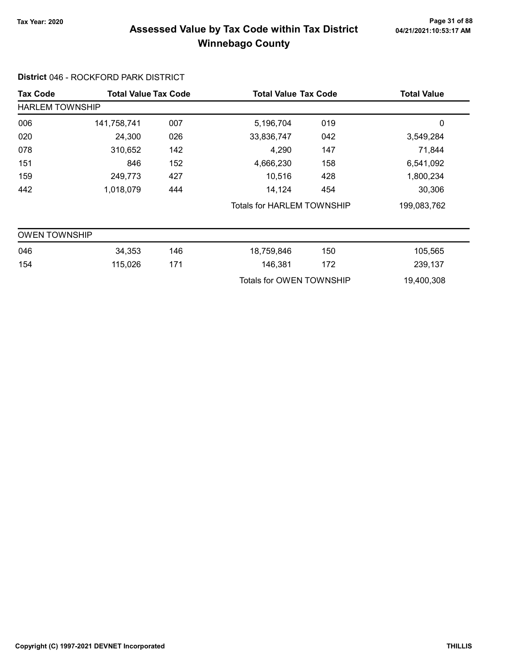# Page 31 of 88 وTax Year: 2020<br>Assessed Value by Tax Code within Tax District هو Assessed Value by Tax Code within Tax District Winnebago County

#### District 046 - ROCKFORD PARK DISTRICT

| <b>Tax Code</b>                              |             | <b>Total Value Tax Code</b> |                                   | <b>Total Value Tax Code</b> |             |
|----------------------------------------------|-------------|-----------------------------|-----------------------------------|-----------------------------|-------------|
| <b>Total Value</b><br><b>HARLEM TOWNSHIP</b> |             |                             |                                   |                             |             |
| 006                                          | 141,758,741 | 007                         | 5,196,704                         | 019                         | 0           |
| 020                                          | 24,300      | 026                         | 33,836,747                        | 042                         | 3,549,284   |
| 078                                          | 310,652     | 142                         | 4,290                             | 147                         | 71,844      |
| 151                                          | 846         | 152                         | 4,666,230                         | 158                         | 6,541,092   |
| 159                                          | 249,773     | 427                         | 10,516                            | 428                         | 1,800,234   |
| 442                                          | 1,018,079   | 444                         | 14,124                            | 454                         | 30,306      |
|                                              |             |                             | <b>Totals for HARLEM TOWNSHIP</b> |                             | 199,083,762 |
| <b>OWEN TOWNSHIP</b>                         |             |                             |                                   |                             |             |
| 046                                          | 34,353      | 146                         | 18,759,846                        | 150                         | 105,565     |
| 154                                          | 115,026     | 171                         | 146,381                           | 172                         | 239,137     |
|                                              |             |                             | Totals for OWEN TOWNSHIP          |                             | 19,400,308  |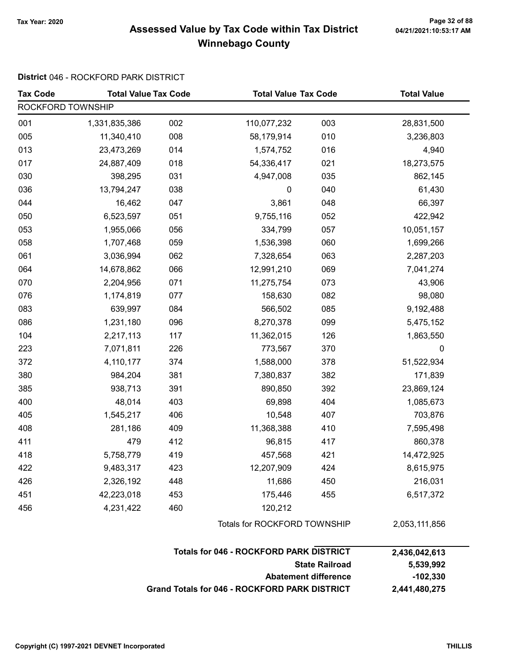#### Page 32 of 88 وTax Year: 2020<br>Assessed Value by Tax Code within Tax District هو Assessed Value by Tax Code within Tax District Winnebago County

#### District 046 - ROCKFORD PARK DISTRICT

| <b>Tax Code</b>   | <b>Total Value Tax Code</b> |     | <b>Total Value Tax Code</b>                          |     | <b>Total Value</b>      |
|-------------------|-----------------------------|-----|------------------------------------------------------|-----|-------------------------|
| ROCKFORD TOWNSHIP |                             |     |                                                      |     |                         |
| 001               | 1,331,835,386               | 002 | 110,077,232                                          | 003 | 28,831,500              |
| 005               | 11,340,410                  | 008 | 58,179,914                                           | 010 | 3,236,803               |
| 013               | 23,473,269                  | 014 | 1,574,752                                            | 016 | 4,940                   |
| 017               | 24,887,409                  | 018 | 54,336,417                                           | 021 | 18,273,575              |
| 030               | 398,295                     | 031 | 4,947,008                                            | 035 | 862,145                 |
| 036               | 13,794,247                  | 038 | $\pmb{0}$                                            | 040 | 61,430                  |
| 044               | 16,462                      | 047 | 3,861                                                | 048 | 66,397                  |
| 050               | 6,523,597                   | 051 | 9,755,116                                            | 052 | 422,942                 |
| 053               | 1,955,066                   | 056 | 334,799                                              | 057 | 10,051,157              |
| 058               | 1,707,468                   | 059 | 1,536,398                                            | 060 | 1,699,266               |
| 061               | 3,036,994                   | 062 | 7,328,654                                            | 063 | 2,287,203               |
| 064               | 14,678,862                  | 066 | 12,991,210                                           | 069 | 7,041,274               |
| 070               | 2,204,956                   | 071 | 11,275,754                                           | 073 | 43,906                  |
| 076               | 1,174,819                   | 077 | 158,630                                              | 082 | 98,080                  |
| 083               | 639,997                     | 084 | 566,502                                              | 085 | 9,192,488               |
| 086               | 1,231,180                   | 096 | 8,270,378                                            | 099 | 5,475,152               |
| 104               | 2,217,113                   | 117 | 11,362,015                                           | 126 | 1,863,550               |
| 223               | 7,071,811                   | 226 | 773,567                                              | 370 | $\pmb{0}$               |
| 372               | 4,110,177                   | 374 | 1,588,000                                            | 378 | 51,522,934              |
| 380               | 984,204                     | 381 | 7,380,837                                            | 382 | 171,839                 |
| 385               | 938,713                     | 391 | 890,850                                              | 392 | 23,869,124              |
| 400               | 48,014                      | 403 | 69,898                                               | 404 | 1,085,673               |
| 405               | 1,545,217                   | 406 | 10,548                                               | 407 | 703,876                 |
| 408               | 281,186                     | 409 | 11,368,388                                           | 410 | 7,595,498               |
| 411               | 479                         | 412 | 96,815                                               | 417 | 860,378                 |
| 418               | 5,758,779                   | 419 | 457,568                                              | 421 | 14,472,925              |
| 422               | 9,483,317                   | 423 | 12,207,909                                           | 424 | 8,615,975               |
| 426               | 2,326,192                   | 448 | 11,686                                               | 450 | 216,031                 |
| 451               | 42,223,018                  | 453 | 175,446                                              | 455 | 6,517,372               |
| 456               | 4,231,422                   | 460 | 120,212                                              |     |                         |
|                   |                             |     | Totals for ROCKFORD TOWNSHIP                         |     | 2,053,111,856           |
|                   |                             |     | <b>Totals for 046 - ROCKFORD PARK DISTRICT</b>       |     | 2,436,042,613           |
|                   |                             |     | <b>State Railroad</b><br><b>Abatement difference</b> |     | 5,539,992<br>$-102,330$ |

Grand Totals for 046 - ROCKFORD PARK DISTRICT 2,441,480,275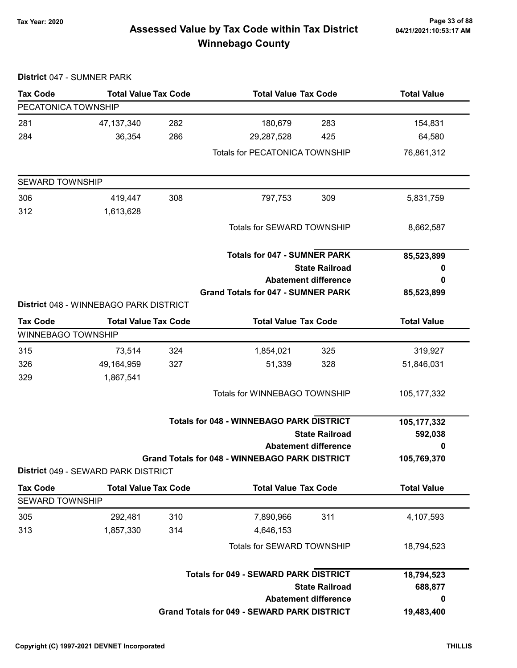# Page 33 of 88 وTax Year: 2020<br>Assessed Value by Tax Code within Tax District هو Assessed Value by Tax Code within Tax District Winnebago County

| District 047 - SUMNER PARK |                                        |     |                                                       |                             |                    |
|----------------------------|----------------------------------------|-----|-------------------------------------------------------|-----------------------------|--------------------|
| <b>Tax Code</b>            | <b>Total Value Tax Code</b>            |     | <b>Total Value Tax Code</b>                           |                             | <b>Total Value</b> |
| PECATONICA TOWNSHIP        |                                        |     |                                                       |                             |                    |
| 281                        | 47, 137, 340                           | 282 | 180,679                                               | 283                         | 154,831            |
| 284                        | 36,354                                 | 286 | 29,287,528                                            | 425                         | 64,580             |
|                            |                                        |     | <b>Totals for PECATONICA TOWNSHIP</b>                 |                             | 76,861,312         |
| <b>SEWARD TOWNSHIP</b>     |                                        |     |                                                       |                             |                    |
| 306                        | 419,447                                | 308 | 797,753                                               | 309                         | 5,831,759          |
| 312                        | 1,613,628                              |     |                                                       |                             |                    |
|                            |                                        |     | Totals for SEWARD TOWNSHIP                            |                             | 8,662,587          |
|                            |                                        |     | <b>Totals for 047 - SUMNER PARK</b>                   |                             | 85,523,899         |
|                            |                                        |     | <b>State Railroad</b>                                 |                             | 0                  |
|                            |                                        |     | <b>Abatement difference</b>                           |                             | 0                  |
|                            | District 048 - WINNEBAGO PARK DISTRICT |     | <b>Grand Totals for 047 - SUMNER PARK</b>             |                             | 85,523,899         |
| <b>Tax Code</b>            | <b>Total Value Tax Code</b>            |     | <b>Total Value Tax Code</b>                           |                             | <b>Total Value</b> |
| <b>WINNEBAGO TOWNSHIP</b>  |                                        |     |                                                       |                             |                    |
| 315                        | 73,514                                 | 324 | 1,854,021                                             | 325                         | 319,927            |
| 326                        | 49,164,959                             | 327 | 51,339                                                | 328                         | 51,846,031         |
| 329                        | 1,867,541                              |     |                                                       |                             |                    |
|                            |                                        |     | <b>Totals for WINNEBAGO TOWNSHIP</b>                  |                             | 105, 177, 332      |
|                            |                                        |     | <b>Totals for 048 - WINNEBAGO PARK DISTRICT</b>       |                             | 105,177,332        |
|                            |                                        |     | <b>State Railroad</b>                                 |                             | 592,038            |
|                            |                                        |     |                                                       | <b>Abatement difference</b> | 0                  |
|                            | District 049 - SEWARD PARK DISTRICT    |     | <b>Grand Totals for 048 - WINNEBAGO PARK DISTRICT</b> |                             | 105,769,370        |
| <b>Tax Code</b>            | <b>Total Value Tax Code</b>            |     | <b>Total Value Tax Code</b>                           |                             | <b>Total Value</b> |
| <b>SEWARD TOWNSHIP</b>     |                                        |     |                                                       |                             |                    |
| 305                        | 292,481                                | 310 | 7,890,966                                             | 311                         | 4,107,593          |
| 313                        | 1,857,330                              | 314 | 4,646,153                                             |                             |                    |
|                            |                                        |     | Totals for SEWARD TOWNSHIP                            |                             | 18,794,523         |
|                            |                                        |     | <b>Totals for 049 - SEWARD PARK DISTRICT</b>          |                             | 18,794,523         |
|                            |                                        |     | <b>State Railroad</b>                                 |                             | 688,877            |
|                            |                                        |     | <b>Abatement difference</b>                           | 0                           |                    |
|                            |                                        |     | Grand Totals for 049 - SEWARD PARK DISTRICT           |                             | 19,483,400         |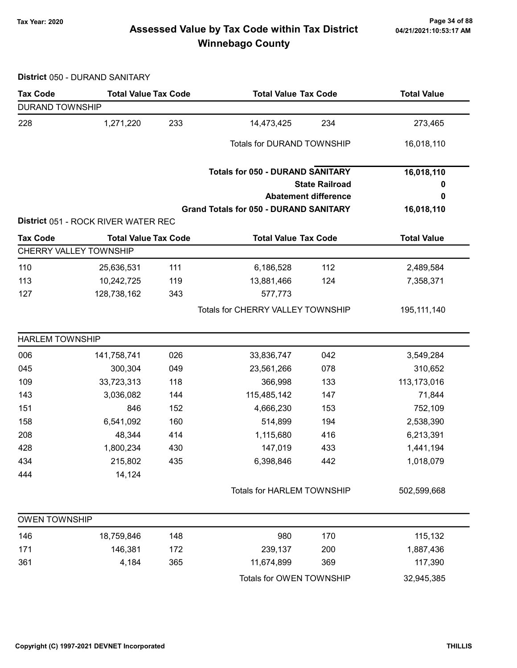# Page 34 of 88 وTax Year: 2020<br>Assessed Value by Tax Code within Tax District هو Assessed Value by Tax Code within Tax District Winnebago County

District 050 - DURAND SANITARY

| <b>Tax Code</b>        | <b>Total Value Tax Code</b>         |                             | <b>Total Value Tax Code</b>                   |     | <b>Total Value</b> |
|------------------------|-------------------------------------|-----------------------------|-----------------------------------------------|-----|--------------------|
| <b>DURAND TOWNSHIP</b> |                                     |                             |                                               |     |                    |
| 228                    | 1,271,220                           | 233                         | 14,473,425                                    | 234 | 273,465            |
|                        |                                     |                             | <b>Totals for DURAND TOWNSHIP</b>             |     | 16,018,110         |
|                        |                                     |                             | <b>Totals for 050 - DURAND SANITARY</b>       |     | 16,018,110         |
|                        |                                     |                             | <b>State Railroad</b>                         | 0   |                    |
|                        |                                     | <b>Abatement difference</b> |                                               |     |                    |
|                        |                                     |                             | <b>Grand Totals for 050 - DURAND SANITARY</b> |     | 16,018,110         |
|                        | District 051 - ROCK RIVER WATER REC |                             |                                               |     |                    |
| <b>Tax Code</b>        | <b>Total Value Tax Code</b>         |                             | <b>Total Value Tax Code</b>                   |     | <b>Total Value</b> |
|                        | <b>CHERRY VALLEY TOWNSHIP</b>       |                             |                                               |     |                    |
| 110                    | 25,636,531                          | 111                         | 6,186,528                                     | 112 | 2,489,584          |
| 113                    | 10,242,725                          | 119                         | 13,881,466                                    | 124 | 7,358,371          |
| 127                    | 128,738,162                         | 343                         | 577,773                                       |     |                    |
|                        |                                     |                             | Totals for CHERRY VALLEY TOWNSHIP             |     | 195, 111, 140      |
| <b>HARLEM TOWNSHIP</b> |                                     |                             |                                               |     |                    |
| 006                    | 141,758,741                         | 026                         | 33,836,747                                    | 042 | 3,549,284          |
| 045                    | 300,304                             | 049                         | 23,561,266                                    | 078 | 310,652            |
| 109                    | 33,723,313                          | 118                         | 366,998                                       | 133 | 113,173,016        |
| 143                    | 3,036,082                           | 144                         | 115,485,142                                   | 147 | 71,844             |
| 151                    | 846                                 | 152                         | 4,666,230                                     | 153 | 752,109            |
| 158                    | 6,541,092                           | 160                         | 514,899                                       | 194 | 2,538,390          |
| 208                    | 48,344                              | 414                         | 1,115,680                                     | 416 | 6,213,391          |
| 428                    | 1,800,234                           | 430                         | 147,019                                       | 433 | 1,441,194          |
| 434                    | 215,802                             | 435                         | 6,398,846                                     | 442 | 1,018,079          |
| 444                    | 14,124                              |                             |                                               |     |                    |
|                        |                                     |                             | Totals for HARLEM TOWNSHIP                    |     | 502,599,668        |
| <b>OWEN TOWNSHIP</b>   |                                     |                             |                                               |     |                    |
| 146                    | 18,759,846                          | 148                         | 980                                           | 170 | 115,132            |
| 171                    | 146,381                             | 172                         | 239,137                                       | 200 | 1,887,436          |
| 361                    | 4,184                               | 365                         | 11,674,899                                    | 369 | 117,390            |
|                        |                                     |                             | Totals for OWEN TOWNSHIP                      |     | 32,945,385         |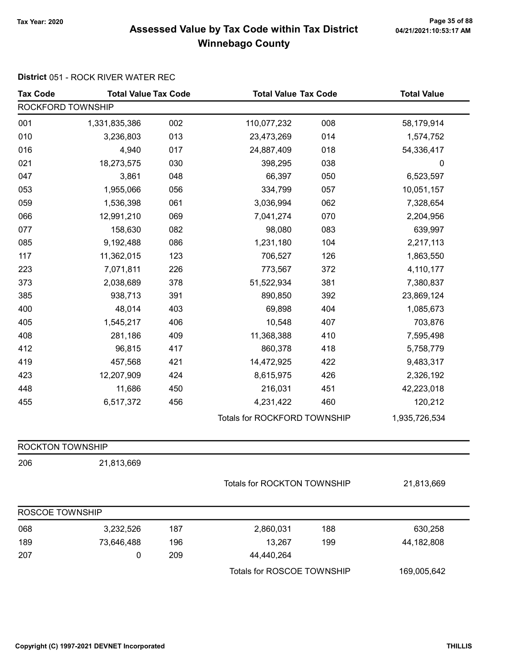# Page 35 of 88 وTax Year: 2020<br>Assessed Value by Tax Code within Tax District هو Assessed Value by Tax Code within Tax District Winnebago County

#### District 051 - ROCK RIVER WATER REC

| <b>Tax Code</b>         | <b>Total Value Tax Code</b> |     |                              | <b>Total Value Tax Code</b> |               |
|-------------------------|-----------------------------|-----|------------------------------|-----------------------------|---------------|
| ROCKFORD TOWNSHIP       |                             |     |                              |                             |               |
| 001                     | 1,331,835,386               | 002 | 110,077,232                  | 008                         | 58,179,914    |
| 010                     | 3,236,803                   | 013 | 23,473,269                   | 014                         | 1,574,752     |
| 016                     | 4,940                       | 017 | 24,887,409                   | 018                         | 54,336,417    |
| 021                     | 18,273,575                  | 030 | 398,295                      | 038                         | $\pmb{0}$     |
| 047                     | 3,861                       | 048 | 66,397                       | 050                         | 6,523,597     |
| 053                     | 1,955,066                   | 056 | 334,799                      | 057                         | 10,051,157    |
| 059                     | 1,536,398                   | 061 | 3,036,994                    | 062                         | 7,328,654     |
| 066                     | 12,991,210                  | 069 | 7,041,274                    | 070                         | 2,204,956     |
| 077                     | 158,630                     | 082 | 98,080                       | 083                         | 639,997       |
| 085                     | 9,192,488                   | 086 | 1,231,180                    | 104                         | 2,217,113     |
| 117                     | 11,362,015                  | 123 | 706,527                      | 126                         | 1,863,550     |
| 223                     | 7,071,811                   | 226 | 773,567                      | 372                         | 4,110,177     |
| 373                     | 2,038,689                   | 378 | 51,522,934                   | 381                         | 7,380,837     |
| 385                     | 938,713                     | 391 | 890,850                      | 392                         | 23,869,124    |
| 400                     | 48,014                      | 403 | 69,898                       | 404                         | 1,085,673     |
| 405                     | 1,545,217                   | 406 | 10,548                       | 407                         | 703,876       |
| 408                     | 281,186                     | 409 | 11,368,388                   | 410                         | 7,595,498     |
| 412                     | 96,815                      | 417 | 860,378                      | 418                         | 5,758,779     |
| 419                     | 457,568                     | 421 | 14,472,925                   | 422                         | 9,483,317     |
| 423                     | 12,207,909                  | 424 | 8,615,975                    | 426                         | 2,326,192     |
| 448                     | 11,686                      | 450 | 216,031                      | 451                         | 42,223,018    |
| 455                     | 6,517,372                   | 456 | 4,231,422                    | 460                         | 120,212       |
|                         |                             |     | Totals for ROCKFORD TOWNSHIP |                             | 1,935,726,534 |
| <b>ROCKTON TOWNSHIP</b> |                             |     |                              |                             |               |
| 206                     | 21,813,669                  |     |                              |                             |               |
|                         |                             |     | Totals for ROCKTON TOWNSHIP  |                             | 21,813,669    |
| ROSCOE TOWNSHIP         |                             |     |                              |                             |               |
| 068                     | 3,232,526                   | 187 | 2,860,031                    | 188                         | 630,258       |
| 189                     | 73,646,488                  | 196 | 13,267                       | 199                         | 44,182,808    |
| 207                     | 0                           | 209 | 44,440,264                   |                             |               |
|                         |                             |     | Totals for ROSCOE TOWNSHIP   |                             | 169,005,642   |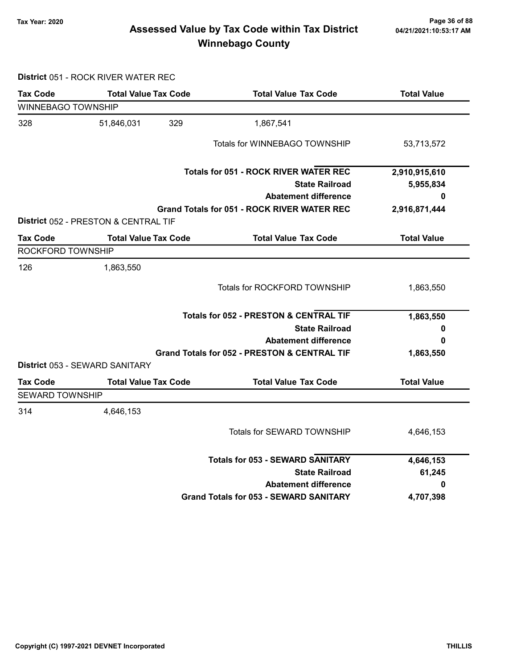# Page 36 of 88 وTax Year: 2020<br>Assessed Value by Tax Code within Tax District هو Assessed Value by Tax Code within Tax District Winnebago County

District 051 - ROCK RIVER WATER REC

| Tax Code                  | <b>Total Value Tax Code</b>                                         | <b>Total Value Tax Code</b>                             | <b>Total Value</b> |
|---------------------------|---------------------------------------------------------------------|---------------------------------------------------------|--------------------|
| <b>WINNEBAGO TOWNSHIP</b> |                                                                     |                                                         |                    |
| 328                       | 329<br>51,846,031                                                   | 1,867,541                                               |                    |
|                           |                                                                     | Totals for WINNEBAGO TOWNSHIP                           | 53,713,572         |
|                           |                                                                     | <b>Totals for 051 - ROCK RIVER WATER REC</b>            | 2,910,915,610      |
|                           |                                                                     | <b>State Railroad</b>                                   | 5,955,834          |
|                           |                                                                     | <b>Abatement difference</b>                             | 0                  |
|                           |                                                                     | <b>Grand Totals for 051 - ROCK RIVER WATER REC</b>      | 2,916,871,444      |
| <b>Tax Code</b>           | District 052 - PRESTON & CENTRAL TIF<br><b>Total Value Tax Code</b> | <b>Total Value Tax Code</b>                             | <b>Total Value</b> |
| ROCKFORD TOWNSHIP         |                                                                     |                                                         |                    |
|                           |                                                                     |                                                         |                    |
| 126                       | 1,863,550                                                           |                                                         |                    |
|                           |                                                                     | Totals for ROCKFORD TOWNSHIP                            | 1,863,550          |
|                           |                                                                     | <b>Totals for 052 - PRESTON &amp; CENTRAL TIF</b>       | 1,863,550          |
|                           |                                                                     | <b>State Railroad</b>                                   | 0                  |
|                           | <b>Abatement difference</b>                                         |                                                         |                    |
|                           |                                                                     | <b>Grand Totals for 052 - PRESTON &amp; CENTRAL TIF</b> | 1,863,550          |
|                           | District 053 - SEWARD SANITARY                                      |                                                         |                    |
| <b>Tax Code</b>           | <b>Total Value Tax Code</b>                                         | <b>Total Value Tax Code</b>                             | <b>Total Value</b> |
| <b>SEWARD TOWNSHIP</b>    |                                                                     |                                                         |                    |
| 314                       | 4,646,153                                                           |                                                         |                    |
|                           |                                                                     | Totals for SEWARD TOWNSHIP                              | 4,646,153          |
|                           |                                                                     | <b>Totals for 053 - SEWARD SANITARY</b>                 | 4,646,153          |
|                           |                                                                     | <b>State Railroad</b>                                   | 61,245             |
|                           |                                                                     | <b>Abatement difference</b>                             | 0                  |
|                           |                                                                     | <b>Grand Totals for 053 - SEWARD SANITARY</b>           | 4,707,398          |
|                           |                                                                     |                                                         |                    |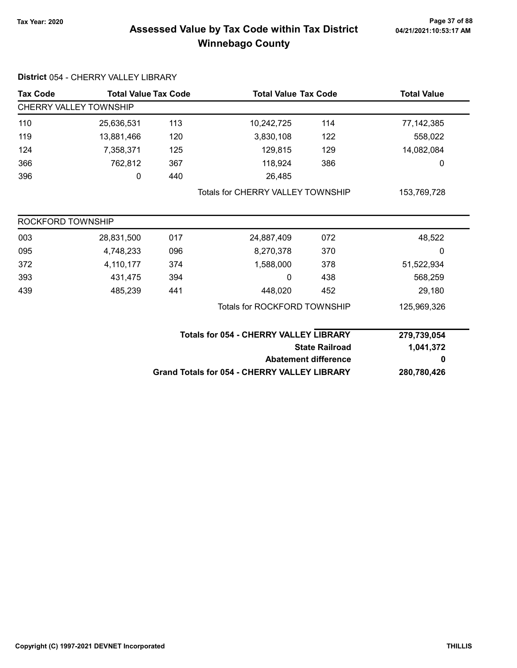# Page 37 of 88 وTax Year: 2020<br>Assessed Value by Tax Code within Tax District هو Assessed Value by Tax Code within Tax District Winnebago County

| <b>Tax Code</b>               | <b>Total Value Tax Code</b> |     | <b>Total Value Tax Code</b>                         |                             | <b>Total Value</b> |  |  |
|-------------------------------|-----------------------------|-----|-----------------------------------------------------|-----------------------------|--------------------|--|--|
| <b>CHERRY VALLEY TOWNSHIP</b> |                             |     |                                                     |                             |                    |  |  |
| 110                           | 25,636,531                  | 113 | 10,242,725                                          | 114                         | 77, 142, 385       |  |  |
| 119                           | 13,881,466                  | 120 | 3,830,108                                           | 122                         | 558,022            |  |  |
| 124                           | 7,358,371                   | 125 | 129,815                                             | 129                         | 14,082,084         |  |  |
| 366                           | 762,812                     | 367 | 118,924                                             | 386                         | 0                  |  |  |
| 396                           | 0                           | 440 | 26,485                                              |                             |                    |  |  |
|                               |                             |     | <b>Totals for CHERRY VALLEY TOWNSHIP</b>            |                             | 153,769,728        |  |  |
| ROCKFORD TOWNSHIP             |                             |     |                                                     |                             |                    |  |  |
| 003                           | 28,831,500                  | 017 | 24,887,409                                          | 072                         | 48,522             |  |  |
| 095                           | 4,748,233                   | 096 | 8,270,378                                           | 370                         | 0                  |  |  |
| 372                           | 4,110,177                   | 374 | 1,588,000                                           | 378                         | 51,522,934         |  |  |
| 393                           | 431,475                     | 394 | 0                                                   | 438                         | 568,259            |  |  |
| 439                           | 485,239                     | 441 | 448,020                                             | 452                         | 29,180             |  |  |
|                               |                             |     | <b>Totals for ROCKFORD TOWNSHIP</b>                 |                             | 125,969,326        |  |  |
|                               |                             |     | <b>Totals for 054 - CHERRY VALLEY LIBRARY</b>       |                             | 279,739,054        |  |  |
|                               |                             |     |                                                     | <b>State Railroad</b>       | 1,041,372          |  |  |
|                               |                             |     |                                                     | <b>Abatement difference</b> | 0                  |  |  |
|                               |                             |     | <b>Grand Totals for 054 - CHERRY VALLEY LIBRARY</b> |                             | 280,780,426        |  |  |

District 054 - CHERRY VALLEY LIBRARY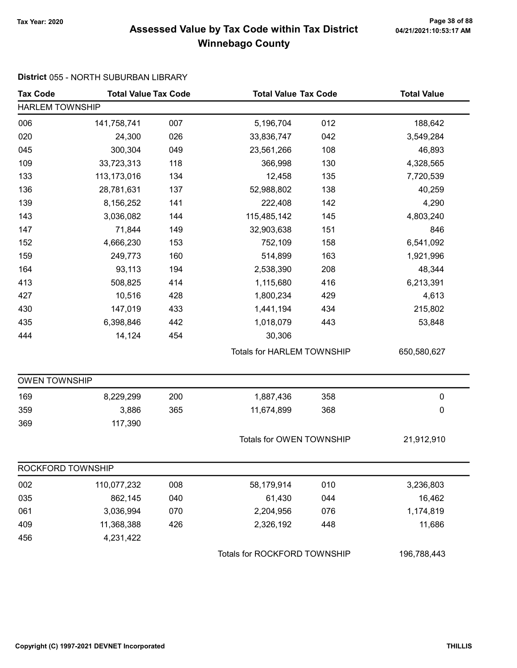# Page 38 of 88 مع Page 38 of 88<br>Assessed Value by Tax Code within Tax District مع Assessed Value by Tax Code within Tax District Winnebago County

#### District 055 - NORTH SUBURBAN LIBRARY

| <b>Tax Code</b>      | <b>Total Value Tax Code</b> |     |                                   | <b>Total Value Tax Code</b> |             |  |  |  |  |
|----------------------|-----------------------------|-----|-----------------------------------|-----------------------------|-------------|--|--|--|--|
|                      | <b>HARLEM TOWNSHIP</b>      |     |                                   |                             |             |  |  |  |  |
| 006                  | 141,758,741                 | 007 | 5,196,704                         | 012                         | 188,642     |  |  |  |  |
| 020                  | 24,300                      | 026 | 33,836,747                        | 042                         | 3,549,284   |  |  |  |  |
| 045                  | 300,304                     | 049 | 23,561,266                        | 108                         | 46,893      |  |  |  |  |
| 109                  | 33,723,313                  | 118 | 366,998                           | 130                         | 4,328,565   |  |  |  |  |
| 133                  | 113,173,016                 | 134 | 12,458                            | 135                         | 7,720,539   |  |  |  |  |
| 136                  | 28,781,631                  | 137 | 52,988,802                        | 138                         | 40,259      |  |  |  |  |
| 139                  | 8,156,252                   | 141 | 222,408                           | 142                         | 4,290       |  |  |  |  |
| 143                  | 3,036,082                   | 144 | 115,485,142                       | 145                         | 4,803,240   |  |  |  |  |
| 147                  | 71,844                      | 149 | 32,903,638                        | 151                         | 846         |  |  |  |  |
| 152                  | 4,666,230                   | 153 | 752,109                           | 158                         | 6,541,092   |  |  |  |  |
| 159                  | 249,773                     | 160 | 514,899                           | 163                         | 1,921,996   |  |  |  |  |
| 164                  | 93,113                      | 194 | 2,538,390                         | 208                         | 48,344      |  |  |  |  |
| 413                  | 508,825                     | 414 | 1,115,680                         | 416                         | 6,213,391   |  |  |  |  |
| 427                  | 10,516                      | 428 | 1,800,234                         | 429                         | 4,613       |  |  |  |  |
| 430                  | 147,019                     | 433 | 1,441,194                         | 434                         | 215,802     |  |  |  |  |
| 435                  | 6,398,846                   | 442 | 1,018,079                         | 443                         | 53,848      |  |  |  |  |
| 444                  | 14,124                      | 454 | 30,306                            |                             |             |  |  |  |  |
|                      |                             |     | <b>Totals for HARLEM TOWNSHIP</b> |                             | 650,580,627 |  |  |  |  |
| <b>OWEN TOWNSHIP</b> |                             |     |                                   |                             |             |  |  |  |  |
| 169                  | 8,229,299                   | 200 | 1,887,436                         | 358                         | $\pmb{0}$   |  |  |  |  |
| 359                  | 3,886                       | 365 | 11,674,899                        | 368                         | 0           |  |  |  |  |
| 369                  | 117,390                     |     |                                   |                             |             |  |  |  |  |
|                      |                             |     | Totals for OWEN TOWNSHIP          |                             | 21,912,910  |  |  |  |  |
| ROCKFORD TOWNSHIP    |                             |     |                                   |                             |             |  |  |  |  |
| 002                  | 110,077,232                 | 008 | 58,179,914                        | 010                         | 3,236,803   |  |  |  |  |
| 035                  | 862,145                     | 040 | 61,430                            | 044                         | 16,462      |  |  |  |  |
| 061                  | 3,036,994                   | 070 | 2,204,956                         | 076                         | 1,174,819   |  |  |  |  |
| 409                  | 11,368,388                  | 426 | 2,326,192                         | 448                         | 11,686      |  |  |  |  |
| 456                  | 4,231,422                   |     |                                   |                             |             |  |  |  |  |
|                      |                             |     | Totals for ROCKFORD TOWNSHIP      |                             | 196,788,443 |  |  |  |  |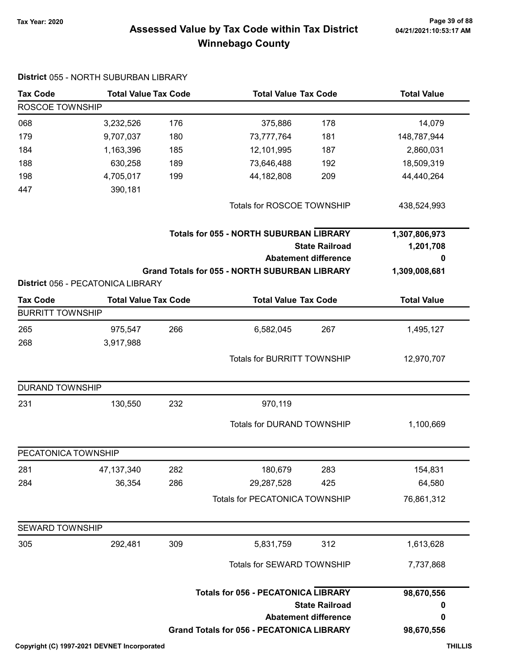# Page 39 of 88 وPage 39 of 88<br>Assessed Value by Tax Code within Tax District هو Assessed Value by Tax Code within Tax District Winnebago County

| <b>Tax Code</b>         | <b>Total Value Tax Code</b>       |     |                                                      | <b>Total Value Tax Code</b>                                             |                    |
|-------------------------|-----------------------------------|-----|------------------------------------------------------|-------------------------------------------------------------------------|--------------------|
| ROSCOE TOWNSHIP         |                                   |     |                                                      |                                                                         |                    |
| 068                     | 3,232,526                         | 176 | 375,886                                              | 178                                                                     | 14,079             |
| 179                     | 9,707,037                         | 180 | 73,777,764                                           | 181                                                                     | 148,787,944        |
| 184                     | 1,163,396                         | 185 | 12,101,995                                           | 187                                                                     | 2,860,031          |
| 188                     | 630,258                           | 189 | 73,646,488                                           | 192                                                                     | 18,509,319         |
| 198                     | 4,705,017                         | 199 | 44,182,808                                           | 209                                                                     | 44,440,264         |
| 447                     | 390,181                           |     |                                                      |                                                                         |                    |
|                         |                                   |     | Totals for ROSCOE TOWNSHIP                           |                                                                         | 438,524,993        |
|                         |                                   |     |                                                      | <b>Totals for 055 - NORTH SUBURBAN LIBRARY</b><br><b>State Railroad</b> |                    |
|                         |                                   |     |                                                      | <b>Abatement difference</b>                                             | 0                  |
|                         |                                   |     | <b>Grand Totals for 055 - NORTH SUBURBAN LIBRARY</b> |                                                                         | 1,309,008,681      |
|                         | District 056 - PECATONICA LIBRARY |     |                                                      |                                                                         |                    |
| <b>Tax Code</b>         | <b>Total Value Tax Code</b>       |     | <b>Total Value Tax Code</b>                          |                                                                         | <b>Total Value</b> |
| <b>BURRITT TOWNSHIP</b> |                                   |     |                                                      |                                                                         |                    |
| 265                     | 975,547                           | 266 | 6,582,045                                            | 267                                                                     | 1,495,127          |
| 268                     | 3,917,988                         |     |                                                      |                                                                         |                    |
|                         |                                   |     | <b>Totals for BURRITT TOWNSHIP</b>                   |                                                                         | 12,970,707         |
| <b>DURAND TOWNSHIP</b>  |                                   |     |                                                      |                                                                         |                    |
| 231                     | 130,550                           | 232 | 970,119                                              |                                                                         |                    |
|                         |                                   |     |                                                      | Totals for DURAND TOWNSHIP                                              |                    |
| PECATONICA TOWNSHIP     |                                   |     |                                                      |                                                                         |                    |
| 281                     | 47, 137, 340                      | 282 | 180,679                                              | 283                                                                     | 154,831            |
| 284                     | 36,354                            | 286 | 29,287,528                                           | 425                                                                     | 64,580             |
|                         |                                   |     | Totals for PECATONICA TOWNSHIP                       |                                                                         | 76,861,312         |
| <b>SEWARD TOWNSHIP</b>  |                                   |     |                                                      |                                                                         |                    |
| 305                     | 292,481                           | 309 | 5,831,759                                            | 312                                                                     | 1,613,628          |
|                         |                                   |     |                                                      | Totals for SEWARD TOWNSHIP                                              |                    |
|                         |                                   |     | <b>Totals for 056 - PECATONICA LIBRARY</b>           |                                                                         | 98,670,556         |
|                         |                                   |     |                                                      | <b>State Railroad</b>                                                   | 0                  |
|                         |                                   |     |                                                      | <b>Abatement difference</b>                                             | 0                  |
|                         |                                   |     | <b>Grand Totals for 056 - PECATONICA LIBRARY</b>     |                                                                         | 98,670,556         |

#### District 055 - NORTH SUBURBAN LIBRARY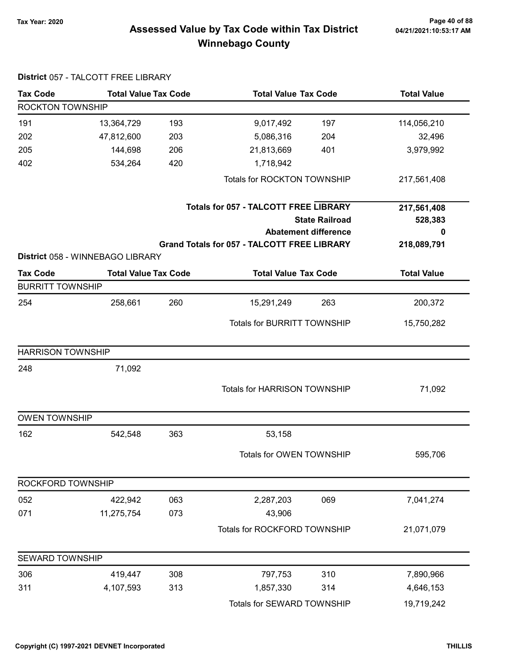# Page 40 of 88 مع Page 40 of 88<br>Assessed Value by Tax Code within Tax District مع Assessed Value by Tax Code within Tax District Winnebago County

| <b>Tax Code</b>          | <b>Total Value Tax Code</b>      |     |                                                    | <b>Total Value Tax Code</b> |                    |
|--------------------------|----------------------------------|-----|----------------------------------------------------|-----------------------------|--------------------|
| ROCKTON TOWNSHIP         |                                  |     |                                                    |                             |                    |
| 191                      | 13,364,729                       | 193 | 9,017,492                                          | 197                         | 114,056,210        |
| 202                      | 47,812,600                       | 203 | 5,086,316                                          | 204                         | 32,496             |
| 205                      | 144,698                          | 206 | 21,813,669                                         | 401                         | 3,979,992          |
| 402                      | 534,264                          | 420 | 1,718,942                                          |                             |                    |
|                          |                                  |     | <b>Totals for ROCKTON TOWNSHIP</b>                 |                             | 217,561,408        |
|                          |                                  |     | <b>Totals for 057 - TALCOTT FREE LIBRARY</b>       |                             | 217,561,408        |
|                          |                                  |     |                                                    | <b>State Railroad</b>       | 528,383            |
|                          |                                  |     |                                                    | <b>Abatement difference</b> | 0                  |
|                          |                                  |     | <b>Grand Totals for 057 - TALCOTT FREE LIBRARY</b> |                             | 218,089,791        |
|                          | District 058 - WINNEBAGO LIBRARY |     |                                                    |                             |                    |
| <b>Tax Code</b>          | <b>Total Value Tax Code</b>      |     | <b>Total Value Tax Code</b>                        |                             | <b>Total Value</b> |
| <b>BURRITT TOWNSHIP</b>  |                                  |     |                                                    |                             |                    |
| 254                      | 258,661                          | 260 | 15,291,249                                         | 263                         | 200,372            |
|                          |                                  |     | <b>Totals for BURRITT TOWNSHIP</b>                 |                             | 15,750,282         |
| <b>HARRISON TOWNSHIP</b> |                                  |     |                                                    |                             |                    |
| 248                      | 71,092                           |     |                                                    |                             |                    |
|                          |                                  |     | <b>Totals for HARRISON TOWNSHIP</b>                |                             | 71,092             |
| <b>OWEN TOWNSHIP</b>     |                                  |     |                                                    |                             |                    |
| 162                      | 542,548                          | 363 | 53,158                                             |                             |                    |
|                          |                                  |     | Totals for OWEN TOWNSHIP                           |                             | 595,706            |
| ROCKFORD TOWNSHIP        |                                  |     |                                                    |                             |                    |
| 052                      | 422,942                          | 063 | 2,287,203                                          | 069                         | 7,041,274          |
| 071                      | 11,275,754                       | 073 | 43,906                                             |                             |                    |
|                          |                                  |     | Totals for ROCKFORD TOWNSHIP                       |                             | 21,071,079         |
| <b>SEWARD TOWNSHIP</b>   |                                  |     |                                                    |                             |                    |
| 306                      | 419,447                          | 308 | 797,753                                            | 310                         | 7,890,966          |
| 311                      | 4,107,593                        | 313 | 1,857,330                                          | 314                         | 4,646,153          |
|                          |                                  |     | Totals for SEWARD TOWNSHIP                         |                             | 19,719,242         |

#### District 057 - TALCOTT FREE LIBRARY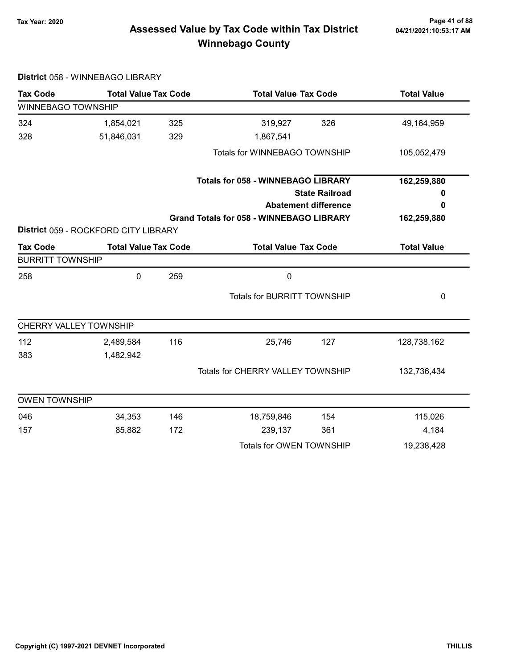# Page 41 of 88<br>Assessed Value by Tax Code within Tax District <sub>04/21/2021:10:53:17 AM</sub> Winnebago County

| <b>Tax Code</b>         | <b>Total Value Tax Code</b>          |     | <b>Total Value Tax Code</b>                     |                             | <b>Total Value</b> |  |  |
|-------------------------|--------------------------------------|-----|-------------------------------------------------|-----------------------------|--------------------|--|--|
| WINNEBAGO TOWNSHIP      |                                      |     |                                                 |                             |                    |  |  |
| 324                     | 1,854,021                            | 325 | 319,927                                         | 326                         | 49,164,959         |  |  |
| 328                     | 51,846,031                           | 329 | 1,867,541                                       |                             |                    |  |  |
|                         |                                      |     | Totals for WINNEBAGO TOWNSHIP                   |                             | 105,052,479        |  |  |
|                         |                                      |     | <b>Totals for 058 - WINNEBAGO LIBRARY</b>       |                             | 162,259,880        |  |  |
|                         |                                      |     |                                                 | <b>State Railroad</b>       | 0                  |  |  |
|                         |                                      |     |                                                 | <b>Abatement difference</b> | 0                  |  |  |
|                         | District 059 - ROCKFORD CITY LIBRARY |     | <b>Grand Totals for 058 - WINNEBAGO LIBRARY</b> |                             | 162,259,880        |  |  |
|                         |                                      |     |                                                 |                             | <b>Total Value</b> |  |  |
| <b>Tax Code</b>         | <b>Total Value Tax Code</b>          |     |                                                 | <b>Total Value Tax Code</b> |                    |  |  |
| <b>BURRITT TOWNSHIP</b> |                                      |     |                                                 |                             |                    |  |  |
| 258                     | 0                                    | 259 | $\mathbf 0$                                     |                             |                    |  |  |
|                         |                                      |     | <b>Totals for BURRITT TOWNSHIP</b>              |                             | 0                  |  |  |
| CHERRY VALLEY TOWNSHIP  |                                      |     |                                                 |                             |                    |  |  |
| 112                     | 2,489,584                            | 116 | 25,746                                          | 127                         | 128,738,162        |  |  |
| 383                     | 1,482,942                            |     |                                                 |                             |                    |  |  |
|                         |                                      |     | Totals for CHERRY VALLEY TOWNSHIP               |                             | 132,736,434        |  |  |
| <b>OWEN TOWNSHIP</b>    |                                      |     |                                                 |                             |                    |  |  |
| 046                     | 34,353                               | 146 | 18,759,846                                      | 154                         | 115,026            |  |  |
| 157                     | 85,882                               | 172 | 239,137                                         | 361                         | 4,184              |  |  |
|                         |                                      |     | Totals for OWEN TOWNSHIP                        |                             | 19,238,428         |  |  |

District 058 - WINNEBAGO LIBRARY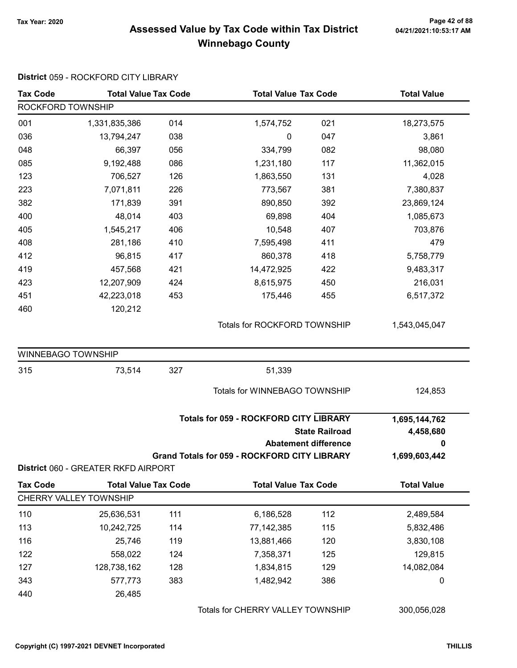#### Page 42 of 88 مع Page 42 of 88<br>Assessed Value by Tax Code within Tax District مع Assessed Value by Tax Code Winnebago County

#### Tax Code Total Value Tax Code Total Value Tax Code Total Value ROCKFORD TOWNSHIP 001 1,331,835,386 014 1,574,752 021 18,273,575 036 13,794,247 038 0 047 3,861 048 66,397 056 334,799 082 98,080 085 9,192,488 086 1,231,180 117 11,362,015 123 706,527 126 1,863,550 131 4,028 223 7,071,811 226 773,567 381 7,380,837 382 171,839 890,850 391 392 23,869,124 400 48,014 69,898 403 404 1,085,673 405 1,545,217 10,548 406 407 703,876 408 281,186 7,595,498 410 411 479 412 96,815 860,378 417 418 5,758,779 419 457,568 421 14,472,925 422 9,483,317 423 12,207,909 8,615,975 424 450 216,031 451 42,223,018 175,446 453 455 6,517,372 460 120,212 Totals for ROCKFORD TOWNSHIP 1,543,045,047 WINNEBAGO TOWNSHIP 315 73,514 51,339 327 Totals for WINNEBAGO TOWNSHIP 124,853 State Railroad Totals for 059 - ROCKFORD CITY LIBRARY Abatement difference Grand Totals for 059 - ROCKFORD CITY LIBRARY 1,695,144,762 4,458,680 0 1,699,603,442 District 060 - GREATER RKFD AIRPORT Tax Code Total Value Tax Code Total Value Tax Code Total Value Tax Code Total Value CHERRY VALLEY TOWNSHIP 110 25,636,531 111 6,186,528 112 2,489,584 113 10,242,725 77,142,385 114 115 5,832,486 116 25,746 13,881,466 119 120 3,830,108 122 558,022 124 7,358,371 125 129,815 127 128,738,162 1,834,815 128 129 14,082,084

343 577,773 383 1,482,942 386 0

District 059 - ROCKFORD CITY LIBRARY

Totals for CHERRY VALLEY TOWNSHIP 300,056,028

440 26,485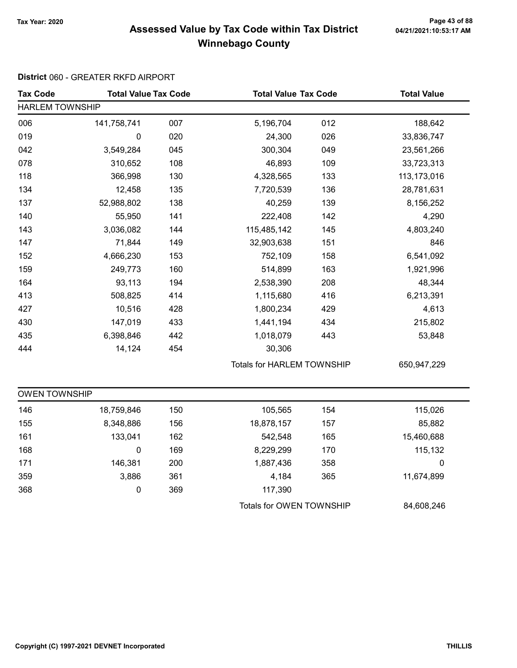# Page 43 of 88 مع Page 43 of 88<br>Assessed Value by Tax Code within Tax District مع Assessed Value by Tax Code Winnebago County

#### District 060 - GREATER RKFD AIRPORT

| <b>Tax Code</b>        | <b>Total Value Tax Code</b> |     |                                   | <b>Total Value Tax Code</b> |             |
|------------------------|-----------------------------|-----|-----------------------------------|-----------------------------|-------------|
| <b>HARLEM TOWNSHIP</b> |                             |     |                                   |                             |             |
| 006                    | 141,758,741                 | 007 | 5,196,704                         | 012                         | 188,642     |
| 019                    | 0                           | 020 | 24,300                            | 026                         | 33,836,747  |
| 042                    | 3,549,284                   | 045 | 300,304                           | 049                         | 23,561,266  |
| 078                    | 310,652                     | 108 | 46,893                            | 109                         | 33,723,313  |
| 118                    | 366,998                     | 130 | 4,328,565                         | 133                         | 113,173,016 |
| 134                    | 12,458                      | 135 | 7,720,539                         | 136                         | 28,781,631  |
| 137                    | 52,988,802                  | 138 | 40,259                            | 139                         | 8,156,252   |
| 140                    | 55,950                      | 141 | 222,408                           | 142                         | 4,290       |
| 143                    | 3,036,082                   | 144 | 115,485,142                       | 145                         | 4,803,240   |
| 147                    | 71,844                      | 149 | 32,903,638                        | 151                         | 846         |
| 152                    | 4,666,230                   | 153 | 752,109                           | 158                         | 6,541,092   |
| 159                    | 249,773                     | 160 | 514,899                           | 163                         | 1,921,996   |
| 164                    | 93,113                      | 194 | 2,538,390                         | 208                         | 48,344      |
| 413                    | 508,825                     | 414 | 1,115,680                         | 416                         | 6,213,391   |
| 427                    | 10,516                      | 428 | 1,800,234                         | 429                         | 4,613       |
| 430                    | 147,019                     | 433 | 1,441,194                         | 434                         | 215,802     |
| 435                    | 6,398,846                   | 442 | 1,018,079                         | 443                         | 53,848      |
| 444                    | 14,124                      | 454 | 30,306                            |                             |             |
|                        |                             |     | <b>Totals for HARLEM TOWNSHIP</b> |                             | 650,947,229 |
| <b>OWEN TOWNSHIP</b>   |                             |     |                                   |                             |             |
| 146                    | 18,759,846                  | 150 | 105,565                           | 154                         | 115,026     |
| 155                    | 8,348,886                   | 156 | 18,878,157                        | 157                         | 85,882      |
| 161                    | 133,041                     | 162 | 542,548                           | 165                         | 15,460,688  |
| 168                    | 0                           | 169 | 8,229,299                         | 170                         | 115,132     |
| 171                    | 146,381                     | 200 | 1,887,436                         | 358                         | 0           |
| 359                    | 3,886                       | 361 | 4,184                             | 365                         | 11,674,899  |
| 368                    | 0                           | 369 | 117,390                           |                             |             |
|                        |                             |     | Totals for OWEN TOWNSHIP          |                             | 84,608,246  |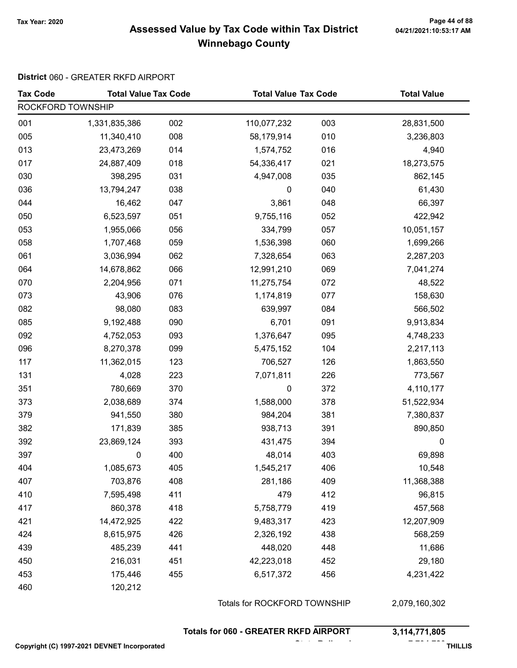#### Tax Year: 2020 Page 44 of 88 Assessed Value by Tax Code within Tax District Winnebago County

#### District 060 - GREATER RKFD AIRPORT

| <b>Tax Code</b>   | <b>Total Value Tax Code</b> |     | <b>Total Value Tax Code</b>  |     | <b>Total Value</b> |
|-------------------|-----------------------------|-----|------------------------------|-----|--------------------|
| ROCKFORD TOWNSHIP |                             |     |                              |     |                    |
| 001               | 1,331,835,386               | 002 | 110,077,232                  | 003 | 28,831,500         |
| 005               | 11,340,410                  | 008 | 58,179,914                   | 010 | 3,236,803          |
| 013               | 23,473,269                  | 014 | 1,574,752                    | 016 | 4,940              |
| 017               | 24,887,409                  | 018 | 54,336,417                   | 021 | 18,273,575         |
| 030               | 398,295                     | 031 | 4,947,008                    | 035 | 862,145            |
| 036               | 13,794,247                  | 038 | 0                            | 040 | 61,430             |
| 044               | 16,462                      | 047 | 3,861                        | 048 | 66,397             |
| 050               | 6,523,597                   | 051 | 9,755,116                    | 052 | 422,942            |
| 053               | 1,955,066                   | 056 | 334,799                      | 057 | 10,051,157         |
| 058               | 1,707,468                   | 059 | 1,536,398                    | 060 | 1,699,266          |
| 061               | 3,036,994                   | 062 | 7,328,654                    | 063 | 2,287,203          |
| 064               | 14,678,862                  | 066 | 12,991,210                   | 069 | 7,041,274          |
| 070               | 2,204,956                   | 071 | 11,275,754                   | 072 | 48,522             |
| 073               | 43,906                      | 076 | 1,174,819                    | 077 | 158,630            |
| 082               | 98,080                      | 083 | 639,997                      | 084 | 566,502            |
| 085               | 9,192,488                   | 090 | 6,701                        | 091 | 9,913,834          |
| 092               | 4,752,053                   | 093 | 1,376,647                    | 095 | 4,748,233          |
| 096               | 8,270,378                   | 099 | 5,475,152                    | 104 | 2,217,113          |
| 117               | 11,362,015                  | 123 | 706,527                      | 126 | 1,863,550          |
| 131               | 4,028                       | 223 | 7,071,811                    | 226 | 773,567            |
| 351               | 780,669                     | 370 | $\pmb{0}$                    | 372 | 4,110,177          |
| 373               | 2,038,689                   | 374 | 1,588,000                    | 378 | 51,522,934         |
| 379               | 941,550                     | 380 | 984,204                      | 381 | 7,380,837          |
| 382               | 171,839                     | 385 | 938,713                      | 391 | 890,850            |
| 392               | 23,869,124                  | 393 | 431,475                      | 394 | 0                  |
| 397               | 0                           | 400 | 48,014                       | 403 | 69,898             |
| 404               | 1,085,673                   | 405 | 1,545,217                    | 406 | 10,548             |
| 407               | 703,876                     | 408 | 281,186                      | 409 | 11,368,388         |
| 410               | 7,595,498                   | 411 | 479                          | 412 | 96,815             |
| 417               | 860,378                     | 418 | 5,758,779                    | 419 | 457,568            |
| 421               | 14,472,925                  | 422 | 9,483,317                    | 423 | 12,207,909         |
| 424               | 8,615,975                   | 426 | 2,326,192                    | 438 | 568,259            |
| 439               | 485,239                     | 441 | 448,020                      | 448 | 11,686             |
| 450               | 216,031                     | 451 | 42,223,018                   | 452 | 29,180             |
| 453               | 175,446                     | 455 | 6,517,372                    | 456 | 4,231,422          |
| 460               | 120,212                     |     |                              |     |                    |
|                   |                             |     | Totals for ROCKFORD TOWNSHIP |     | 2,079,160,302      |

Totals for 060 - GREATER RKFD AIRPORT 3,114,771,805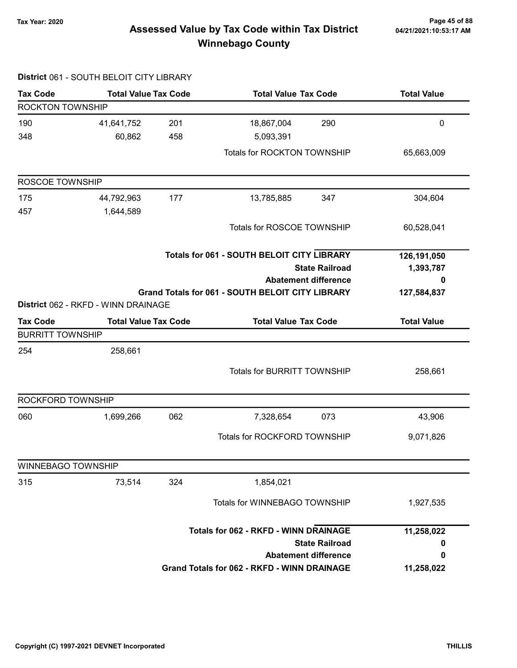# Page 45 of 88 Page 45 of 88<br>Assessed Value by Tax Code within Tax District هي Assessed Value by Tax Code within Tax District Winnebago County

|                           | District 061 - SOUTH BELOIT CITY LIBRARY |     |                                                         |                       |                    |
|---------------------------|------------------------------------------|-----|---------------------------------------------------------|-----------------------|--------------------|
| <b>Tax Code</b>           | <b>Total Value Tax Code</b>              |     | <b>Total Value Tax Code</b>                             |                       | <b>Total Value</b> |
| <b>ROCKTON TOWNSHIP</b>   |                                          |     |                                                         |                       |                    |
| 190                       | 41,641,752                               | 201 | 18,867,004                                              | 290                   | $\mathbf 0$        |
| 348                       | 60,862                                   | 458 | 5,093,391                                               |                       |                    |
|                           |                                          |     | Totals for ROCKTON TOWNSHIP                             |                       | 65,663,009         |
| ROSCOE TOWNSHIP           |                                          |     |                                                         |                       |                    |
| 175                       | 44,792,963                               | 177 | 13,785,885                                              | 347                   | 304,604            |
| 457                       | 1,644,589                                |     |                                                         |                       |                    |
|                           |                                          |     | Totals for ROSCOE TOWNSHIP                              |                       | 60,528,041         |
|                           |                                          |     | <b>Totals for 061 - SOUTH BELOIT CITY LIBRARY</b>       |                       | 126,191,050        |
|                           |                                          |     |                                                         | <b>State Railroad</b> | 1,393,787          |
|                           |                                          |     | <b>Abatement difference</b>                             |                       | 0                  |
|                           | District 062 - RKFD - WINN DRAINAGE      |     | <b>Grand Totals for 061 - SOUTH BELOIT CITY LIBRARY</b> |                       | 127,584,837        |
| <b>Tax Code</b>           | <b>Total Value Tax Code</b>              |     | <b>Total Value Tax Code</b>                             |                       | <b>Total Value</b> |
| <b>BURRITT TOWNSHIP</b>   |                                          |     |                                                         |                       |                    |
| 254                       | 258,661                                  |     |                                                         |                       |                    |
|                           |                                          |     | <b>Totals for BURRITT TOWNSHIP</b>                      |                       | 258,661            |
|                           |                                          |     |                                                         |                       |                    |
| ROCKFORD TOWNSHIP         |                                          |     |                                                         |                       |                    |
| 060                       | 1,699,266                                | 062 | 7,328,654                                               | 073                   | 43,906             |
|                           |                                          |     | Totals for ROCKFORD TOWNSHIP                            |                       | 9,071,826          |
| <b>WINNEBAGO TOWNSHIP</b> |                                          |     |                                                         |                       |                    |
| 315                       | 73,514                                   | 324 | 1,854,021                                               |                       |                    |
|                           |                                          |     | Totals for WINNEBAGO TOWNSHIP                           |                       | 1,927,535          |
|                           |                                          |     | <b>Totals for 062 - RKFD - WINN DRAINAGE</b>            |                       | 11,258,022         |
|                           |                                          |     |                                                         | <b>State Railroad</b> | 0                  |
|                           |                                          |     | <b>Abatement difference</b>                             |                       | 0                  |
|                           |                                          |     | Grand Totals for 062 - RKFD - WINN DRAINAGE             |                       | 11,258,022         |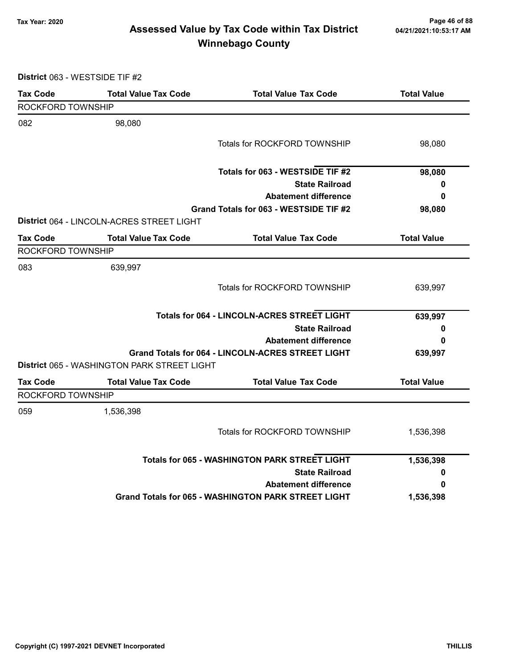# Page 46 of 88 مع Page 46 of 88<br>Assessed Value by Tax Code within Tax District مع Assessed Value by Tax Code Winnebago County

District 063 - WESTSIDE TIF #2

| <b>Tax Code</b>   | <b>Total Value Tax Code</b>                 | <b>Total Value Tax Code</b>                                | <b>Total Value</b> |
|-------------------|---------------------------------------------|------------------------------------------------------------|--------------------|
| ROCKFORD TOWNSHIP |                                             |                                                            |                    |
| 082               | 98,080                                      |                                                            |                    |
|                   |                                             | <b>Totals for ROCKFORD TOWNSHIP</b>                        | 98,080             |
|                   |                                             | Totals for 063 - WESTSIDE TIF #2                           | 98,080             |
|                   |                                             | <b>State Railroad</b>                                      | 0                  |
|                   |                                             | <b>Abatement difference</b>                                | 0                  |
|                   |                                             | Grand Totals for 063 - WESTSIDE TIF #2                     | 98,080             |
|                   | District 064 - LINCOLN-ACRES STREET LIGHT   |                                                            |                    |
| <b>Tax Code</b>   | <b>Total Value Tax Code</b>                 | <b>Total Value Tax Code</b>                                | <b>Total Value</b> |
| ROCKFORD TOWNSHIP |                                             |                                                            |                    |
| 083               | 639,997                                     |                                                            |                    |
|                   |                                             | Totals for ROCKFORD TOWNSHIP                               | 639,997            |
|                   |                                             | <b>Totals for 064 - LINCOLN-ACRES STREET LIGHT</b>         | 639,997            |
|                   |                                             | <b>State Railroad</b>                                      | 0                  |
|                   |                                             | <b>Abatement difference</b>                                | 0                  |
|                   |                                             | <b>Grand Totals for 064 - LINCOLN-ACRES STREET LIGHT</b>   | 639,997            |
|                   | District 065 - WASHINGTON PARK STREET LIGHT |                                                            |                    |
| <b>Tax Code</b>   | <b>Total Value Tax Code</b>                 | <b>Total Value Tax Code</b>                                | <b>Total Value</b> |
| ROCKFORD TOWNSHIP |                                             |                                                            |                    |
| 059               | 1,536,398                                   |                                                            |                    |
|                   |                                             | Totals for ROCKFORD TOWNSHIP                               | 1,536,398          |
|                   |                                             | <b>Totals for 065 - WASHINGTON PARK STREET LIGHT</b>       | 1,536,398          |
|                   |                                             | <b>State Railroad</b>                                      | 0                  |
|                   |                                             | <b>Abatement difference</b>                                | 0                  |
|                   |                                             | <b>Grand Totals for 065 - WASHINGTON PARK STREET LIGHT</b> | 1,536,398          |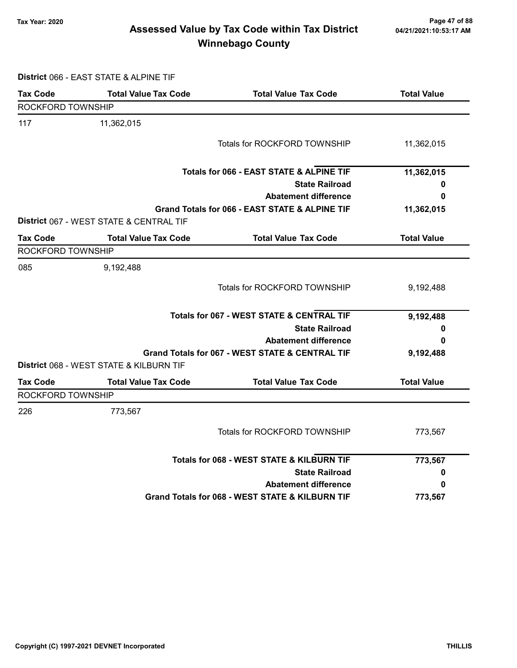# Page 47 of 88 مع Page 47 of 88<br>Assessed Value by Tax Code within Tax District مع Assessed Value by Tax Code Winnebago County

District 066 - EAST STATE & ALPINE TIF

| <b>Tax Code</b>   | <b>Total Value Tax Code</b>             | <b>Total Value Tax Code</b>                          | <b>Total Value</b> |
|-------------------|-----------------------------------------|------------------------------------------------------|--------------------|
| ROCKFORD TOWNSHIP |                                         |                                                      |                    |
| 117               | 11,362,015                              |                                                      |                    |
|                   |                                         | Totals for ROCKFORD TOWNSHIP                         | 11,362,015         |
|                   |                                         | Totals for 066 - EAST STATE & ALPINE TIF             | 11,362,015         |
|                   |                                         | <b>State Railroad</b>                                | 0                  |
|                   |                                         | <b>Abatement difference</b>                          | 0                  |
|                   |                                         | Grand Totals for 066 - EAST STATE & ALPINE TIF       | 11,362,015         |
|                   | District 067 - WEST STATE & CENTRAL TIF |                                                      |                    |
| <b>Tax Code</b>   | <b>Total Value Tax Code</b>             | <b>Total Value Tax Code</b>                          | <b>Total Value</b> |
| ROCKFORD TOWNSHIP |                                         |                                                      |                    |
| 085               | 9,192,488                               |                                                      |                    |
|                   |                                         | Totals for ROCKFORD TOWNSHIP                         | 9,192,488          |
|                   |                                         | <b>Totals for 067 - WEST STATE &amp; CENTRAL TIF</b> | 9,192,488          |
|                   |                                         | <b>State Railroad</b>                                | 0                  |
|                   |                                         | <b>Abatement difference</b>                          | 0                  |
|                   |                                         | Grand Totals for 067 - WEST STATE & CENTRAL TIF      | 9,192,488          |
|                   | District 068 - WEST STATE & KILBURN TIF |                                                      |                    |
| <b>Tax Code</b>   | <b>Total Value Tax Code</b>             | <b>Total Value Tax Code</b>                          | <b>Total Value</b> |
| ROCKFORD TOWNSHIP |                                         |                                                      |                    |
| 226               | 773,567                                 |                                                      |                    |
|                   |                                         | Totals for ROCKFORD TOWNSHIP                         | 773,567            |
|                   |                                         | Totals for 068 - WEST STATE & KILBURN TIF            | 773,567            |
|                   |                                         | <b>State Railroad</b>                                | 0                  |
|                   |                                         | <b>Abatement difference</b>                          | 0                  |
|                   |                                         | Grand Totals for 068 - WEST STATE & KILBURN TIF      | 773,567            |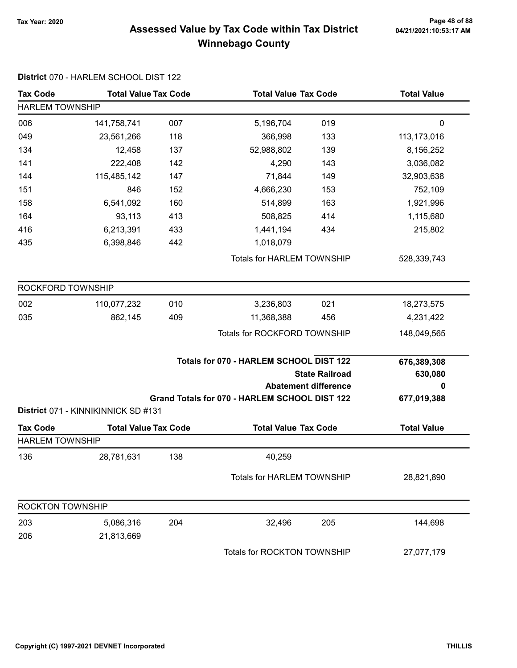# Page 48 of 88 مع Page 48 of 88<br>Assessed Value by Tax Code within Tax District مع Assessed Value by Tax Code Winnebago County

| <b>Tax Code</b>                              | <b>Total Value Tax Code</b>         |     |                                                                                          | <b>Total Value Tax Code</b>                          |                                            |  |  |
|----------------------------------------------|-------------------------------------|-----|------------------------------------------------------------------------------------------|------------------------------------------------------|--------------------------------------------|--|--|
| <b>Total Value</b><br><b>HARLEM TOWNSHIP</b> |                                     |     |                                                                                          |                                                      |                                            |  |  |
| 006                                          | 141,758,741                         | 007 | 5,196,704                                                                                | 019                                                  | $\mathbf 0$                                |  |  |
| 049                                          | 23,561,266                          | 118 | 366,998                                                                                  | 133                                                  | 113,173,016                                |  |  |
| 134                                          | 12,458                              | 137 | 52,988,802                                                                               | 139                                                  | 8,156,252                                  |  |  |
| 141                                          | 222,408                             | 142 | 4,290                                                                                    | 143                                                  | 3,036,082                                  |  |  |
| 144                                          | 115,485,142                         | 147 | 71,844                                                                                   | 149                                                  | 32,903,638                                 |  |  |
| 151                                          | 846                                 | 152 | 4,666,230                                                                                | 153                                                  | 752,109                                    |  |  |
| 158                                          | 6,541,092                           | 160 | 514,899                                                                                  | 163                                                  | 1,921,996                                  |  |  |
| 164                                          | 93,113                              | 413 | 508,825                                                                                  | 414                                                  | 1,115,680                                  |  |  |
| 416                                          | 6,213,391                           | 433 | 1,441,194                                                                                | 434                                                  | 215,802                                    |  |  |
| 435                                          | 6,398,846                           | 442 | 1,018,079                                                                                |                                                      |                                            |  |  |
|                                              |                                     |     | <b>Totals for HARLEM TOWNSHIP</b>                                                        |                                                      | 528,339,743                                |  |  |
| ROCKFORD TOWNSHIP                            |                                     |     |                                                                                          |                                                      |                                            |  |  |
| 002                                          | 110,077,232                         | 010 | 3,236,803                                                                                | 021                                                  | 18,273,575                                 |  |  |
| 035                                          | 862,145                             | 409 | 11,368,388                                                                               | 456                                                  | 4,231,422                                  |  |  |
|                                              |                                     |     | Totals for ROCKFORD TOWNSHIP                                                             |                                                      | 148,049,565                                |  |  |
|                                              |                                     |     | Totals for 070 - HARLEM SCHOOL DIST 122<br>Grand Totals for 070 - HARLEM SCHOOL DIST 122 | <b>State Railroad</b><br><b>Abatement difference</b> | 676,389,308<br>630,080<br>0<br>677,019,388 |  |  |
|                                              | District 071 - KINNIKINNICK SD #131 |     |                                                                                          |                                                      |                                            |  |  |
| <b>Tax Code</b>                              | <b>Total Value Tax Code</b>         |     | <b>Total Value Tax Code</b>                                                              |                                                      | <b>Total Value</b>                         |  |  |
| <b>HARLEM TOWNSHIP</b>                       |                                     |     |                                                                                          |                                                      |                                            |  |  |
| 136                                          | 28,781,631                          | 138 | 40,259                                                                                   |                                                      |                                            |  |  |
|                                              |                                     |     | <b>Totals for HARLEM TOWNSHIP</b>                                                        |                                                      | 28,821,890                                 |  |  |
| <b>ROCKTON TOWNSHIP</b>                      |                                     |     |                                                                                          |                                                      |                                            |  |  |
| 203                                          | 5,086,316                           | 204 | 32,496                                                                                   | 205                                                  | 144,698                                    |  |  |
| 206                                          | 21,813,669                          |     |                                                                                          |                                                      |                                            |  |  |
|                                              |                                     |     | Totals for ROCKTON TOWNSHIP                                                              |                                                      | 27,077,179                                 |  |  |

#### District 070 - HARLEM SCHOOL DIST 122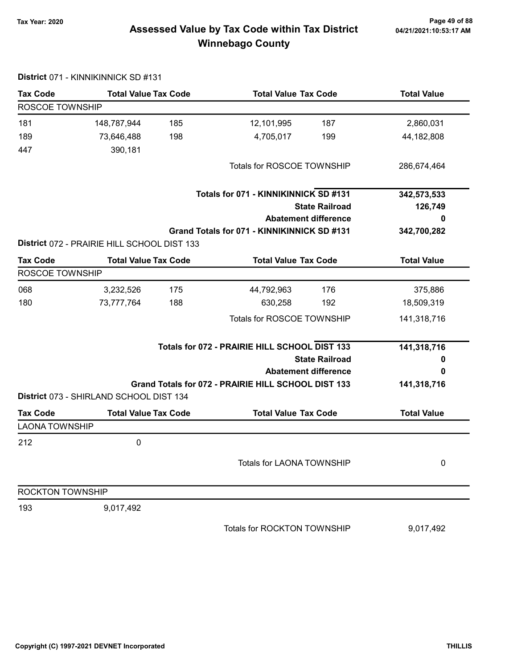# Page 49 of 88 مع Page 49 of 88<br>Assessed Value by Tax Code within Tax District مع Assessed Value by Tax Code Winnebago County

| <b>Tax Code</b>         |                                             | <b>Total Value Tax Code</b> |                                                     | <b>Total Value Tax Code</b><br><b>Total Value</b> |                    |
|-------------------------|---------------------------------------------|-----------------------------|-----------------------------------------------------|---------------------------------------------------|--------------------|
| ROSCOE TOWNSHIP         |                                             |                             |                                                     |                                                   |                    |
| 181                     | 148,787,944                                 | 185                         | 12,101,995                                          | 187                                               | 2,860,031          |
| 189                     | 73,646,488                                  | 198                         | 4,705,017                                           | 199                                               | 44,182,808         |
| 447                     | 390,181                                     |                             |                                                     |                                                   |                    |
|                         |                                             |                             | Totals for ROSCOE TOWNSHIP                          |                                                   | 286,674,464        |
|                         |                                             |                             | Totals for 071 - KINNIKINNICK SD #131               |                                                   | 342,573,533        |
|                         |                                             |                             |                                                     | <b>State Railroad</b>                             | 126,749            |
|                         |                                             |                             |                                                     | <b>Abatement difference</b>                       | 0                  |
|                         |                                             |                             | Grand Totals for 071 - KINNIKINNICK SD #131         |                                                   | 342,700,282        |
|                         | District 072 - PRAIRIE HILL SCHOOL DIST 133 |                             |                                                     |                                                   |                    |
| <b>Tax Code</b>         | <b>Total Value Tax Code</b>                 |                             | <b>Total Value Tax Code</b>                         |                                                   | <b>Total Value</b> |
| <b>ROSCOE TOWNSHIP</b>  |                                             |                             |                                                     |                                                   |                    |
| 068                     | 3,232,526                                   | 175                         | 44,792,963                                          | 176                                               | 375,886            |
| 180                     | 73,777,764                                  | 188                         | 630,258                                             | 192                                               | 18,509,319         |
|                         |                                             |                             | Totals for ROSCOE TOWNSHIP                          |                                                   | 141,318,716        |
|                         |                                             |                             | Totals for 072 - PRAIRIE HILL SCHOOL DIST 133       |                                                   | 141,318,716        |
|                         |                                             |                             |                                                     | <b>State Railroad</b>                             | 0                  |
|                         |                                             |                             |                                                     | <b>Abatement difference</b>                       | 0                  |
|                         |                                             |                             | Grand Totals for 072 - PRAIRIE HILL SCHOOL DIST 133 |                                                   | 141,318,716        |
|                         | District 073 - SHIRLAND SCHOOL DIST 134     |                             |                                                     |                                                   |                    |
| <b>Tax Code</b>         | <b>Total Value Tax Code</b>                 |                             | <b>Total Value Tax Code</b>                         |                                                   | <b>Total Value</b> |
| <b>LAONA TOWNSHIP</b>   |                                             |                             |                                                     |                                                   |                    |
| 212                     | 0                                           |                             |                                                     |                                                   |                    |
|                         |                                             |                             | Totals for LAONA TOWNSHIP                           |                                                   | 0                  |
| <b>ROCKTON TOWNSHIP</b> |                                             |                             |                                                     |                                                   |                    |
| 193                     | 9,017,492                                   |                             |                                                     |                                                   |                    |
|                         |                                             |                             | Totals for ROCKTON TOWNSHIP                         |                                                   | 9,017,492          |

District 071 - KINNIKINNICK SD #131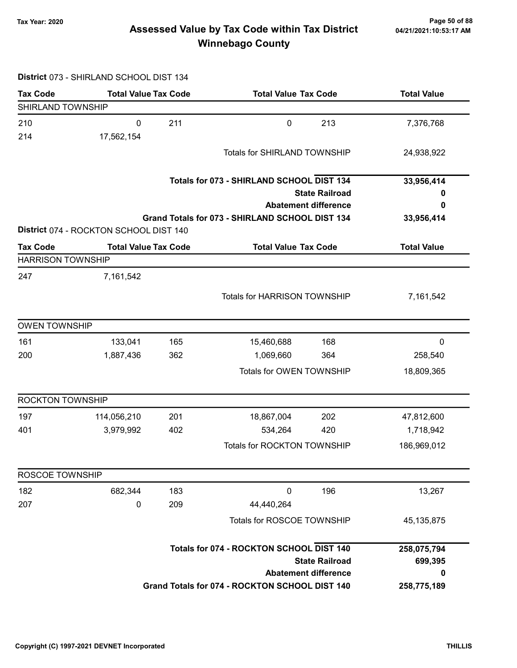# Page 50 of 88 وTax Year: 2020<br>Assessed Value by Tax Code within Tax District هو Assessed Value by Tax Code within Tax District Winnebago County

#### District 073 - SHIRLAND SCHOOL DIST 134

| <b>Tax Code</b>          | <b>Total Value Tax Code</b>            |     | <b>Total Value Tax Code</b>                     |                             | <b>Total Value</b> |
|--------------------------|----------------------------------------|-----|-------------------------------------------------|-----------------------------|--------------------|
| SHIRLAND TOWNSHIP        |                                        |     |                                                 |                             |                    |
| 210                      | $\mathbf 0$                            | 211 | $\pmb{0}$                                       | 213                         | 7,376,768          |
| 214                      | 17,562,154                             |     |                                                 |                             |                    |
|                          |                                        |     | <b>Totals for SHIRLAND TOWNSHIP</b>             |                             | 24,938,922         |
|                          |                                        |     | Totals for 073 - SHIRLAND SCHOOL DIST 134       |                             | 33,956,414         |
|                          |                                        |     |                                                 | <b>State Railroad</b>       | 0                  |
|                          |                                        |     |                                                 | <b>Abatement difference</b> | 0                  |
|                          | District 074 - ROCKTON SCHOOL DIST 140 |     | Grand Totals for 073 - SHIRLAND SCHOOL DIST 134 |                             | 33,956,414         |
| <b>Tax Code</b>          | <b>Total Value Tax Code</b>            |     | <b>Total Value Tax Code</b>                     |                             | <b>Total Value</b> |
| <b>HARRISON TOWNSHIP</b> |                                        |     |                                                 |                             |                    |
| 247                      | 7,161,542                              |     |                                                 |                             |                    |
|                          |                                        |     | <b>Totals for HARRISON TOWNSHIP</b>             |                             | 7,161,542          |
|                          |                                        |     |                                                 |                             |                    |
| <b>OWEN TOWNSHIP</b>     |                                        |     |                                                 |                             |                    |
| 161                      | 133,041                                | 165 | 15,460,688                                      | 168                         | 0                  |
| 200                      | 1,887,436                              | 362 | 1,069,660                                       | 364                         | 258,540            |
|                          |                                        |     | Totals for OWEN TOWNSHIP                        |                             | 18,809,365         |
| <b>ROCKTON TOWNSHIP</b>  |                                        |     |                                                 |                             |                    |
| 197                      | 114,056,210                            | 201 | 18,867,004                                      | 202                         | 47,812,600         |
| 401                      | 3,979,992                              | 402 | 534,264                                         | 420                         | 1,718,942          |
|                          |                                        |     | Totals for ROCKTON TOWNSHIP                     |                             | 186,969,012        |
| ROSCOE TOWNSHIP          |                                        |     |                                                 |                             |                    |
| 182                      | 682,344                                | 183 | $\pmb{0}$                                       | 196                         | 13,267             |
| 207                      | 0                                      | 209 | 44,440,264                                      |                             |                    |
|                          |                                        |     | Totals for ROSCOE TOWNSHIP                      |                             | 45, 135, 875       |
|                          |                                        |     | Totals for 074 - ROCKTON SCHOOL DIST 140        |                             | 258,075,794        |
|                          |                                        |     |                                                 | <b>State Railroad</b>       | 699,395            |
|                          |                                        |     |                                                 | <b>Abatement difference</b> | 0                  |
|                          |                                        |     | Grand Totals for 074 - ROCKTON SCHOOL DIST 140  |                             | 258,775,189        |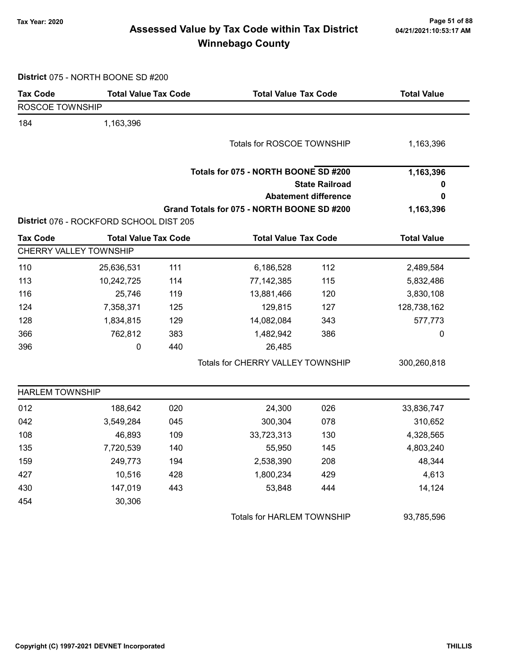# Page 51 of 88 وTax Year: 2020<br>Assessed Value by Tax Code within Tax District هو Assessed Value by Tax Code within Tax District Winnebago County

| District 075 - NORTH BOONE SD #200 |  |
|------------------------------------|--|
|------------------------------------|--|

| <b>Tax Code</b>        | <b>Total Value Tax Code</b>             |     |                                            | <b>Total Value Tax Code</b> |                    |
|------------------------|-----------------------------------------|-----|--------------------------------------------|-----------------------------|--------------------|
| ROSCOE TOWNSHIP        |                                         |     |                                            |                             |                    |
| 184                    | 1,163,396                               |     |                                            |                             |                    |
|                        |                                         |     | Totals for ROSCOE TOWNSHIP                 |                             | 1,163,396          |
|                        |                                         |     |                                            |                             |                    |
|                        |                                         |     | Totals for 075 - NORTH BOONE SD #200       |                             | 1,163,396          |
|                        |                                         |     |                                            | <b>State Railroad</b>       | 0                  |
|                        |                                         |     |                                            | <b>Abatement difference</b> | 0                  |
|                        |                                         |     | Grand Totals for 075 - NORTH BOONE SD #200 |                             | 1,163,396          |
|                        | District 076 - ROCKFORD SCHOOL DIST 205 |     |                                            |                             |                    |
| <b>Tax Code</b>        | <b>Total Value Tax Code</b>             |     | <b>Total Value Tax Code</b>                |                             | <b>Total Value</b> |
|                        | CHERRY VALLEY TOWNSHIP                  |     |                                            |                             |                    |
| 110                    | 25,636,531                              | 111 | 6,186,528                                  | 112                         | 2,489,584          |
| 113                    | 10,242,725                              | 114 | 77, 142, 385                               | 115                         | 5,832,486          |
| 116                    | 25,746                                  | 119 | 13,881,466                                 | 120                         | 3,830,108          |
| 124                    | 7,358,371                               | 125 | 129,815                                    | 127                         | 128,738,162        |
| 128                    | 1,834,815                               | 129 | 14,082,084                                 | 343                         | 577,773            |
| 366                    | 762,812                                 | 383 | 1,482,942                                  | 386                         | 0                  |
| 396                    | $\mathbf 0$                             | 440 | 26,485                                     |                             |                    |
|                        |                                         |     | Totals for CHERRY VALLEY TOWNSHIP          |                             | 300,260,818        |
| <b>HARLEM TOWNSHIP</b> |                                         |     |                                            |                             |                    |
| 012                    | 188,642                                 | 020 | 24,300                                     | 026                         | 33,836,747         |
| 042                    | 3,549,284                               | 045 | 300,304                                    | 078                         | 310,652            |
| 108                    | 46,893                                  | 109 | 33,723,313                                 | 130                         | 4,328,565          |
| 135                    | 7,720,539                               | 140 | 55,950                                     | 145                         | 4,803,240          |
| 159                    | 249,773                                 | 194 | 2,538,390                                  | 208                         | 48,344             |
| 427                    | 10,516                                  | 428 | 1,800,234                                  | 429                         | 4,613              |
| 430                    | 147,019                                 | 443 | 53,848                                     | 444                         | 14,124             |
| 454                    | 30,306                                  |     |                                            |                             |                    |
|                        |                                         |     | <b>Totals for HARLEM TOWNSHIP</b>          |                             | 93,785,596         |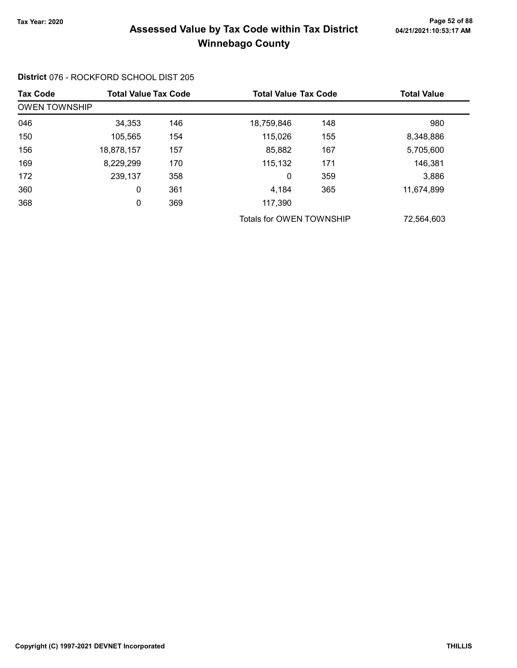# Page 52 of 88 مسمح Page 52 of 88<br>Assessed Value by Tax Code within Tax District مسمح Assessed Value by Tax Code within Tax District Winnebago County

| <b>Tax Code</b>      | <b>Total Value Tax Code</b> |     | <b>Total Value Tax Code</b> |     | <b>Total Value</b> |
|----------------------|-----------------------------|-----|-----------------------------|-----|--------------------|
| <b>OWEN TOWNSHIP</b> |                             |     |                             |     |                    |
| 046                  | 34,353                      | 146 | 18,759,846                  | 148 | 980                |
| 150                  | 105,565                     | 154 | 115,026                     | 155 | 8,348,886          |
| 156                  | 18,878,157                  | 157 | 85,882                      | 167 | 5,705,600          |
| 169                  | 8,229,299                   | 170 | 115,132                     | 171 | 146,381            |
| 172                  | 239,137                     | 358 | 0                           | 359 | 3,886              |
| 360                  | 0                           | 361 | 4.184                       | 365 | 11,674,899         |
| 368                  | 0                           | 369 | 117,390                     |     |                    |
|                      |                             |     | Totals for OWEN TOWNSHIP    |     | 72,564,603         |

District 076 - ROCKFORD SCHOOL DIST 205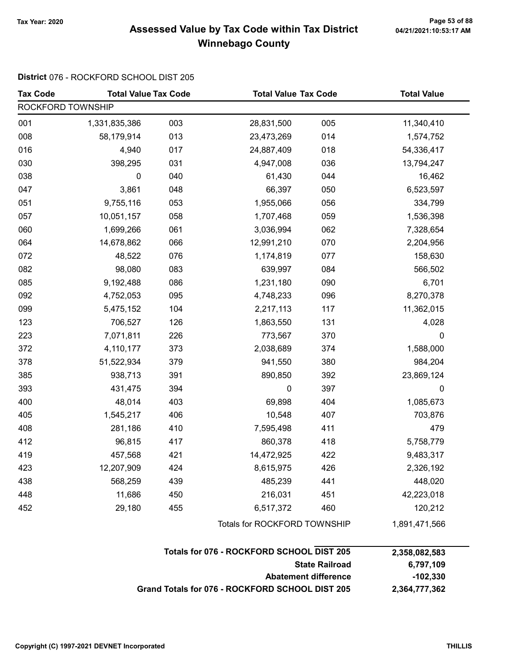# Page 53 of 88 مسمح Page 53 of 88<br>Assessed Value by Tax Code within Tax District مسمح Assessed Value by Tax Code within Tax District Winnebago County

#### District 076 - ROCKFORD SCHOOL DIST 205

| <b>Tax Code</b>   | <b>Total Value Tax Code</b> |     |                              | <b>Total Value Tax Code</b> |               |
|-------------------|-----------------------------|-----|------------------------------|-----------------------------|---------------|
| ROCKFORD TOWNSHIP |                             |     |                              |                             |               |
| 001               | 1,331,835,386               | 003 | 28,831,500                   | 005                         | 11,340,410    |
| 008               | 58,179,914                  | 013 | 23,473,269                   | 014                         | 1,574,752     |
| 016               | 4,940                       | 017 | 24,887,409                   | 018                         | 54,336,417    |
| 030               | 398,295                     | 031 | 4,947,008                    | 036                         | 13,794,247    |
| 038               | 0                           | 040 | 61,430                       | 044                         | 16,462        |
| 047               | 3,861                       | 048 | 66,397                       | 050                         | 6,523,597     |
| 051               | 9,755,116                   | 053 | 1,955,066                    | 056                         | 334,799       |
| 057               | 10,051,157                  | 058 | 1,707,468                    | 059                         | 1,536,398     |
| 060               | 1,699,266                   | 061 | 3,036,994                    | 062                         | 7,328,654     |
| 064               | 14,678,862                  | 066 | 12,991,210                   | 070                         | 2,204,956     |
| 072               | 48,522                      | 076 | 1,174,819                    | 077                         | 158,630       |
| 082               | 98,080                      | 083 | 639,997                      | 084                         | 566,502       |
| 085               | 9,192,488                   | 086 | 1,231,180                    | 090                         | 6,701         |
| 092               | 4,752,053                   | 095 | 4,748,233                    | 096                         | 8,270,378     |
| 099               | 5,475,152                   | 104 | 2,217,113                    | 117                         | 11,362,015    |
| 123               | 706,527                     | 126 | 1,863,550                    | 131                         | 4,028         |
| 223               | 7,071,811                   | 226 | 773,567                      | 370                         | 0             |
| 372               | 4,110,177                   | 373 | 2,038,689                    | 374                         | 1,588,000     |
| 378               | 51,522,934                  | 379 | 941,550                      | 380                         | 984,204       |
| 385               | 938,713                     | 391 | 890,850                      | 392                         | 23,869,124    |
| 393               | 431,475                     | 394 | 0                            | 397                         | 0             |
| 400               | 48,014                      | 403 | 69,898                       | 404                         | 1,085,673     |
| 405               | 1,545,217                   | 406 | 10,548                       | 407                         | 703,876       |
| 408               | 281,186                     | 410 | 7,595,498                    | 411                         | 479           |
| 412               | 96,815                      | 417 | 860,378                      | 418                         | 5,758,779     |
| 419               | 457,568                     | 421 | 14,472,925                   | 422                         | 9,483,317     |
| 423               | 12,207,909                  | 424 | 8,615,975                    | 426                         | 2,326,192     |
| 438               | 568,259                     | 439 | 485,239                      | 441                         | 448,020       |
| 448               | 11,686                      | 450 | 216,031                      | 451                         | 42,223,018    |
| 452               | 29,180                      | 455 | 6,517,372                    | 460                         | 120,212       |
|                   |                             |     | Totals for ROCKFORD TOWNSHIP |                             | 1,891,471,566 |

| Totals for 076 - ROCKFORD SCHOOL DIST 205       | 2,358,082,583 |
|-------------------------------------------------|---------------|
| <b>State Railroad</b>                           | 6.797.109     |
| Abatement difference                            | -102.330      |
| Grand Totals for 076 - ROCKFORD SCHOOL DIST 205 | 2.364.777.362 |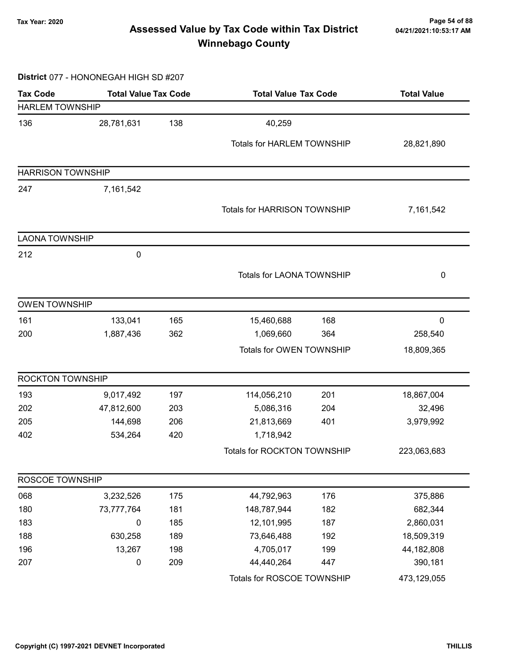# Page 54 of 88 مسمع Page 54 of 88<br>Assessed Value by Tax Code within Tax District مسمع Assessed Value by Tax Code within Tax District Winnebago County

#### District 077 - HONONEGAH HIGH SD #207

| <b>Tax Code</b>          | <b>Total Value Tax Code</b> |     |                                   | <b>Total Value Tax Code</b>         |             |
|--------------------------|-----------------------------|-----|-----------------------------------|-------------------------------------|-------------|
| <b>HARLEM TOWNSHIP</b>   |                             |     |                                   |                                     |             |
| 136                      | 28,781,631                  | 138 | 40,259                            |                                     |             |
|                          |                             |     | <b>Totals for HARLEM TOWNSHIP</b> |                                     | 28,821,890  |
| <b>HARRISON TOWNSHIP</b> |                             |     |                                   |                                     |             |
|                          |                             |     |                                   |                                     |             |
| 247                      | 7,161,542                   |     |                                   |                                     |             |
|                          |                             |     |                                   | <b>Totals for HARRISON TOWNSHIP</b> |             |
| <b>LAONA TOWNSHIP</b>    |                             |     |                                   |                                     |             |
| 212                      | 0                           |     |                                   |                                     |             |
|                          |                             |     | <b>Totals for LAONA TOWNSHIP</b>  |                                     | 0           |
| <b>OWEN TOWNSHIP</b>     |                             |     |                                   |                                     |             |
| 161                      | 133,041                     | 165 | 15,460,688                        | 168                                 | 0           |
| 200                      | 1,887,436                   | 362 | 1,069,660                         | 364                                 | 258,540     |
|                          |                             |     | Totals for OWEN TOWNSHIP          |                                     | 18,809,365  |
| ROCKTON TOWNSHIP         |                             |     |                                   |                                     |             |
| 193                      | 9,017,492                   | 197 | 114,056,210                       | 201                                 | 18,867,004  |
| 202                      | 47,812,600                  | 203 | 5,086,316                         | 204                                 | 32,496      |
| 205                      | 144,698                     | 206 | 21,813,669                        | 401                                 | 3,979,992   |
| 402                      | 534,264                     | 420 | 1,718,942                         |                                     |             |
|                          |                             |     | Totals for ROCKTON TOWNSHIP       |                                     | 223,063,683 |
| ROSCOE TOWNSHIP          |                             |     |                                   |                                     |             |
| 068                      | 3,232,526                   | 175 | 44,792,963                        | 176                                 | 375,886     |
| 180                      | 73,777,764                  | 181 | 148,787,944                       | 182                                 | 682,344     |
| 183                      | 0                           | 185 | 12,101,995                        | 187                                 | 2,860,031   |
| 188                      | 630,258                     | 189 | 73,646,488                        | 192                                 | 18,509,319  |
| 196                      | 13,267                      | 198 | 4,705,017                         | 199                                 | 44,182,808  |
| 207                      | 0                           | 209 | 44,440,264                        | 447                                 | 390,181     |
|                          |                             |     | Totals for ROSCOE TOWNSHIP        |                                     | 473,129,055 |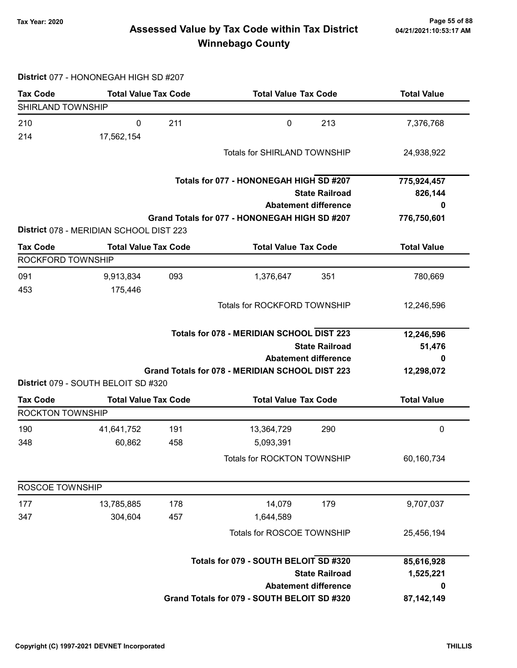# Page 55 of 88 وTax Year: 2020<br>Assessed Value by Tax Code within Tax District هو Assessed Value by Tax Code within Tax District Winnebago County

#### District 077 - HONONEGAH HIGH SD #207

| <b>Tax Code</b>                            | <b>Total Value Tax Code</b>             |                            | <b>Total Value Tax Code</b>                     |                             | <b>Total Value</b> |  |
|--------------------------------------------|-----------------------------------------|----------------------------|-------------------------------------------------|-----------------------------|--------------------|--|
| SHIRLAND TOWNSHIP                          |                                         |                            |                                                 |                             |                    |  |
| 210                                        | $\mathbf 0$                             | 211                        | $\pmb{0}$                                       | 213                         | 7,376,768          |  |
| 214                                        | 17,562,154                              |                            |                                                 |                             |                    |  |
|                                            |                                         |                            | Totals for SHIRLAND TOWNSHIP                    |                             | 24,938,922         |  |
|                                            |                                         |                            |                                                 |                             |                    |  |
|                                            |                                         |                            | Totals for 077 - HONONEGAH HIGH SD #207         |                             | 775,924,457        |  |
|                                            |                                         |                            | <b>State Railroad</b>                           | 826,144                     |                    |  |
|                                            |                                         |                            |                                                 | <b>Abatement difference</b> | 0                  |  |
|                                            |                                         |                            | Grand Totals for 077 - HONONEGAH HIGH SD #207   |                             | 776,750,601        |  |
|                                            | District 078 - MERIDIAN SCHOOL DIST 223 |                            |                                                 |                             |                    |  |
| <b>Tax Code</b>                            | <b>Total Value Tax Code</b>             |                            | <b>Total Value Tax Code</b>                     |                             | <b>Total Value</b> |  |
| ROCKFORD TOWNSHIP                          |                                         |                            |                                                 |                             |                    |  |
| 091                                        | 9,913,834                               | 093                        | 1,376,647                                       | 351                         | 780,669            |  |
| 453                                        | 175,446                                 |                            |                                                 |                             |                    |  |
|                                            |                                         |                            | Totals for ROCKFORD TOWNSHIP                    |                             | 12,246,596         |  |
|                                            |                                         |                            |                                                 |                             |                    |  |
|                                            |                                         |                            | Totals for 078 - MERIDIAN SCHOOL DIST 223       |                             | 12,246,596         |  |
| <b>State Railroad</b>                      |                                         |                            |                                                 | 51,476                      |                    |  |
|                                            |                                         |                            |                                                 | <b>Abatement difference</b> | 0                  |  |
|                                            | District 079 - SOUTH BELOIT SD #320     |                            | Grand Totals for 078 - MERIDIAN SCHOOL DIST 223 |                             | 12,298,072         |  |
|                                            |                                         |                            |                                                 |                             |                    |  |
| <b>Tax Code</b><br><b>ROCKTON TOWNSHIP</b> | <b>Total Value Tax Code</b>             |                            | <b>Total Value Tax Code</b>                     |                             | <b>Total Value</b> |  |
| 190                                        | 41,641,752                              | 191                        | 13,364,729                                      | 290                         | $\pmb{0}$          |  |
| 348                                        | 60,862                                  | 458                        | 5,093,391                                       |                             |                    |  |
|                                            |                                         |                            | <b>Totals for ROCKTON TOWNSHIP</b>              |                             |                    |  |
|                                            |                                         |                            |                                                 |                             | 60,160,734         |  |
| ROSCOE TOWNSHIP                            |                                         |                            |                                                 |                             |                    |  |
| 177                                        | 13,785,885                              | 178                        | 14,079                                          | 179                         | 9,707,037          |  |
| 347                                        | 304,604                                 | 457                        | 1,644,589                                       |                             |                    |  |
|                                            |                                         |                            |                                                 |                             |                    |  |
|                                            |                                         | Totals for ROSCOE TOWNSHIP |                                                 |                             | 25,456,194         |  |
|                                            |                                         |                            | Totals for 079 - SOUTH BELOIT SD #320           |                             | 85,616,928         |  |
|                                            |                                         |                            |                                                 | <b>State Railroad</b>       | 1,525,221          |  |
|                                            |                                         |                            |                                                 | <b>Abatement difference</b> | 0                  |  |
|                                            |                                         |                            | Grand Totals for 079 - SOUTH BELOIT SD #320     |                             | 87, 142, 149       |  |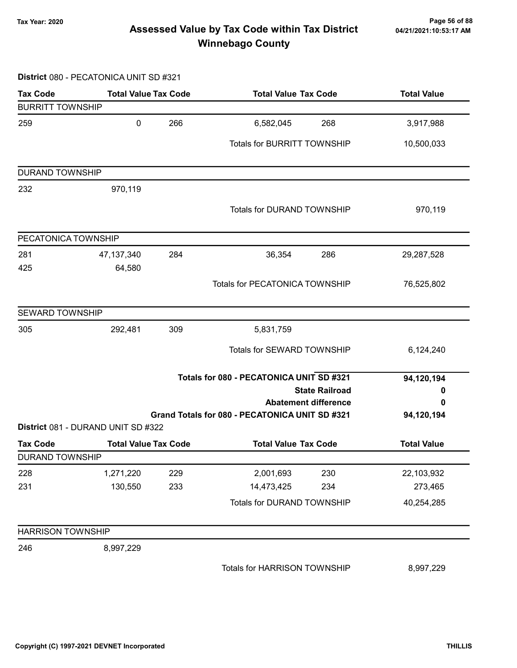# Page 56 of 88 مع Page 56 of 88<br>Assessed Value by Tax Code within Tax District مع Assessed Value by Tax Code Winnebago County

#### District 080 - PECATONICA UNIT SD #321

| <b>Tax Code</b>          | <b>Total Value Tax Code</b>        |     | <b>Total Value Tax Code</b>                                                   |     | <b>Total Value</b> |  |
|--------------------------|------------------------------------|-----|-------------------------------------------------------------------------------|-----|--------------------|--|
| <b>BURRITT TOWNSHIP</b>  |                                    |     |                                                                               |     |                    |  |
| 259                      | $\pmb{0}$                          | 266 | 6,582,045                                                                     | 268 | 3,917,988          |  |
|                          |                                    |     | Totals for BURRITT TOWNSHIP                                                   |     | 10,500,033         |  |
| DURAND TOWNSHIP          |                                    |     |                                                                               |     |                    |  |
| 232                      | 970,119                            |     |                                                                               |     |                    |  |
|                          |                                    |     | Totals for DURAND TOWNSHIP                                                    |     | 970,119            |  |
| PECATONICA TOWNSHIP      |                                    |     |                                                                               |     |                    |  |
| 281                      | 47, 137, 340                       | 284 | 36,354                                                                        | 286 | 29,287,528         |  |
| 425                      | 64,580                             |     |                                                                               |     |                    |  |
|                          |                                    |     | <b>Totals for PECATONICA TOWNSHIP</b>                                         |     | 76,525,802         |  |
| <b>SEWARD TOWNSHIP</b>   |                                    |     |                                                                               |     |                    |  |
| 305                      | 292,481                            | 309 | 5,831,759                                                                     |     |                    |  |
|                          |                                    |     | Totals for SEWARD TOWNSHIP                                                    |     | 6,124,240          |  |
|                          |                                    |     | Totals for 080 - PECATONICA UNIT SD #321                                      |     | 94,120,194         |  |
|                          |                                    |     | <b>State Railroad</b>                                                         |     | 0                  |  |
|                          |                                    |     | <b>Abatement difference</b><br>Grand Totals for 080 - PECATONICA UNIT SD #321 |     | 0<br>94,120,194    |  |
|                          | District 081 - DURAND UNIT SD #322 |     |                                                                               |     |                    |  |
| <b>Tax Code</b>          | <b>Total Value Tax Code</b>        |     | <b>Total Value Tax Code</b>                                                   |     | <b>Total Value</b> |  |
| <b>DURAND TOWNSHIP</b>   |                                    |     |                                                                               |     |                    |  |
| 228                      | 1,271,220                          | 229 | 2,001,693                                                                     | 230 | 22,103,932         |  |
| 231                      | 130,550                            | 233 | 14,473,425                                                                    | 234 | 273,465            |  |
|                          |                                    |     | Totals for DURAND TOWNSHIP                                                    |     | 40,254,285         |  |
| <b>HARRISON TOWNSHIP</b> |                                    |     |                                                                               |     |                    |  |
| 246                      | 8,997,229                          |     |                                                                               |     |                    |  |
|                          |                                    |     | Totals for HARRISON TOWNSHIP                                                  |     | 8,997,229          |  |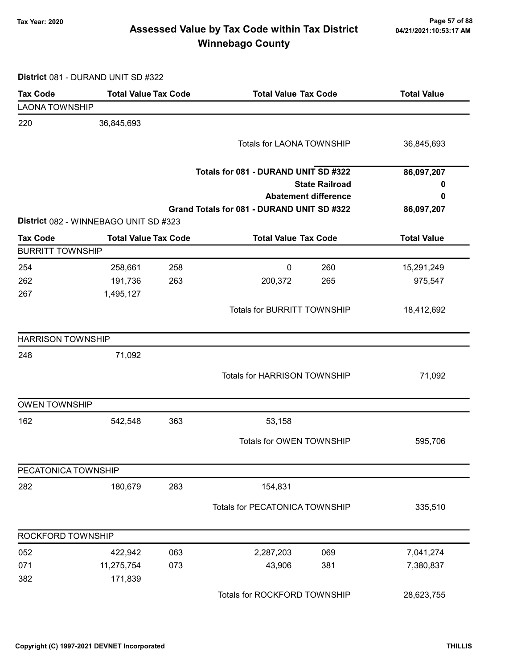# Page 57 of 88 وTax Year: 2020<br>Assessed Value by Tax Code within Tax District هو Assessed Value by Tax Code within Tax District Winnebago County

District 081 - DURAND UNIT SD #322

| <b>Tax Code</b>          | <b>Total Value Tax Code</b>           |     | <b>Total Value Tax Code</b>                |                             | <b>Total Value</b> |
|--------------------------|---------------------------------------|-----|--------------------------------------------|-----------------------------|--------------------|
| <b>LAONA TOWNSHIP</b>    |                                       |     |                                            |                             |                    |
| 220                      | 36,845,693                            |     |                                            |                             |                    |
|                          |                                       |     | <b>Totals for LAONA TOWNSHIP</b>           |                             | 36,845,693         |
|                          |                                       |     | Totals for 081 - DURAND UNIT SD #322       |                             | 86,097,207         |
|                          |                                       |     |                                            | <b>State Railroad</b>       | 0                  |
|                          |                                       |     |                                            | <b>Abatement difference</b> | 0                  |
|                          |                                       |     | Grand Totals for 081 - DURAND UNIT SD #322 |                             | 86,097,207         |
|                          | District 082 - WINNEBAGO UNIT SD #323 |     |                                            |                             |                    |
| <b>Tax Code</b>          | <b>Total Value Tax Code</b>           |     | <b>Total Value Tax Code</b>                |                             | <b>Total Value</b> |
| <b>BURRITT TOWNSHIP</b>  |                                       |     |                                            |                             |                    |
| 254                      | 258,661                               | 258 | $\mathbf 0$                                | 260                         | 15,291,249         |
| 262                      | 191,736                               | 263 | 200,372                                    | 265                         | 975,547            |
| 267                      | 1,495,127                             |     |                                            |                             |                    |
|                          |                                       |     | <b>Totals for BURRITT TOWNSHIP</b>         |                             | 18,412,692         |
| <b>HARRISON TOWNSHIP</b> |                                       |     |                                            |                             |                    |
| 248                      | 71,092                                |     |                                            |                             |                    |
|                          |                                       |     | Totals for HARRISON TOWNSHIP               |                             | 71,092             |
| <b>OWEN TOWNSHIP</b>     |                                       |     |                                            |                             |                    |
| 162                      | 542,548                               | 363 | 53,158                                     |                             |                    |
|                          |                                       |     | Totals for OWEN TOWNSHIP                   |                             | 595,706            |
| PECATONICA TOWNSHIP      |                                       |     |                                            |                             |                    |
| 282                      | 180,679                               | 283 | 154,831                                    |                             |                    |
|                          |                                       |     | Totals for PECATONICA TOWNSHIP             |                             | 335,510            |
| ROCKFORD TOWNSHIP        |                                       |     |                                            |                             |                    |
| 052                      | 422,942                               | 063 | 2,287,203                                  | 069                         | 7,041,274          |
| 071                      | 11,275,754                            | 073 | 43,906                                     | 381                         | 7,380,837          |
| 382                      | 171,839                               |     |                                            |                             |                    |
|                          |                                       |     | Totals for ROCKFORD TOWNSHIP               |                             | 28,623,755         |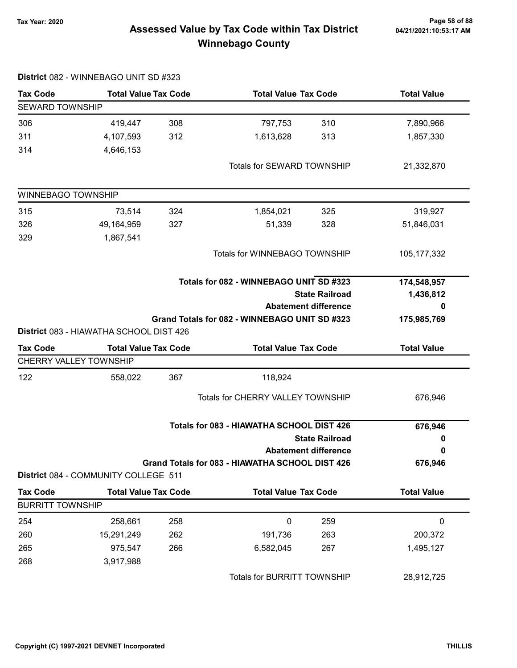# Page 58 of 88 مسمح Page 58 of 88<br>Assessed Value by Tax Code within Tax District مسمد Assessed Value by Tax Code within Tax District Winnebago County

|                         | District 082 - WINNEBAGO UNIT SD #323   |     |                                                 |                             |                    |
|-------------------------|-----------------------------------------|-----|-------------------------------------------------|-----------------------------|--------------------|
| <b>Tax Code</b>         | <b>Total Value Tax Code</b>             |     | <b>Total Value Tax Code</b>                     |                             | <b>Total Value</b> |
| <b>SEWARD TOWNSHIP</b>  |                                         |     |                                                 |                             |                    |
| 306                     | 419,447                                 | 308 | 797,753                                         | 310                         | 7,890,966          |
| 311                     | 4,107,593                               | 312 | 1,613,628                                       | 313                         | 1,857,330          |
| 314                     | 4,646,153                               |     |                                                 |                             |                    |
|                         |                                         |     | Totals for SEWARD TOWNSHIP                      |                             | 21,332,870         |
| WINNEBAGO TOWNSHIP      |                                         |     |                                                 |                             |                    |
| 315                     | 73,514                                  | 324 | 1,854,021                                       | 325                         | 319,927            |
| 326                     | 49,164,959                              | 327 | 51,339                                          | 328                         | 51,846,031         |
| 329                     | 1,867,541                               |     |                                                 |                             |                    |
|                         |                                         |     | Totals for WINNEBAGO TOWNSHIP                   |                             | 105, 177, 332      |
|                         |                                         |     | Totals for 082 - WINNEBAGO UNIT SD #323         |                             | 174,548,957        |
|                         |                                         |     |                                                 | <b>State Railroad</b>       | 1,436,812          |
|                         |                                         |     |                                                 | <b>Abatement difference</b> | 0                  |
|                         |                                         |     | Grand Totals for 082 - WINNEBAGO UNIT SD #323   |                             | 175,985,769        |
|                         | District 083 - HIAWATHA SCHOOL DIST 426 |     |                                                 |                             |                    |
| <b>Tax Code</b>         | <b>Total Value Tax Code</b>             |     | <b>Total Value Tax Code</b>                     |                             | <b>Total Value</b> |
|                         | CHERRY VALLEY TOWNSHIP                  |     |                                                 |                             |                    |
| 122                     | 558,022                                 | 367 | 118,924                                         |                             |                    |
|                         |                                         |     | <b>Totals for CHERRY VALLEY TOWNSHIP</b>        |                             | 676,946            |
|                         |                                         |     | Totals for 083 - HIAWATHA SCHOOL DIST 426       |                             | 676,946            |
|                         |                                         |     |                                                 | <b>State Railroad</b>       | 0                  |
|                         |                                         |     |                                                 | <b>Abatement difference</b> | 0                  |
|                         | District 084 - COMMUNITY COLLEGE 511    |     | Grand Totals for 083 - HIAWATHA SCHOOL DIST 426 |                             | 676,946            |
| <b>Tax Code</b>         | <b>Total Value Tax Code</b>             |     | <b>Total Value Tax Code</b>                     |                             | <b>Total Value</b> |
| <b>BURRITT TOWNSHIP</b> |                                         |     |                                                 |                             |                    |
| 254                     | 258,661                                 | 258 | 0                                               | 259                         | 0                  |
| 260                     | 15,291,249                              | 262 | 191,736                                         | 263                         | 200,372            |
| 265                     | 975,547                                 | 266 | 6,582,045                                       | 267                         | 1,495,127          |
| 268                     | 3,917,988                               |     |                                                 |                             |                    |
|                         |                                         |     | Totals for BURRITT TOWNSHIP                     |                             | 28,912,725         |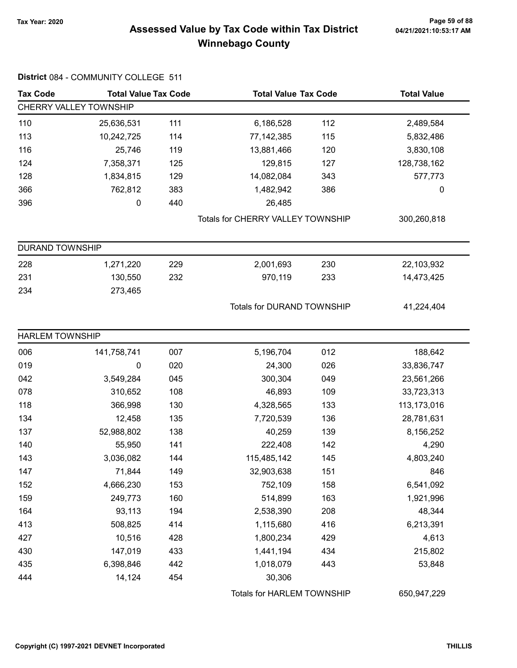District 084 - COMMUNITY COLLEGE 511

# Page 59 of 88 وTax Year: 2020<br>Assessed Value by Tax Code within Tax District هو Assessed Value by Tax Code within Tax District Winnebago County

| <b>Tax Code</b>        | <b>Total Value Tax Code</b><br><b>Total Value Tax Code</b> |     | <b>Total Value</b>                |     |             |
|------------------------|------------------------------------------------------------|-----|-----------------------------------|-----|-------------|
|                        | CHERRY VALLEY TOWNSHIP                                     |     |                                   |     |             |
| 110                    | 25,636,531                                                 | 111 | 6,186,528                         | 112 | 2,489,584   |
| 113                    | 10,242,725                                                 | 114 | 77,142,385                        | 115 | 5,832,486   |
| 116                    | 25,746                                                     | 119 | 13,881,466                        | 120 | 3,830,108   |
| 124                    | 7,358,371                                                  | 125 | 129,815                           | 127 | 128,738,162 |
| 128                    | 1,834,815                                                  | 129 | 14,082,084                        | 343 | 577,773     |
| 366                    | 762,812                                                    | 383 | 1,482,942                         | 386 | 0           |
| 396                    | 0                                                          | 440 | 26,485                            |     |             |
|                        |                                                            |     | Totals for CHERRY VALLEY TOWNSHIP |     | 300,260,818 |
| <b>DURAND TOWNSHIP</b> |                                                            |     |                                   |     |             |
| 228                    | 1,271,220                                                  | 229 | 2,001,693                         | 230 | 22,103,932  |
| 231                    | 130,550                                                    | 232 | 970,119                           | 233 | 14,473,425  |
| 234                    | 273,465                                                    |     |                                   |     |             |
|                        |                                                            |     | Totals for DURAND TOWNSHIP        |     | 41,224,404  |
| <b>HARLEM TOWNSHIP</b> |                                                            |     |                                   |     |             |
| 006                    | 141,758,741                                                | 007 | 5,196,704                         | 012 | 188,642     |
| 019                    | 0                                                          | 020 | 24,300                            | 026 | 33,836,747  |
| 042                    | 3,549,284                                                  | 045 | 300,304                           | 049 | 23,561,266  |
| 078                    | 310,652                                                    | 108 | 46,893                            | 109 | 33,723,313  |
| 118                    | 366,998                                                    | 130 | 4,328,565                         | 133 | 113,173,016 |
| 134                    | 12,458                                                     | 135 | 7,720,539                         | 136 | 28,781,631  |
| 137                    | 52,988,802                                                 | 138 | 40,259                            | 139 | 8,156,252   |
| 140                    | 55,950                                                     | 141 | 222,408                           | 142 | 4,290       |
| 143                    | 3,036,082                                                  | 144 | 115,485,142                       | 145 | 4,803,240   |
| 147                    | 71,844                                                     | 149 | 32,903,638                        | 151 | 846         |
| 152                    | 4,666,230                                                  | 153 | 752,109                           | 158 | 6,541,092   |
| 159                    | 249,773                                                    | 160 | 514,899                           | 163 | 1,921,996   |
| 164                    | 93,113                                                     | 194 | 2,538,390                         | 208 | 48,344      |
| 413                    | 508,825                                                    | 414 | 1,115,680                         | 416 | 6,213,391   |
| 427                    | 10,516                                                     | 428 | 1,800,234                         | 429 | 4,613       |
| 430                    | 147,019                                                    | 433 | 1,441,194                         | 434 | 215,802     |
| 435                    | 6,398,846                                                  | 442 | 1,018,079                         | 443 | 53,848      |
| 444                    | 14,124                                                     | 454 | 30,306                            |     |             |
|                        |                                                            |     | Totals for HARLEM TOWNSHIP        |     | 650,947,229 |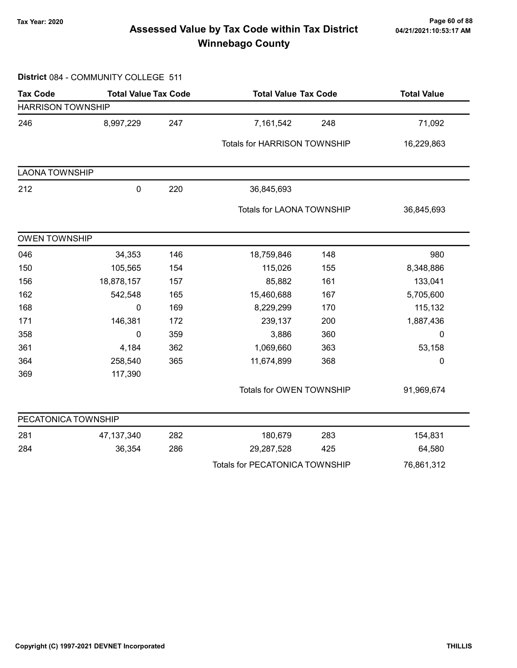# Page 60 of 88 وTax Year: 2020<br>Assessed Value by Tax Code within Tax District هو Assessed Value by Tax Code within Tax District Winnebago County

#### District 084 - COMMUNITY COLLEGE 511

| <b>Tax Code</b>          | <b>Total Value Tax Code</b> |     | <b>Total Value Tax Code</b>           |     | <b>Total Value</b> |  |
|--------------------------|-----------------------------|-----|---------------------------------------|-----|--------------------|--|
| <b>HARRISON TOWNSHIP</b> |                             |     |                                       |     |                    |  |
| 246                      | 8,997,229                   | 247 | 7,161,542                             | 248 | 71,092             |  |
|                          |                             |     | Totals for HARRISON TOWNSHIP          |     | 16,229,863         |  |
| <b>LAONA TOWNSHIP</b>    |                             |     |                                       |     |                    |  |
| 212                      | $\pmb{0}$                   | 220 | 36,845,693                            |     |                    |  |
|                          |                             |     | Totals for LAONA TOWNSHIP             |     | 36,845,693         |  |
| <b>OWEN TOWNSHIP</b>     |                             |     |                                       |     |                    |  |
| 046                      | 34,353                      | 146 | 18,759,846                            | 148 | 980                |  |
| 150                      | 105,565                     | 154 | 115,026                               | 155 | 8,348,886          |  |
| 156                      | 18,878,157                  | 157 | 85,882                                | 161 | 133,041            |  |
| 162                      | 542,548                     | 165 | 15,460,688                            | 167 | 5,705,600          |  |
| 168                      | 0                           | 169 | 8,229,299                             | 170 | 115,132            |  |
| 171                      | 146,381                     | 172 | 239,137                               | 200 | 1,887,436          |  |
| 358                      | 0                           | 359 | 3,886                                 | 360 | 0                  |  |
| 361                      | 4,184                       | 362 | 1,069,660                             | 363 | 53,158             |  |
| 364                      | 258,540                     | 365 | 11,674,899                            | 368 | $\mathbf 0$        |  |
| 369                      | 117,390                     |     |                                       |     |                    |  |
|                          |                             |     | Totals for OWEN TOWNSHIP              |     | 91,969,674         |  |
| PECATONICA TOWNSHIP      |                             |     |                                       |     |                    |  |
| 281                      | 47, 137, 340                | 282 | 180,679                               | 283 | 154,831            |  |
| 284                      | 36,354                      | 286 | 29,287,528                            | 425 | 64,580             |  |
|                          |                             |     | <b>Totals for PECATONICA TOWNSHIP</b> |     | 76,861,312         |  |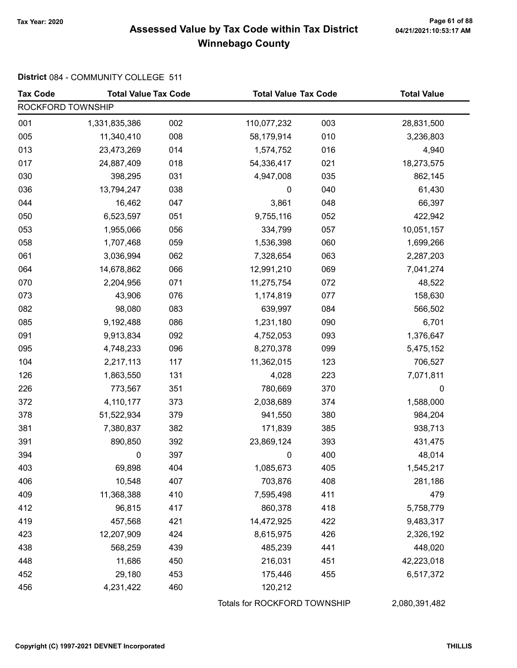# Tax Year: 2020 Page 61 of 88 Assessed Value by Tax Code within Tax District Winnebago County

#### District 084 - COMMUNITY COLLEGE 511

| <b>Tax Code</b>   | <b>Total Value Tax Code</b> |     | <b>Total Value Tax Code</b>  |     | <b>Total Value</b> |
|-------------------|-----------------------------|-----|------------------------------|-----|--------------------|
| ROCKFORD TOWNSHIP |                             |     |                              |     |                    |
| 001               | 1,331,835,386               | 002 | 110,077,232                  | 003 | 28,831,500         |
| 005               | 11,340,410                  | 008 | 58,179,914                   | 010 | 3,236,803          |
| 013               | 23,473,269                  | 014 | 1,574,752                    | 016 | 4,940              |
| 017               | 24,887,409                  | 018 | 54,336,417                   | 021 | 18,273,575         |
| 030               | 398,295                     | 031 | 4,947,008                    | 035 | 862,145            |
| 036               | 13,794,247                  | 038 | 0                            | 040 | 61,430             |
| 044               | 16,462                      | 047 | 3,861                        | 048 | 66,397             |
| 050               | 6,523,597                   | 051 | 9,755,116                    | 052 | 422,942            |
| 053               | 1,955,066                   | 056 | 334,799                      | 057 | 10,051,157         |
| 058               | 1,707,468                   | 059 | 1,536,398                    | 060 | 1,699,266          |
| 061               | 3,036,994                   | 062 | 7,328,654                    | 063 | 2,287,203          |
| 064               | 14,678,862                  | 066 | 12,991,210                   | 069 | 7,041,274          |
| 070               | 2,204,956                   | 071 | 11,275,754                   | 072 | 48,522             |
| 073               | 43,906                      | 076 | 1,174,819                    | 077 | 158,630            |
| 082               | 98,080                      | 083 | 639,997                      | 084 | 566,502            |
| 085               | 9,192,488                   | 086 | 1,231,180                    | 090 | 6,701              |
| 091               | 9,913,834                   | 092 | 4,752,053                    | 093 | 1,376,647          |
| 095               | 4,748,233                   | 096 | 8,270,378                    | 099 | 5,475,152          |
| 104               | 2,217,113                   | 117 | 11,362,015                   | 123 | 706,527            |
| 126               | 1,863,550                   | 131 | 4,028                        | 223 | 7,071,811          |
| 226               | 773,567                     | 351 | 780,669                      | 370 | 0                  |
| 372               | 4,110,177                   | 373 | 2,038,689                    | 374 | 1,588,000          |
| 378               | 51,522,934                  | 379 | 941,550                      | 380 | 984,204            |
| 381               | 7,380,837                   | 382 | 171,839                      | 385 | 938,713            |
| 391               | 890,850                     | 392 | 23,869,124                   | 393 | 431,475            |
| 394               | 0                           | 397 | 0                            | 400 | 48,014             |
| 403               | 69,898                      | 404 | 1,085,673                    | 405 | 1,545,217          |
| 406               | 10,548                      | 407 | 703,876                      | 408 | 281,186            |
| 409               | 11,368,388                  | 410 | 7,595,498                    | 411 | 479                |
| 412               | 96,815                      | 417 | 860,378                      | 418 | 5,758,779          |
| 419               | 457,568                     | 421 | 14,472,925                   | 422 | 9,483,317          |
| 423               | 12,207,909                  | 424 | 8,615,975                    | 426 | 2,326,192          |
| 438               | 568,259                     | 439 | 485,239                      | 441 | 448,020            |
| 448               | 11,686                      | 450 | 216,031                      | 451 | 42,223,018         |
| 452               | 29,180                      | 453 | 175,446                      | 455 | 6,517,372          |
| 456               | 4,231,422                   | 460 | 120,212                      |     |                    |
|                   |                             |     | Totals for ROCKFORD TOWNSHIP |     | 2,080,391,482      |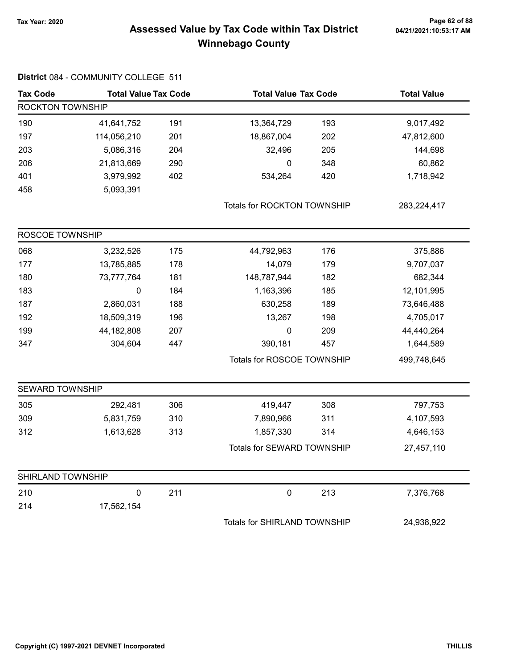District 084 - COMMUNITY COLLEGE 511

# Page 62 of 88 مسمح Page 62 of 88<br>Assessed Value by Tax Code within Tax District مسمح Assessed Value by Tax Code within Tax District Winnebago County

| <b>Tax Code</b>         | <b>Total Value Tax Code</b> |     | <b>Total Value Tax Code</b>  |     | <b>Total Value</b> |
|-------------------------|-----------------------------|-----|------------------------------|-----|--------------------|
| <b>ROCKTON TOWNSHIP</b> |                             |     |                              |     |                    |
| 190                     | 41,641,752                  | 191 | 13,364,729                   | 193 | 9,017,492          |
| 197                     | 114,056,210                 | 201 | 18,867,004                   | 202 | 47,812,600         |
| 203                     | 5,086,316                   | 204 | 32,496                       | 205 | 144,698            |
| 206                     | 21,813,669                  | 290 | $\mathbf 0$                  | 348 | 60,862             |
| 401                     | 3,979,992                   | 402 | 534,264                      | 420 | 1,718,942          |
| 458                     | 5,093,391                   |     |                              |     |                    |
|                         |                             |     | Totals for ROCKTON TOWNSHIP  |     | 283,224,417        |
| ROSCOE TOWNSHIP         |                             |     |                              |     |                    |
| 068                     | 3,232,526                   | 175 | 44,792,963                   | 176 | 375,886            |
| 177                     | 13,785,885                  | 178 | 14,079                       | 179 | 9,707,037          |
| 180                     | 73,777,764                  | 181 | 148,787,944                  | 182 | 682,344            |
| 183                     | $\pmb{0}$                   | 184 | 1,163,396                    | 185 | 12,101,995         |
| 187                     | 2,860,031                   | 188 | 630,258                      | 189 | 73,646,488         |
| 192                     | 18,509,319                  | 196 | 13,267                       | 198 | 4,705,017          |
| 199                     | 44,182,808                  | 207 | 0                            | 209 | 44,440,264         |
| 347                     | 304,604                     | 447 | 390,181                      | 457 | 1,644,589          |
|                         |                             |     | Totals for ROSCOE TOWNSHIP   |     | 499,748,645        |
| <b>SEWARD TOWNSHIP</b>  |                             |     |                              |     |                    |
| 305                     | 292,481                     | 306 | 419,447                      | 308 | 797,753            |
| 309                     | 5,831,759                   | 310 | 7,890,966                    | 311 | 4,107,593          |
| 312                     | 1,613,628                   | 313 | 1,857,330                    | 314 | 4,646,153          |
|                         |                             |     | Totals for SEWARD TOWNSHIP   |     | 27,457,110         |
| SHIRLAND TOWNSHIP       |                             |     |                              |     |                    |
| 210                     | $\pmb{0}$                   | 211 | $\mathbf 0$                  | 213 | 7,376,768          |
| 214                     | 17,562,154                  |     |                              |     |                    |
|                         |                             |     | Totals for SHIRLAND TOWNSHIP |     | 24,938,922         |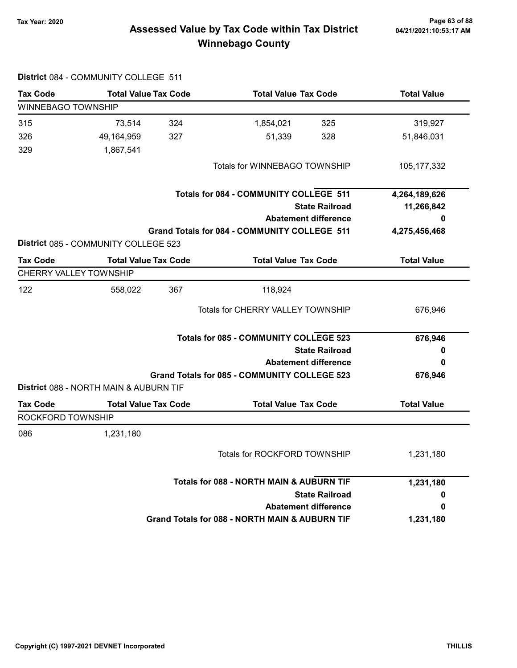# Page 63 of 88 مسمح Page 63 of 88<br>Assessed Value by Tax Code within Tax District مسمح Assessed Value by Tax Code within Tax District Winnebago County

| <b>Tax Code</b>           | <b>Total Value Tax Code</b>            |     | <b>Total Value Tax Code</b>                    | <b>Total Value</b> |
|---------------------------|----------------------------------------|-----|------------------------------------------------|--------------------|
| <b>WINNEBAGO TOWNSHIP</b> |                                        |     |                                                |                    |
| 315                       | 73,514                                 | 324 | 325<br>1,854,021                               | 319,927            |
| 326                       | 49,164,959                             | 327 | 51,339<br>328                                  | 51,846,031         |
| 329                       | 1,867,541                              |     |                                                |                    |
|                           |                                        |     | Totals for WINNEBAGO TOWNSHIP                  | 105, 177, 332      |
|                           |                                        |     | Totals for 084 - COMMUNITY COLLEGE 511         | 4,264,189,626      |
|                           |                                        |     | <b>State Railroad</b>                          | 11,266,842         |
|                           |                                        |     | <b>Abatement difference</b>                    | 0                  |
|                           | District 085 - COMMUNITY COLLEGE 523   |     | Grand Totals for 084 - COMMUNITY COLLEGE 511   | 4,275,456,468      |
| <b>Tax Code</b>           | <b>Total Value Tax Code</b>            |     | <b>Total Value Tax Code</b>                    | <b>Total Value</b> |
|                           | CHERRY VALLEY TOWNSHIP                 |     |                                                |                    |
| 122                       | 558,022                                | 367 | 118,924                                        |                    |
|                           |                                        |     | Totals for CHERRY VALLEY TOWNSHIP              | 676,946            |
|                           |                                        |     | <b>Totals for 085 - COMMUNITY COLLEGE 523</b>  | 676,946            |
|                           |                                        |     | <b>State Railroad</b>                          | 0                  |
|                           |                                        |     | <b>Abatement difference</b>                    | 0                  |
|                           |                                        |     | Grand Totals for 085 - COMMUNITY COLLEGE 523   | 676,946            |
|                           | District 088 - NORTH MAIN & AUBURN TIF |     |                                                |                    |
| <b>Tax Code</b>           | <b>Total Value Tax Code</b>            |     | <b>Total Value Tax Code</b>                    | <b>Total Value</b> |
| ROCKFORD TOWNSHIP         |                                        |     |                                                |                    |
| 086                       | 1,231,180                              |     |                                                |                    |
|                           |                                        |     | Totals for ROCKFORD TOWNSHIP                   | 1,231,180          |
|                           |                                        |     | Totals for 088 - NORTH MAIN & AUBURN TIF       | 1,231,180          |
|                           |                                        |     | <b>State Railroad</b>                          | 0                  |
|                           |                                        |     | <b>Abatement difference</b>                    | 0                  |
|                           |                                        |     | Grand Totals for 088 - NORTH MAIN & AUBURN TIF | 1,231,180          |

#### District 084 - COMMUNITY COLLEGE 511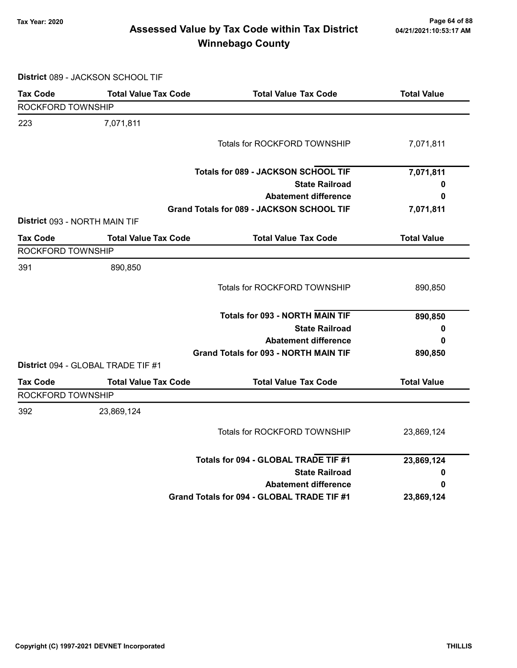# Page 64 of 88 مع Page 64 of 88<br>Assessed Value by Tax Code within Tax District مع Assessed Value by Tax Code Winnebago County

District 089 - JACKSON SCHOOL TIF

| <b>Tax Code</b>   | <b>Total Value Tax Code</b>               | <b>Total Value Tax Code</b>                      | <b>Total Value</b> |
|-------------------|-------------------------------------------|--------------------------------------------------|--------------------|
| ROCKFORD TOWNSHIP |                                           |                                                  |                    |
| 223               | 7,071,811                                 |                                                  |                    |
|                   |                                           | <b>Totals for ROCKFORD TOWNSHIP</b>              | 7,071,811          |
|                   |                                           | Totals for 089 - JACKSON SCHOOL TIF              | 7,071,811          |
|                   |                                           | <b>State Railroad</b>                            | 0                  |
|                   |                                           | <b>Abatement difference</b>                      | 0                  |
|                   |                                           | <b>Grand Totals for 089 - JACKSON SCHOOL TIF</b> | 7,071,811          |
|                   | District 093 - NORTH MAIN TIF             |                                                  |                    |
| <b>Tax Code</b>   | <b>Total Value Tax Code</b>               | <b>Total Value Tax Code</b>                      | <b>Total Value</b> |
| ROCKFORD TOWNSHIP |                                           |                                                  |                    |
| 391               | 890,850                                   |                                                  |                    |
|                   |                                           | Totals for ROCKFORD TOWNSHIP                     | 890,850            |
|                   |                                           | <b>Totals for 093 - NORTH MAIN TIF</b>           | 890,850            |
|                   |                                           | <b>State Railroad</b>                            | 0                  |
|                   |                                           | <b>Abatement difference</b>                      | 0                  |
|                   |                                           | <b>Grand Totals for 093 - NORTH MAIN TIF</b>     | 890,850            |
|                   | <b>District</b> 094 - GLOBAL TRADE TIF #1 |                                                  |                    |
| <b>Tax Code</b>   | <b>Total Value Tax Code</b>               | <b>Total Value Tax Code</b>                      | <b>Total Value</b> |
| ROCKFORD TOWNSHIP |                                           |                                                  |                    |
| 392               | 23,869,124                                |                                                  |                    |
|                   |                                           | Totals for ROCKFORD TOWNSHIP                     | 23,869,124         |
|                   |                                           | Totals for 094 - GLOBAL TRADE TIF #1             | 23,869,124         |
|                   |                                           | <b>State Railroad</b>                            | 0                  |
|                   |                                           | <b>Abatement difference</b>                      | 0                  |
|                   |                                           | Grand Totals for 094 - GLOBAL TRADE TIF #1       | 23,869,124         |
|                   |                                           |                                                  |                    |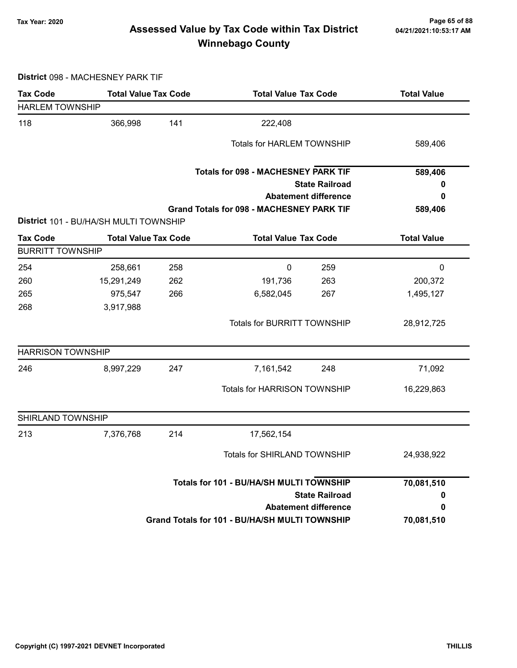# Page 65 of 88 وTax Year: 2020<br>Assessed Value by Tax Code within Tax District هو Assessed Value by Tax Code within Tax District Winnebago County

District 098 - MACHESNEY PARK TIF

| <b>Tax Code</b>          | <b>Total Value Tax Code</b>                    |                                          | <b>Total Value Tax Code</b>                      |                             | <b>Total Value</b> |
|--------------------------|------------------------------------------------|------------------------------------------|--------------------------------------------------|-----------------------------|--------------------|
| <b>HARLEM TOWNSHIP</b>   |                                                |                                          |                                                  |                             |                    |
| 118                      | 366,998                                        | 141                                      | 222,408                                          |                             |                    |
|                          |                                                |                                          | <b>Totals for HARLEM TOWNSHIP</b>                |                             | 589,406            |
|                          |                                                |                                          |                                                  |                             |                    |
|                          |                                                |                                          | <b>Totals for 098 - MACHESNEY PARK TIF</b>       |                             | 589,406            |
|                          |                                                |                                          |                                                  | <b>State Railroad</b>       | 0                  |
|                          |                                                |                                          |                                                  | <b>Abatement difference</b> | 0                  |
|                          |                                                |                                          | <b>Grand Totals for 098 - MACHESNEY PARK TIF</b> |                             | 589,406            |
|                          | District 101 - BU/HA/SH MULTI TOWNSHIP         |                                          |                                                  |                             |                    |
| <b>Tax Code</b>          | <b>Total Value Tax Code</b>                    |                                          | <b>Total Value Tax Code</b>                      |                             | <b>Total Value</b> |
| <b>BURRITT TOWNSHIP</b>  |                                                |                                          |                                                  |                             |                    |
| 254                      | 258,661                                        | 258                                      | $\mathbf 0$                                      | 259                         | $\pmb{0}$          |
| 260                      | 15,291,249                                     | 262                                      | 191,736                                          | 263                         | 200,372            |
| 265                      | 975,547                                        | 266                                      | 6,582,045                                        | 267                         | 1,495,127          |
| 268                      | 3,917,988                                      |                                          |                                                  |                             |                    |
|                          |                                                |                                          | <b>Totals for BURRITT TOWNSHIP</b>               |                             | 28,912,725         |
| <b>HARRISON TOWNSHIP</b> |                                                |                                          |                                                  |                             |                    |
| 246                      | 8,997,229                                      | 247                                      | 7,161,542                                        | 248                         | 71,092             |
|                          |                                                |                                          | Totals for HARRISON TOWNSHIP                     |                             | 16,229,863         |
| SHIRLAND TOWNSHIP        |                                                |                                          |                                                  |                             |                    |
| 213                      | 7,376,768                                      | 214                                      | 17,562,154                                       |                             |                    |
|                          |                                                |                                          | Totals for SHIRLAND TOWNSHIP                     |                             | 24,938,922         |
|                          |                                                | Totals for 101 - BU/HA/SH MULTI TOWNSHIP |                                                  |                             | 70,081,510         |
|                          |                                                |                                          |                                                  | <b>State Railroad</b>       | 0                  |
|                          | <b>Abatement difference</b>                    |                                          |                                                  |                             | 0                  |
|                          | Grand Totals for 101 - BU/HA/SH MULTI TOWNSHIP |                                          |                                                  | 70,081,510                  |                    |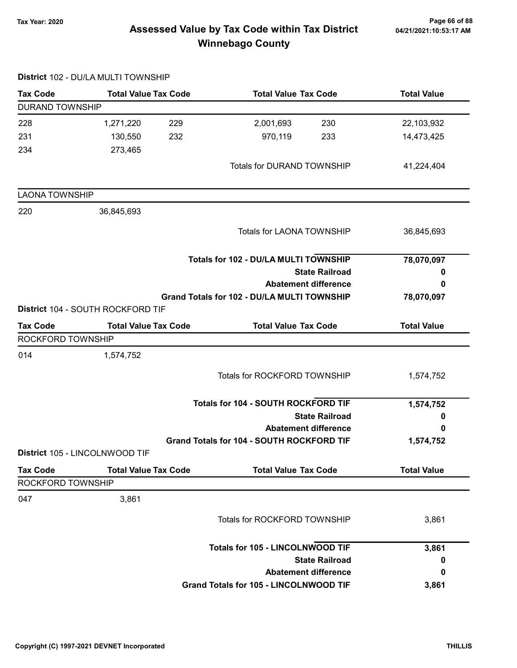# Page 66 of 88 مع Page 66 of 88<br>Assessed Value by Tax Code within Tax District مع Assessed Value by Tax Code Winnebago County

|                        | District 102 - DU/LA MULTI TOWNSHIP |                                             |                    |
|------------------------|-------------------------------------|---------------------------------------------|--------------------|
| <b>Tax Code</b>        | <b>Total Value Tax Code</b>         | <b>Total Value Tax Code</b>                 | <b>Total Value</b> |
| <b>DURAND TOWNSHIP</b> |                                     |                                             |                    |
| 228                    | 1,271,220<br>229                    | 2,001,693<br>230                            | 22,103,932         |
| 231                    | 232<br>130,550                      | 970,119<br>233                              | 14,473,425         |
| 234                    | 273,465                             |                                             |                    |
|                        |                                     | <b>Totals for DURAND TOWNSHIP</b>           | 41,224,404         |
| <b>LAONA TOWNSHIP</b>  |                                     |                                             |                    |
| 220                    | 36,845,693                          |                                             |                    |
|                        |                                     | <b>Totals for LAONA TOWNSHIP</b>            | 36,845,693         |
|                        |                                     | Totals for 102 - DU/LA MULTI TOWNSHIP       | 78,070,097         |
|                        |                                     | <b>State Railroad</b>                       | 0                  |
|                        |                                     | <b>Abatement difference</b>                 | 0                  |
|                        | District 104 - SOUTH ROCKFORD TIF   | Grand Totals for 102 - DU/LA MULTI TOWNSHIP | 78,070,097         |
| <b>Tax Code</b>        | <b>Total Value Tax Code</b>         | <b>Total Value Tax Code</b>                 | <b>Total Value</b> |
| ROCKFORD TOWNSHIP      |                                     |                                             |                    |
| 014                    | 1,574,752                           |                                             |                    |
|                        |                                     | <b>Totals for ROCKFORD TOWNSHIP</b>         | 1,574,752          |
|                        |                                     | Totals for 104 - SOUTH ROCKFORD TIF         | 1,574,752          |
|                        |                                     | <b>State Railroad</b>                       | 0                  |
|                        |                                     | <b>Abatement difference</b>                 | 0                  |
|                        |                                     | Grand Totals for 104 - SOUTH ROCKFORD TIF   | 1,574,752          |
|                        | District 105 - LINCOLNWOOD TIF      |                                             |                    |
| <b>Tax Code</b>        | <b>Total Value Tax Code</b>         | <b>Total Value Tax Code</b>                 | <b>Total Value</b> |
| ROCKFORD TOWNSHIP      |                                     |                                             |                    |
| 047                    | 3,861                               |                                             |                    |
|                        |                                     | <b>Totals for ROCKFORD TOWNSHIP</b>         | 3,861              |
|                        |                                     | <b>Totals for 105 - LINCOLNWOOD TIF</b>     | 3,861              |
|                        |                                     | <b>State Railroad</b>                       | 0                  |
|                        |                                     | <b>Abatement difference</b>                 | 0                  |
|                        |                                     | Grand Totals for 105 - LINCOLNWOOD TIF      | 3,861              |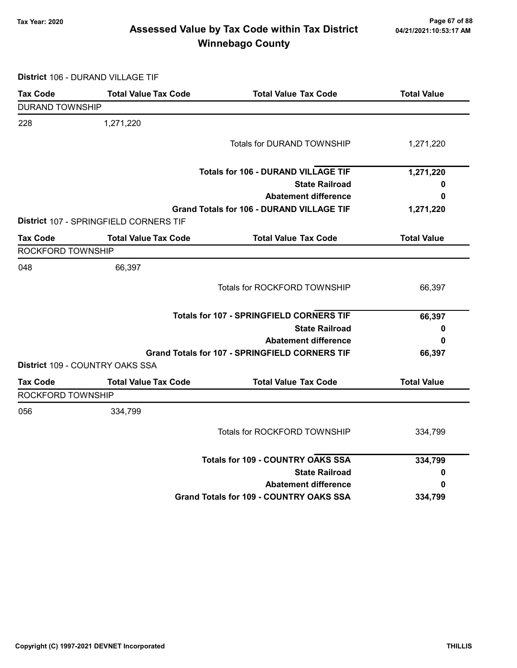# Page 67 of 88 وTax Year: 2020<br>Assessed Value by Tax Code within Tax District هو Assessed Value by Tax Code within Tax District Winnebago County

District 106 - DURAND VILLAGE TIF

| <b>Tax Code</b>        | <b>Total Value Tax Code</b>            | <b>Total Value Tax Code</b>                           | <b>Total Value</b> |
|------------------------|----------------------------------------|-------------------------------------------------------|--------------------|
| <b>DURAND TOWNSHIP</b> |                                        |                                                       |                    |
| 228                    | 1,271,220                              |                                                       |                    |
|                        |                                        | <b>Totals for DURAND TOWNSHIP</b>                     | 1,271,220          |
|                        |                                        | <b>Totals for 106 - DURAND VILLAGE TIF</b>            | 1,271,220          |
|                        |                                        | <b>State Railroad</b>                                 | 0                  |
|                        |                                        | <b>Abatement difference</b>                           | 0                  |
|                        | District 107 - SPRINGFIELD CORNERS TIF | <b>Grand Totals for 106 - DURAND VILLAGE TIF</b>      | 1,271,220          |
| Tax Code               | <b>Total Value Tax Code</b>            | <b>Total Value Tax Code</b>                           | <b>Total Value</b> |
| ROCKFORD TOWNSHIP      |                                        |                                                       |                    |
| 048                    | 66,397                                 |                                                       |                    |
|                        |                                        | Totals for ROCKFORD TOWNSHIP                          | 66,397             |
|                        |                                        | <b>Totals for 107 - SPRINGFIELD CORNERS TIF</b>       | 66,397             |
|                        |                                        | <b>State Railroad</b>                                 | 0                  |
|                        |                                        | <b>Abatement difference</b>                           | 0                  |
|                        |                                        | <b>Grand Totals for 107 - SPRINGFIELD CORNERS TIF</b> | 66,397             |
|                        | District 109 - COUNTRY OAKS SSA        |                                                       |                    |
| <b>Tax Code</b>        | <b>Total Value Tax Code</b>            | <b>Total Value Tax Code</b>                           | <b>Total Value</b> |
| ROCKFORD TOWNSHIP      |                                        |                                                       |                    |
| 056                    | 334,799                                |                                                       |                    |
|                        |                                        | Totals for ROCKFORD TOWNSHIP                          | 334,799            |
|                        |                                        | <b>Totals for 109 - COUNTRY OAKS SSA</b>              | 334,799            |
|                        |                                        | <b>State Railroad</b>                                 | 0                  |
|                        |                                        | <b>Abatement difference</b>                           | 0                  |
|                        |                                        | <b>Grand Totals for 109 - COUNTRY OAKS SSA</b>        | 334,799            |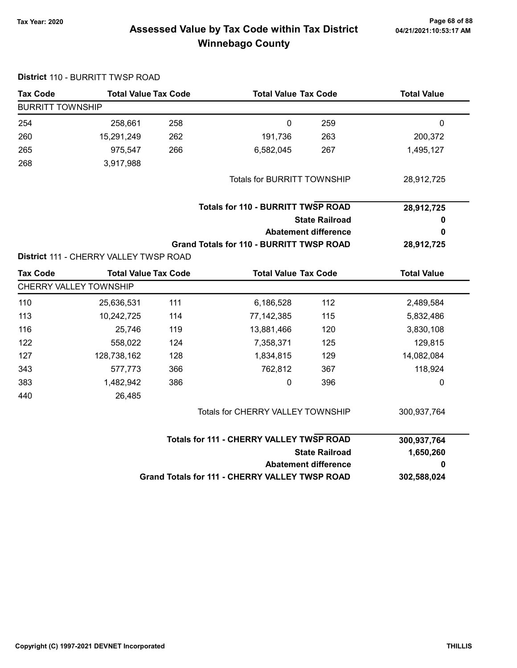District 110 - BURRITT TWSP ROAD

# Page 68 of 88 وTax Year: 2020<br>Assessed Value by Tax Code within Tax District مa/21/2021:10:53:17 AM Winnebago County

| <b>Tax Code</b>         | <b>Total Value Tax Code</b>            |     |                                                       | <b>Total Value Tax Code</b> |                    |
|-------------------------|----------------------------------------|-----|-------------------------------------------------------|-----------------------------|--------------------|
| <b>BURRITT TOWNSHIP</b> |                                        |     |                                                       |                             |                    |
| 254                     | 258,661                                | 258 | $\mathbf 0$                                           | 259                         | 0                  |
| 260                     | 15,291,249                             | 262 | 191,736                                               | 263                         | 200,372            |
| 265                     | 975,547                                | 266 | 6,582,045                                             | 267                         | 1,495,127          |
| 268                     | 3,917,988                              |     |                                                       |                             |                    |
|                         |                                        |     | <b>Totals for BURRITT TOWNSHIP</b>                    |                             | 28,912,725         |
|                         |                                        |     | <b>Totals for 110 - BURRITT TWSP ROAD</b>             |                             | 28,912,725         |
|                         |                                        |     |                                                       | <b>State Railroad</b>       | 0                  |
|                         |                                        |     |                                                       | <b>Abatement difference</b> | 0                  |
|                         |                                        |     | <b>Grand Totals for 110 - BURRITT TWSP ROAD</b>       |                             | 28,912,725         |
|                         | District 111 - CHERRY VALLEY TWSP ROAD |     |                                                       |                             |                    |
| <b>Tax Code</b>         | <b>Total Value Tax Code</b>            |     | <b>Total Value Tax Code</b>                           |                             | <b>Total Value</b> |
|                         | CHERRY VALLEY TOWNSHIP                 |     |                                                       |                             |                    |
| 110                     | 25,636,531                             | 111 | 6,186,528                                             | 112                         | 2,489,584          |
| 113                     | 10,242,725                             | 114 | 77,142,385                                            | 115                         | 5,832,486          |
| 116                     | 25,746                                 | 119 | 13,881,466                                            | 120                         | 3,830,108          |
| 122                     | 558,022                                | 124 | 7,358,371                                             | 125                         | 129,815            |
| 127                     | 128,738,162                            | 128 | 1,834,815                                             | 129                         | 14,082,084         |
| 343                     | 577,773                                | 366 | 762,812                                               | 367                         | 118,924            |
| 383                     | 1,482,942                              | 386 | $\pmb{0}$                                             | 396                         | 0                  |
| 440                     | 26,485                                 |     |                                                       |                             |                    |
|                         |                                        |     | Totals for CHERRY VALLEY TOWNSHIP                     |                             | 300,937,764        |
|                         |                                        |     | <b>Totals for 111 - CHERRY VALLEY TWSP ROAD</b>       |                             | 300,937,764        |
|                         |                                        |     |                                                       | <b>State Railroad</b>       | 1,650,260          |
|                         |                                        |     |                                                       | <b>Abatement difference</b> | 0                  |
|                         |                                        |     | <b>Grand Totals for 111 - CHERRY VALLEY TWSP ROAD</b> |                             | 302,588,024        |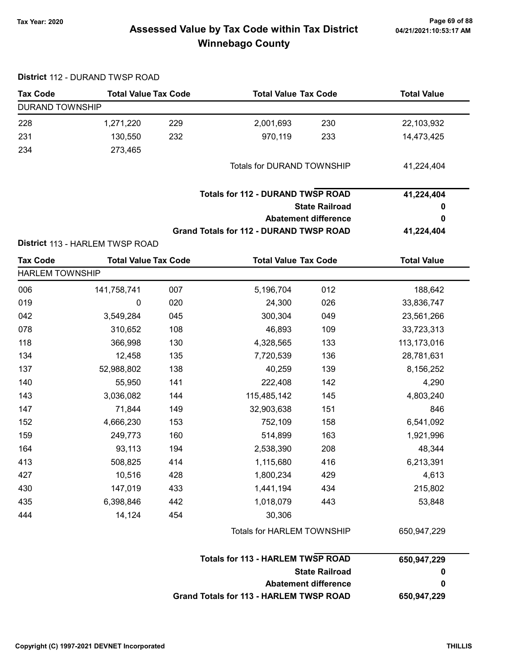# 04/21/2021:10:53:17 AM

# Page 69 of 88 وTax Year: 2020<br>Assessed Value by Tax Code within Tax District هو Assessed Value by Tax Code within Tax District Winnebago County

|                        | District 112 - DURAND TWSP ROAD |     |                                                |                       |                    |
|------------------------|---------------------------------|-----|------------------------------------------------|-----------------------|--------------------|
| <b>Tax Code</b>        | <b>Total Value Tax Code</b>     |     | <b>Total Value Tax Code</b>                    |                       | <b>Total Value</b> |
| <b>DURAND TOWNSHIP</b> |                                 |     |                                                |                       |                    |
| 228                    | 1,271,220                       | 229 | 2,001,693                                      | 230                   | 22,103,932         |
| 231                    | 130,550                         | 232 | 970,119                                        | 233                   | 14,473,425         |
| 234                    | 273,465                         |     |                                                |                       |                    |
|                        |                                 |     | Totals for DURAND TOWNSHIP                     |                       | 41,224,404         |
|                        |                                 |     | <b>Totals for 112 - DURAND TWSP ROAD</b>       |                       | 41,224,404         |
|                        |                                 |     |                                                | <b>State Railroad</b> | 0                  |
|                        |                                 |     | <b>Abatement difference</b>                    |                       | 0                  |
|                        |                                 |     | <b>Grand Totals for 112 - DURAND TWSP ROAD</b> |                       | 41,224,404         |
|                        | District 113 - HARLEM TWSP ROAD |     |                                                |                       |                    |
| <b>Tax Code</b>        | <b>Total Value Tax Code</b>     |     | <b>Total Value Tax Code</b>                    |                       | <b>Total Value</b> |
| <b>HARLEM TOWNSHIP</b> |                                 |     |                                                |                       |                    |
| 006                    | 141,758,741                     | 007 | 5,196,704                                      | 012                   | 188,642            |
| 019                    | 0                               | 020 | 24,300                                         | 026                   | 33,836,747         |
| 042                    | 3,549,284                       | 045 | 300,304                                        | 049                   | 23,561,266         |
| 078                    | 310,652                         | 108 | 46,893                                         | 109                   | 33,723,313         |
| 118                    | 366,998                         | 130 | 4,328,565                                      | 133                   | 113,173,016        |
| 134                    | 12,458                          | 135 | 7,720,539                                      | 136                   | 28,781,631         |
| 137                    | 52,988,802                      | 138 | 40,259                                         | 139                   | 8,156,252          |
| 140                    | 55,950                          | 141 | 222,408                                        | 142                   | 4,290              |
| 143                    | 3,036,082                       | 144 | 115,485,142                                    | 145                   | 4,803,240          |
| 147                    | 71,844                          | 149 | 32,903,638                                     | 151                   | 846                |
| 152                    | 4,666,230                       | 153 | 752,109                                        | 158                   | 6,541,092          |
| 159                    | 249,773                         | 160 | 514,899                                        | 163                   | 1,921,996          |
| 164                    | 93,113                          | 194 | 2,538,390                                      | 208                   | 48,344             |
| 413                    | 508,825                         | 414 | 1,115,680                                      | 416                   | 6,213,391          |
| 427                    | 10,516                          | 428 | 1,800,234                                      | 429                   | 4,613              |
| 430                    | 147,019                         | 433 | 1,441,194                                      | 434                   | 215,802            |
| 435                    | 6,398,846                       | 442 | 1,018,079                                      | 443                   | 53,848             |
| 444                    | 14,124                          | 454 | 30,306                                         |                       |                    |
|                        |                                 |     | Totals for HARLEM TOWNSHIP                     |                       | 650,947,229        |
|                        |                                 |     | <b>Totals for 113 - HARLEM TWSP ROAD</b>       |                       | 650,947,229        |
|                        |                                 |     |                                                | <b>State Railroad</b> | 0                  |
|                        |                                 |     | <b>Abatement difference</b>                    |                       | 0                  |
|                        |                                 |     | <b>Grand Totals for 113 - HARLEM TWSP ROAD</b> |                       | 650,947,229        |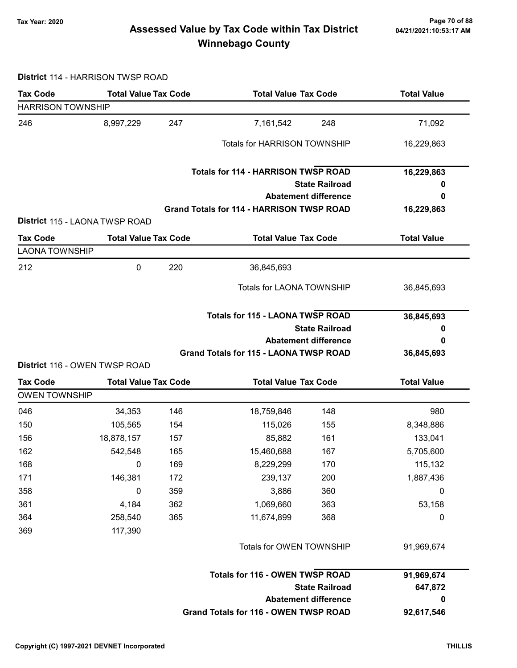# Page 70 of 88 Page 70 of 88<br>Assessed Value by Tax Code within Tax District هو Assessed Value by Tax Code within Tax District Winnebago County

#### District 114 - HARRISON TWSP ROAD

| <b>Tax Code</b>                         | <b>Total Value Tax Code</b>    |     | <b>Total Value Tax Code</b>                      |                             | <b>Total Value</b> |
|-----------------------------------------|--------------------------------|-----|--------------------------------------------------|-----------------------------|--------------------|
| <b>HARRISON TOWNSHIP</b>                |                                |     |                                                  |                             |                    |
| 246                                     | 8,997,229                      | 247 | 7,161,542                                        | 248                         | 71,092             |
|                                         |                                |     | <b>Totals for HARRISON TOWNSHIP</b>              |                             | 16,229,863         |
|                                         |                                |     | <b>Totals for 114 - HARRISON TWSP ROAD</b>       |                             | 16,229,863         |
|                                         |                                |     |                                                  | <b>State Railroad</b>       | o                  |
|                                         |                                |     |                                                  | <b>Abatement difference</b> | 0                  |
|                                         | District 115 - LAONA TWSP ROAD |     | <b>Grand Totals for 114 - HARRISON TWSP ROAD</b> |                             | 16,229,863         |
| <b>Tax Code</b>                         | <b>Total Value Tax Code</b>    |     |                                                  | <b>Total Value Tax Code</b> |                    |
| <b>LAONA TOWNSHIP</b>                   |                                |     |                                                  |                             |                    |
| 212                                     | 0                              | 220 | 36,845,693                                       |                             |                    |
|                                         |                                |     | <b>Totals for LAONA TOWNSHIP</b>                 |                             | 36,845,693         |
|                                         |                                |     | <b>Totals for 115 - LAONA TWSP ROAD</b>          |                             | 36,845,693         |
|                                         |                                |     |                                                  | <b>State Railroad</b>       | 0                  |
|                                         |                                |     |                                                  | <b>Abatement difference</b> | 0                  |
|                                         |                                |     | Grand Totals for 115 - LAONA TWSP ROAD           |                             | 36,845,693         |
|                                         | District 116 - OWEN TWSP ROAD  |     |                                                  |                             |                    |
| <b>Tax Code</b><br><b>OWEN TOWNSHIP</b> | <b>Total Value Tax Code</b>    |     | <b>Total Value Tax Code</b>                      |                             | <b>Total Value</b> |
| 046                                     | 34,353                         | 146 | 18,759,846                                       | 148                         | 980                |
| 150                                     | 105,565                        | 154 | 115,026                                          | 155                         | 8,348,886          |
| 156                                     | 18,878,157                     | 157 | 85,882                                           | 161                         | 133,041            |
| 162                                     | 542,548                        | 165 | 15,460,688                                       | 167                         | 5,705,600          |
| 168                                     | $\overline{\phantom{0}}$       | 169 | 8,229,299                                        | 170                         | 115,132            |
| 171                                     | 146,381                        | 172 | 239,137                                          | 200                         | 1,887,436          |
| 358                                     | 0                              | 359 | 3,886                                            | 360                         | 0                  |
| 361                                     | 4,184                          | 362 | 1,069,660                                        | 363                         | 53,158             |
| 364                                     | 258,540                        | 365 | 11,674,899                                       | 368                         | 0                  |
| 369                                     | 117,390                        |     |                                                  |                             |                    |
|                                         |                                |     | Totals for OWEN TOWNSHIP                         |                             | 91,969,674         |
|                                         |                                |     | <b>Totals for 116 - OWEN TWSP ROAD</b>           |                             | 91,969,674         |
|                                         |                                |     |                                                  | <b>State Railroad</b>       | 647,872            |
|                                         |                                |     |                                                  | <b>Abatement difference</b> | 0                  |
|                                         |                                |     | Grand Totals for 116 - OWEN TWSP ROAD            |                             | 92,617,546         |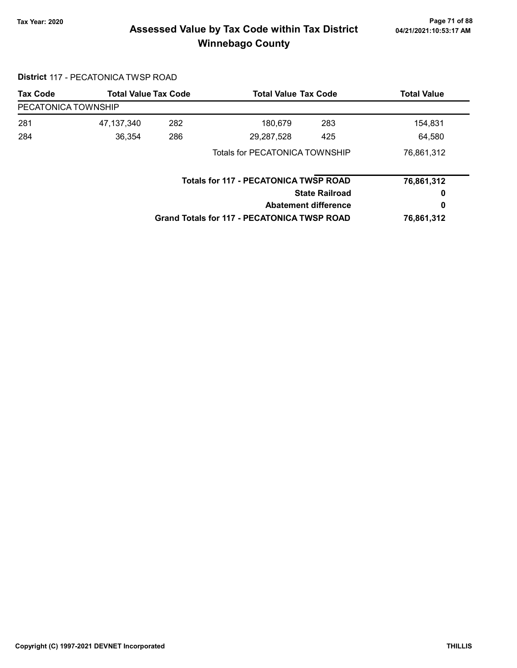# Page 71 of 88 مع Page 71 of 88<br>Assessed Value by Tax Code within Tax District مع Assessed Value by Tax Code Winnebago County

#### District 117 - PECATONICA TWSP ROAD

| <b>Tax Code</b>     |            | <b>Total Value Tax Code</b><br><b>Total Value Tax Code</b><br><b>Total Value</b> |                                                    |                       |            |  |
|---------------------|------------|----------------------------------------------------------------------------------|----------------------------------------------------|-----------------------|------------|--|
| PECATONICA TOWNSHIP |            |                                                                                  |                                                    |                       |            |  |
| 281                 | 47,137,340 | 282                                                                              | 180,679                                            | 283                   | 154,831    |  |
| 284                 | 36,354     | 286                                                                              | 29,287,528                                         | 425                   | 64,580     |  |
|                     |            |                                                                                  | Totals for PECATONICA TOWNSHIP                     |                       | 76,861,312 |  |
|                     |            |                                                                                  | <b>Totals for 117 - PECATONICA TWSP ROAD</b>       |                       | 76,861,312 |  |
|                     |            |                                                                                  |                                                    | <b>State Railroad</b> | 0          |  |
|                     |            |                                                                                  | <b>Abatement difference</b>                        |                       | 0          |  |
|                     |            |                                                                                  | <b>Grand Totals for 117 - PECATONICA TWSP ROAD</b> |                       | 76,861,312 |  |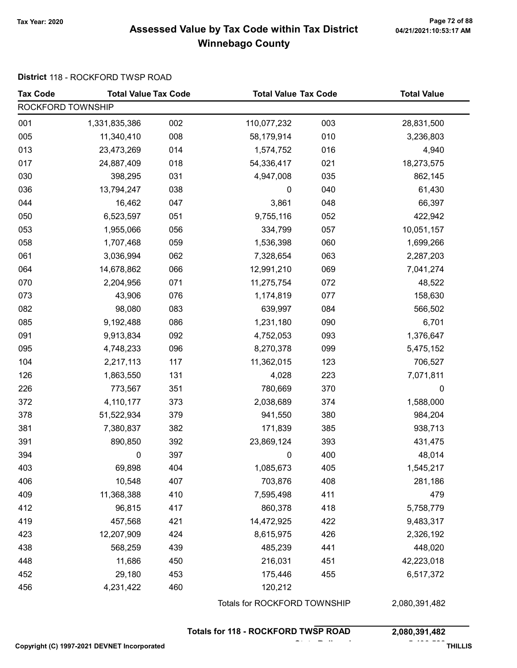# Page 72 of 88 مسمح Page 72 of 88<br>Assessed Value by Tax Code within Tax District مسمح Assessed Value by Tax Code within Tax District Winnebago County

#### District 118 - ROCKFORD TWSP ROAD

| <b>Tax Code</b>   | <b>Total Value Tax Code</b> |     |                              | <b>Total Value Tax Code</b>                |               |  |
|-------------------|-----------------------------|-----|------------------------------|--------------------------------------------|---------------|--|
| ROCKFORD TOWNSHIP |                             |     |                              |                                            |               |  |
| 001               | 1,331,835,386               | 002 | 110,077,232                  | 003                                        | 28,831,500    |  |
| 005               | 11,340,410                  | 008 | 58,179,914                   | 010                                        | 3,236,803     |  |
| 013               | 23,473,269                  | 014 | 1,574,752                    | 016                                        | 4,940         |  |
| 017               | 24,887,409                  | 018 | 54,336,417                   | 021                                        | 18,273,575    |  |
| 030               | 398,295                     | 031 | 4,947,008                    | 035                                        | 862,145       |  |
| 036               | 13,794,247                  | 038 | $\mathbf 0$                  | 040                                        | 61,430        |  |
| 044               | 16,462                      | 047 | 3,861                        | 048                                        | 66,397        |  |
| 050               | 6,523,597                   | 051 | 9,755,116                    | 052                                        | 422,942       |  |
| 053               | 1,955,066                   | 056 | 334,799                      | 057                                        | 10,051,157    |  |
| 058               | 1,707,468                   | 059 | 1,536,398                    | 060                                        | 1,699,266     |  |
| 061               | 3,036,994                   | 062 | 7,328,654                    | 063                                        | 2,287,203     |  |
| 064               | 14,678,862                  | 066 | 12,991,210                   | 069                                        | 7,041,274     |  |
| 070               | 2,204,956                   | 071 | 11,275,754                   | 072                                        | 48,522        |  |
| 073               | 43,906                      | 076 | 1,174,819                    | 077                                        | 158,630       |  |
| 082               | 98,080                      | 083 | 639,997                      | 084                                        | 566,502       |  |
| 085               | 9,192,488                   | 086 | 1,231,180                    | 090                                        | 6,701         |  |
| 091               | 9,913,834                   | 092 | 4,752,053                    | 093                                        | 1,376,647     |  |
| 095               | 4,748,233                   | 096 | 8,270,378                    | 099                                        | 5,475,152     |  |
| 104               | 2,217,113                   | 117 | 11,362,015                   | 123                                        | 706,527       |  |
| 126               | 1,863,550                   | 131 | 4,028                        | 223                                        | 7,071,811     |  |
| 226               | 773,567                     | 351 | 780,669                      | 370                                        | $\mathbf 0$   |  |
| 372               | 4,110,177                   | 373 | 2,038,689                    | 374                                        | 1,588,000     |  |
| 378               | 51,522,934                  | 379 | 941,550                      | 380                                        | 984,204       |  |
| 381               | 7,380,837                   | 382 | 171,839                      | 385                                        | 938,713       |  |
| 391               | 890,850                     | 392 | 23,869,124                   | 393                                        | 431,475       |  |
| 394               | 0                           | 397 | 0                            | 400                                        | 48,014        |  |
| 403               | 69,898                      | 404 | 1,085,673                    | 405                                        | 1,545,217     |  |
| 406               | 10,548                      | 407 | 703,876                      | 408                                        | 281,186       |  |
| 409               | 11,368,388                  | 410 | 7,595,498                    | 411                                        | 479           |  |
| 412               | 96,815                      | 417 | 860,378                      | 418                                        | 5,758,779     |  |
| 419               | 457,568                     | 421 | 14,472,925                   | 422                                        | 9,483,317     |  |
| 423               | 12,207,909                  | 424 | 8,615,975                    | 426                                        | 2,326,192     |  |
| 438               | 568,259                     | 439 | 485,239                      | 441                                        | 448,020       |  |
| 448               | 11,686                      | 450 | 216,031                      | 451                                        | 42,223,018    |  |
| 452               | 29,180                      | 453 | 175,446                      | 455                                        | 6,517,372     |  |
| 456               | 4,231,422                   | 460 | 120,212                      |                                            |               |  |
|                   |                             |     | Totals for ROCKFORD TOWNSHIP |                                            | 2,080,391,482 |  |
|                   |                             |     |                              | <b>Totals for 118 - ROCKFORD TWSP ROAD</b> |               |  |

Copyright (C) 1997-2021 DEVNET Incorporated 5,406,588 THILLIS

State Railroad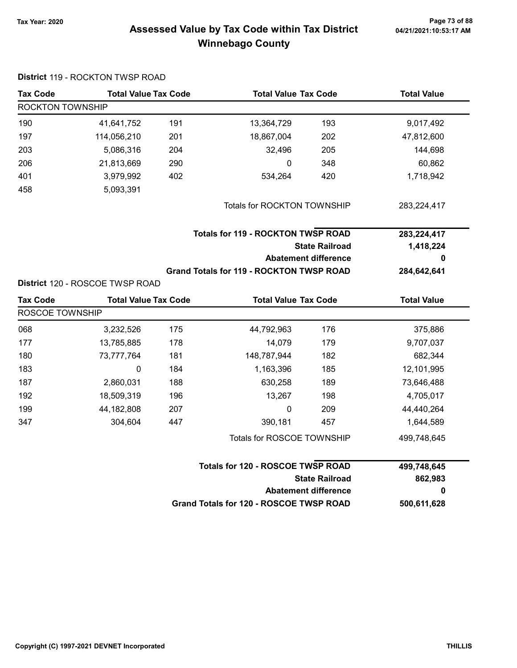### Page 73 of 88 و Tax Year: 2020<br>Assessed Value by Tax Code within Tax District هو Assessed Value by Tax Code within Tax District Winnebago County

| DISTILI 119 - RUUNTUN TWOP RUAD<br><b>Tax Code</b> | <b>Total Value Tax Code</b>     |     | <b>Total Value Tax Code</b>                     |                                                      | <b>Total Value</b>     |
|----------------------------------------------------|---------------------------------|-----|-------------------------------------------------|------------------------------------------------------|------------------------|
| ROCKTON TOWNSHIP                                   |                                 |     |                                                 |                                                      |                        |
| 190                                                | 41,641,752                      | 191 | 13,364,729                                      | 193                                                  | 9,017,492              |
| 197                                                | 114,056,210                     | 201 | 18,867,004                                      | 202                                                  | 47,812,600             |
| 203                                                | 5,086,316                       | 204 | 32,496                                          | 205                                                  | 144,698                |
| 206                                                | 21,813,669                      | 290 | 0                                               | 348                                                  | 60,862                 |
| 401                                                | 3,979,992                       | 402 | 534,264                                         | 420                                                  | 1,718,942              |
| 458                                                | 5,093,391                       |     |                                                 |                                                      |                        |
|                                                    |                                 |     | Totals for ROCKTON TOWNSHIP                     |                                                      | 283,224,417            |
|                                                    |                                 |     | <b>Totals for 119 - ROCKTON TWSP ROAD</b>       |                                                      | 283,224,417            |
|                                                    |                                 |     |                                                 | <b>State Railroad</b>                                | 1,418,224              |
|                                                    |                                 |     |                                                 | <b>Abatement difference</b>                          | 0                      |
|                                                    |                                 |     | <b>Grand Totals for 119 - ROCKTON TWSP ROAD</b> |                                                      | 284,642,641            |
|                                                    | District 120 - ROSCOE TWSP ROAD |     |                                                 |                                                      |                        |
| <b>Tax Code</b>                                    | <b>Total Value Tax Code</b>     |     | <b>Total Value Tax Code</b>                     |                                                      | <b>Total Value</b>     |
| ROSCOE TOWNSHIP                                    |                                 |     |                                                 |                                                      |                        |
| 068                                                | 3,232,526                       | 175 | 44,792,963                                      | 176                                                  | 375,886                |
| 177                                                | 13,785,885                      | 178 | 14,079                                          | 179                                                  | 9,707,037              |
| 180                                                | 73,777,764                      | 181 | 148,787,944                                     | 182                                                  | 682,344                |
| 183                                                | $\mathbf 0$                     | 184 | 1,163,396                                       | 185                                                  | 12,101,995             |
|                                                    |                                 |     |                                                 |                                                      |                        |
| 187                                                | 2,860,031                       | 188 | 630,258                                         | 189                                                  | 73,646,488             |
| 192                                                | 18,509,319                      | 196 | 13,267                                          | 198                                                  | 4,705,017              |
| 199                                                | 44,182,808                      | 207 | 0                                               | 209                                                  | 44,440,264             |
| 347                                                | 304,604                         | 447 | 390,181                                         | 457                                                  | 1,644,589              |
|                                                    |                                 |     | Totals for ROSCOE TOWNSHIP                      |                                                      | 499,748,645            |
|                                                    |                                 |     | Totals for 120 - ROSCOE TWSP ROAD               |                                                      |                        |
|                                                    |                                 |     |                                                 | <b>State Railroad</b><br><b>Abatement difference</b> | 499,748,645<br>862,983 |

#### District 119 - ROCKTON TWSP ROAD

Grand Totals for 120 - ROSCOE TWSP ROAD 500,611,628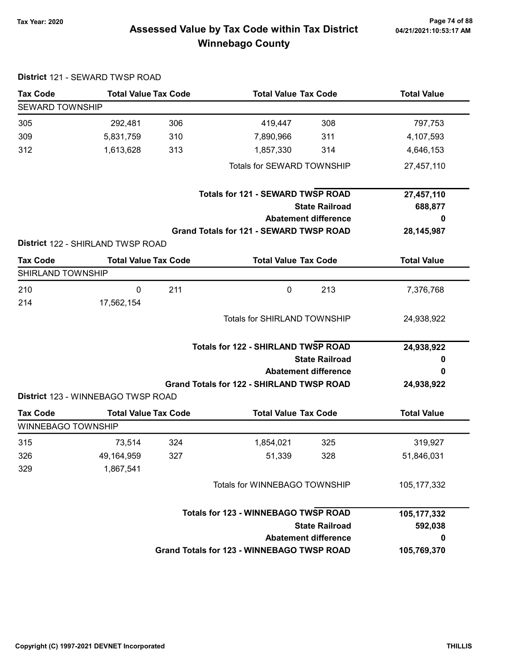District 121 - SEWARD TWSP ROAD

### Page 74 of 88 مع Page 74 of 88<br>Assessed Value by Tax Code within Tax District مع Assessed Value by Tax Code Winnebago County

| <b>Tax Code</b>           | <b>Total Value Tax Code</b>              |     | <b>Total Value Tax Code</b>                       |                       | <b>Total Value</b> |
|---------------------------|------------------------------------------|-----|---------------------------------------------------|-----------------------|--------------------|
| <b>SEWARD TOWNSHIP</b>    |                                          |     |                                                   |                       |                    |
| 305                       | 292,481                                  | 306 | 419,447                                           | 308                   | 797,753            |
| 309                       | 5,831,759                                | 310 | 7,890,966                                         | 311                   | 4,107,593          |
| 312                       | 1,613,628                                | 313 | 1,857,330                                         | 314                   | 4,646,153          |
|                           |                                          |     | Totals for SEWARD TOWNSHIP                        |                       | 27,457,110         |
|                           |                                          |     | <b>Totals for 121 - SEWARD TWSP ROAD</b>          |                       | 27,457,110         |
|                           |                                          |     |                                                   | <b>State Railroad</b> | 688,877            |
|                           |                                          |     | <b>Abatement difference</b>                       |                       | 0                  |
|                           |                                          |     | <b>Grand Totals for 121 - SEWARD TWSP ROAD</b>    |                       | 28, 145, 987       |
|                           | <b>District 122 - SHIRLAND TWSP ROAD</b> |     |                                                   |                       |                    |
| <b>Tax Code</b>           | <b>Total Value Tax Code</b>              |     | <b>Total Value Tax Code</b>                       |                       | <b>Total Value</b> |
| SHIRLAND TOWNSHIP         |                                          |     |                                                   |                       |                    |
| 210                       | $\mathbf 0$                              | 211 | $\mathbf 0$                                       | 213                   | 7,376,768          |
| 214                       | 17,562,154                               |     |                                                   |                       |                    |
|                           |                                          |     | <b>Totals for SHIRLAND TOWNSHIP</b>               |                       | 24,938,922         |
|                           |                                          |     | <b>Totals for 122 - SHIRLAND TWSP ROAD</b>        |                       | 24,938,922         |
|                           |                                          |     |                                                   | <b>State Railroad</b> | 0                  |
|                           |                                          |     | <b>Abatement difference</b>                       |                       | 0                  |
|                           |                                          |     | <b>Grand Totals for 122 - SHIRLAND TWSP ROAD</b>  |                       | 24,938,922         |
|                           | District 123 - WINNEBAGO TWSP ROAD       |     |                                                   |                       |                    |
| <b>Tax Code</b>           | <b>Total Value Tax Code</b>              |     | <b>Total Value Tax Code</b>                       |                       | <b>Total Value</b> |
| <b>WINNEBAGO TOWNSHIP</b> |                                          |     |                                                   |                       |                    |
| 315                       | 73,514                                   | 324 | 1,854,021                                         | 325                   | 319,927            |
| 326                       | 49,164,959                               | 327 | 51,339                                            | 328                   | 51,846,031         |
| 329                       | 1,867,541                                |     |                                                   |                       |                    |
|                           |                                          |     | Totals for WINNEBAGO TOWNSHIP                     |                       | 105, 177, 332      |
|                           |                                          |     | <b>Totals for 123 - WINNEBAGO TWSP ROAD</b>       |                       | 105, 177, 332      |
|                           |                                          |     |                                                   | <b>State Railroad</b> | 592,038            |
|                           |                                          |     | <b>Abatement difference</b>                       |                       | 0                  |
|                           |                                          |     | <b>Grand Totals for 123 - WINNEBAGO TWSP ROAD</b> |                       | 105,769,370        |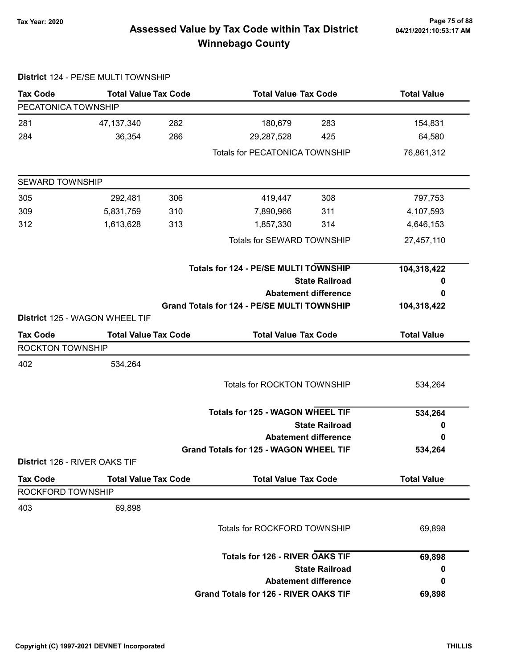## Page 75 of 88 وTax Year: 2020<br>Assessed Value by Tax Code within Tax District هو Assessed Value by Tax Code within Tax District

|                         | District 124 - PE/SE MULTI TOWNSHIP |     |                                                    |                       |                    |
|-------------------------|-------------------------------------|-----|----------------------------------------------------|-----------------------|--------------------|
| <b>Tax Code</b>         | <b>Total Value Tax Code</b>         |     | <b>Total Value Tax Code</b>                        |                       | <b>Total Value</b> |
| PECATONICA TOWNSHIP     |                                     |     |                                                    |                       |                    |
| 281                     | 47, 137, 340                        | 282 | 180,679                                            | 283                   | 154,831            |
| 284                     | 36,354                              | 286 | 29,287,528                                         | 425                   | 64,580             |
|                         |                                     |     | <b>Totals for PECATONICA TOWNSHIP</b>              |                       | 76,861,312         |
| <b>SEWARD TOWNSHIP</b>  |                                     |     |                                                    |                       |                    |
| 305                     | 292,481                             | 306 | 419,447                                            | 308                   | 797,753            |
| 309                     | 5,831,759                           | 310 | 7,890,966                                          | 311                   | 4,107,593          |
| 312                     | 1,613,628                           | 313 | 1,857,330                                          | 314                   | 4,646,153          |
|                         |                                     |     | <b>Totals for SEWARD TOWNSHIP</b>                  |                       | 27,457,110         |
|                         |                                     |     | <b>Totals for 124 - PE/SE MULTI TOWNSHIP</b>       |                       | 104,318,422        |
|                         |                                     |     |                                                    | <b>State Railroad</b> | 0                  |
|                         |                                     |     | <b>Abatement difference</b>                        |                       | 0                  |
|                         |                                     |     | <b>Grand Totals for 124 - PE/SE MULTI TOWNSHIP</b> |                       | 104,318,422        |
|                         | District 125 - WAGON WHEEL TIF      |     |                                                    |                       |                    |
| <b>Tax Code</b>         | <b>Total Value Tax Code</b>         |     | <b>Total Value Tax Code</b>                        |                       | <b>Total Value</b> |
| <b>ROCKTON TOWNSHIP</b> |                                     |     |                                                    |                       |                    |
| 402                     | 534,264                             |     |                                                    |                       |                    |
|                         |                                     |     | <b>Totals for ROCKTON TOWNSHIP</b>                 |                       | 534,264            |
|                         |                                     |     | <b>Totals for 125 - WAGON WHEEL TIF</b>            |                       | 534,264            |
|                         |                                     |     |                                                    | <b>State Railroad</b> | 0                  |
|                         |                                     |     | <b>Abatement difference</b>                        |                       | 0                  |
|                         |                                     |     | Grand Totals for 125 - WAGON WHEEL TIF             |                       | 534,264            |
|                         | District 126 - RIVER OAKS TIF       |     |                                                    |                       |                    |
| <b>Tax Code</b>         | <b>Total Value Tax Code</b>         |     | <b>Total Value Tax Code</b>                        |                       | <b>Total Value</b> |
| ROCKFORD TOWNSHIP       |                                     |     |                                                    |                       |                    |
| 403                     | 69,898                              |     |                                                    |                       |                    |
|                         |                                     |     | <b>Totals for ROCKFORD TOWNSHIP</b>                |                       | 69,898             |
|                         |                                     |     | <b>Totals for 126 - RIVER OAKS TIF</b>             |                       | 69,898             |
|                         |                                     |     |                                                    | <b>State Railroad</b> | 0                  |
|                         |                                     |     | <b>Abatement difference</b>                        |                       | 0                  |
|                         |                                     |     | Grand Totals for 126 - RIVER OAKS TIF              |                       | 69,898             |

# Winnebago County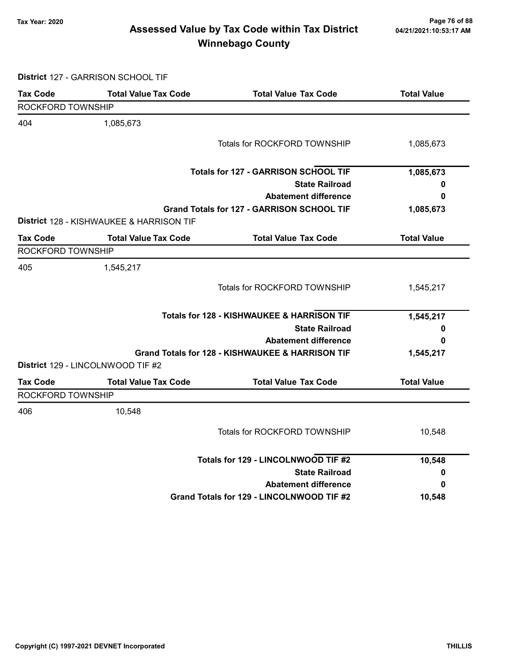### Page 76 of 88 مع Page 76 of 88<br>Assessed Value by Tax Code within Tax District مع Assessed Value by Tax Code within Tax District Winnebago County

District 127 - GARRISON SCHOOL TIF

| <b>Tax Code</b>   | <b>Total Value Tax Code</b>                         | <b>Total Value Tax Code</b>                           | <b>Total Value</b> |
|-------------------|-----------------------------------------------------|-------------------------------------------------------|--------------------|
| ROCKFORD TOWNSHIP |                                                     |                                                       |                    |
| 404               | 1,085,673                                           |                                                       |                    |
|                   |                                                     | <b>Totals for ROCKFORD TOWNSHIP</b>                   | 1,085,673          |
|                   |                                                     | <b>Totals for 127 - GARRISON SCHOOL TIF</b>           | 1,085,673          |
|                   |                                                     | <b>State Railroad</b>                                 | 0                  |
|                   |                                                     | <b>Abatement difference</b>                           | 0                  |
|                   |                                                     | Grand Totals for 127 - GARRISON SCHOOL TIF            | 1,085,673          |
|                   | <b>District 128 - KISHWAUKEE &amp; HARRISON TIF</b> |                                                       |                    |
| Tax Code          | <b>Total Value Tax Code</b>                         | <b>Total Value Tax Code</b>                           | <b>Total Value</b> |
| ROCKFORD TOWNSHIP |                                                     |                                                       |                    |
| 405               | 1,545,217                                           |                                                       |                    |
|                   |                                                     | Totals for ROCKFORD TOWNSHIP                          | 1,545,217          |
|                   |                                                     | <b>Totals for 128 - KISHWAUKEE &amp; HARRISON TIF</b> | 1,545,217          |
|                   |                                                     | <b>State Railroad</b>                                 | 0                  |
|                   |                                                     | <b>Abatement difference</b>                           | 0                  |
|                   |                                                     | Grand Totals for 128 - KISHWAUKEE & HARRISON TIF      | 1,545,217          |
|                   | District 129 - LINCOLNWOOD TIF #2                   |                                                       |                    |
| <b>Tax Code</b>   | <b>Total Value Tax Code</b>                         | <b>Total Value Tax Code</b>                           | <b>Total Value</b> |
| ROCKFORD TOWNSHIP |                                                     |                                                       |                    |
| 406               | 10,548                                              |                                                       |                    |
|                   |                                                     | Totals for ROCKFORD TOWNSHIP                          | 10,548             |
|                   |                                                     | Totals for 129 - LINCOLNWOOD TIF #2                   | 10,548             |
|                   |                                                     | <b>State Railroad</b>                                 | 0                  |
|                   |                                                     | <b>Abatement difference</b>                           | 0                  |
|                   |                                                     | Grand Totals for 129 - LINCOLNWOOD TIF #2             | 10,548             |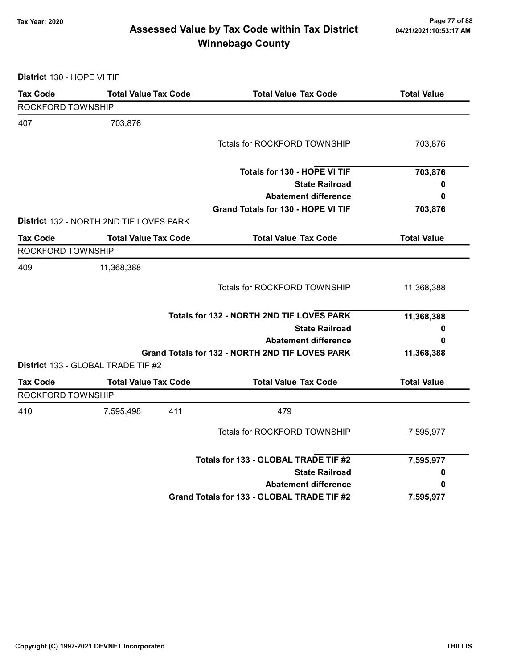### Page 77 of 88 مسلم Page 77 of 88<br>Assessed Value by Tax Code within Tax District مسلم 121/2021:10:53:17 Am Winnebago County

District 130 - HOPE VI TIF

| <b>Tax Code</b>   | <b>Total Value Tax Code</b>             | <b>Total Value Tax Code</b>                     | <b>Total Value</b> |
|-------------------|-----------------------------------------|-------------------------------------------------|--------------------|
| ROCKFORD TOWNSHIP |                                         |                                                 |                    |
| 407               | 703,876                                 |                                                 |                    |
|                   |                                         | Totals for ROCKFORD TOWNSHIP                    | 703,876            |
|                   |                                         | Totals for 130 - HOPE VI TIF                    | 703,876            |
|                   |                                         | <b>State Railroad</b>                           | 0                  |
|                   |                                         | <b>Abatement difference</b>                     | 0                  |
|                   |                                         | Grand Totals for 130 - HOPE VI TIF              | 703,876            |
|                   | District 132 - NORTH 2ND TIF LOVES PARK |                                                 |                    |
| <b>Tax Code</b>   | <b>Total Value Tax Code</b>             | <b>Total Value Tax Code</b>                     | <b>Total Value</b> |
| ROCKFORD TOWNSHIP |                                         |                                                 |                    |
| 409               | 11,368,388                              |                                                 |                    |
|                   |                                         | Totals for ROCKFORD TOWNSHIP                    | 11,368,388         |
|                   |                                         | Totals for 132 - NORTH 2ND TIF LOVES PARK       | 11,368,388         |
|                   |                                         | <b>State Railroad</b>                           | 0                  |
|                   |                                         | <b>Abatement difference</b>                     | 0                  |
|                   | District 133 - GLOBAL TRADE TIF #2      | Grand Totals for 132 - NORTH 2ND TIF LOVES PARK | 11,368,388         |
| <b>Tax Code</b>   | <b>Total Value Tax Code</b>             | <b>Total Value Tax Code</b>                     | <b>Total Value</b> |
| ROCKFORD TOWNSHIP |                                         |                                                 |                    |
| 410               | 7,595,498                               | 411<br>479                                      |                    |
|                   |                                         | Totals for ROCKFORD TOWNSHIP                    | 7,595,977          |
|                   |                                         | Totals for 133 - GLOBAL TRADE TIF #2            | 7,595,977          |
|                   |                                         | <b>State Railroad</b>                           | 0                  |
|                   |                                         | <b>Abatement difference</b>                     | 0                  |
|                   |                                         | Grand Totals for 133 - GLOBAL TRADE TIF #2      | 7,595,977          |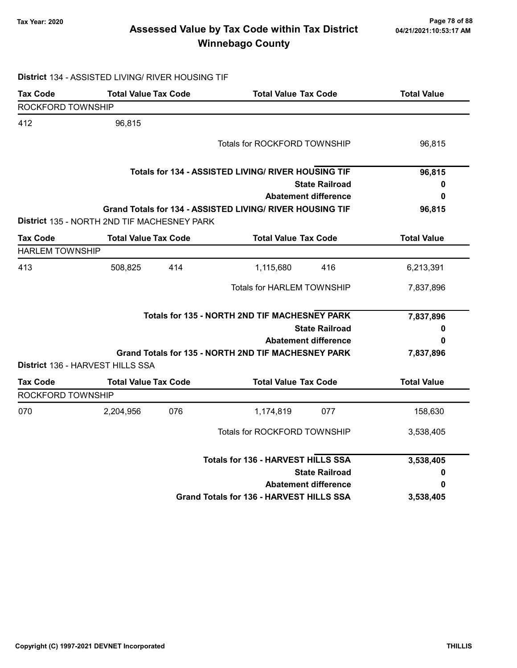### Page 78 of 88 وTax Year: 2020<br>Assessed Value by Tax Code within Tax District هو Assessed Value by Tax Code within Tax District Winnebago County

#### District 134 - ASSISTED LIVING/ RIVER HOUSING TIF

| <b>Tax Code</b>        | <b>Total Value Tax Code</b>                 |     | <b>Total Value Tax Code</b>                               | <b>Total Value</b> |
|------------------------|---------------------------------------------|-----|-----------------------------------------------------------|--------------------|
| ROCKFORD TOWNSHIP      |                                             |     |                                                           |                    |
| 412                    | 96,815                                      |     |                                                           |                    |
|                        |                                             |     | Totals for ROCKFORD TOWNSHIP                              | 96,815             |
|                        |                                             |     | Totals for 134 - ASSISTED LIVING/ RIVER HOUSING TIF       | 96,815             |
|                        |                                             |     | <b>State Railroad</b>                                     | 0                  |
|                        |                                             |     | <b>Abatement difference</b>                               | 0                  |
|                        |                                             |     | Grand Totals for 134 - ASSISTED LIVING/ RIVER HOUSING TIF | 96,815             |
|                        | District 135 - NORTH 2ND TIF MACHESNEY PARK |     |                                                           |                    |
| <b>Tax Code</b>        | <b>Total Value Tax Code</b>                 |     | <b>Total Value Tax Code</b>                               | <b>Total Value</b> |
| <b>HARLEM TOWNSHIP</b> |                                             |     |                                                           |                    |
| 413                    | 508,825                                     | 414 | 1,115,680<br>416                                          | 6,213,391          |
|                        |                                             |     | <b>Totals for HARLEM TOWNSHIP</b>                         | 7,837,896          |
|                        |                                             |     | Totals for 135 - NORTH 2ND TIF MACHESNEY PARK             | 7,837,896          |
|                        |                                             |     | <b>State Railroad</b>                                     | 0                  |
|                        |                                             |     | <b>Abatement difference</b>                               | 0                  |
|                        |                                             |     | Grand Totals for 135 - NORTH 2ND TIF MACHESNEY PARK       | 7,837,896          |
|                        | <b>District 136 - HARVEST HILLS SSA</b>     |     |                                                           |                    |
| <b>Tax Code</b>        | <b>Total Value Tax Code</b>                 |     | <b>Total Value Tax Code</b>                               | <b>Total Value</b> |
| ROCKFORD TOWNSHIP      |                                             |     |                                                           |                    |
| 070                    | 2,204,956                                   | 076 | 1,174,819<br>077                                          | 158,630            |
|                        |                                             |     | Totals for ROCKFORD TOWNSHIP                              | 3,538,405          |
|                        |                                             |     | <b>Totals for 136 - HARVEST HILLS SSA</b>                 | 3,538,405          |
|                        |                                             |     | <b>State Railroad</b>                                     | 0                  |
|                        |                                             |     | <b>Abatement difference</b>                               | 0                  |
|                        |                                             |     | <b>Grand Totals for 136 - HARVEST HILLS SSA</b>           | 3,538,405          |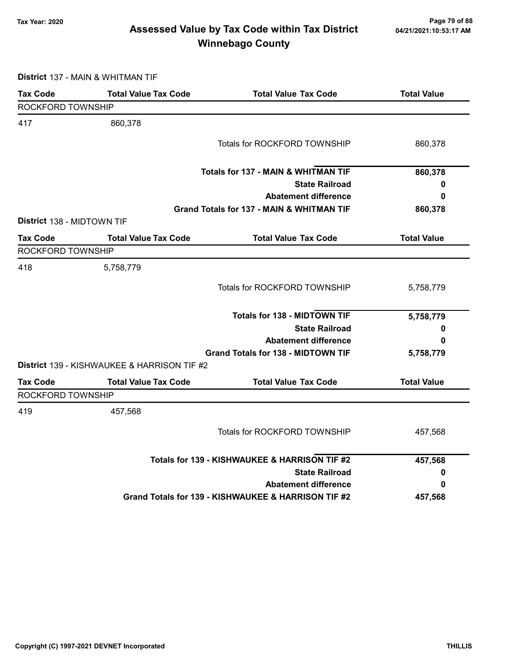### Page 79 of 88 مع Page 79 of 88<br>Assessed Value by Tax Code within Tax District مع Assessed Value by Tax Code within Tax District Winnebago County

District 137 - MAIN & WHITMAN TIF

| <b>Tax Code</b>            | <b>Total Value Tax Code</b>                 | <b>Total Value Tax Code</b>                         | <b>Total Value</b> |
|----------------------------|---------------------------------------------|-----------------------------------------------------|--------------------|
| ROCKFORD TOWNSHIP          |                                             |                                                     |                    |
| 417                        | 860,378                                     |                                                     |                    |
|                            |                                             | <b>Totals for ROCKFORD TOWNSHIP</b>                 | 860,378            |
|                            |                                             | <b>Totals for 137 - MAIN &amp; WHITMAN TIF</b>      | 860,378            |
|                            |                                             | <b>State Railroad</b>                               | 0                  |
|                            |                                             | <b>Abatement difference</b>                         | 0                  |
|                            |                                             | Grand Totals for 137 - MAIN & WHITMAN TIF           | 860,378            |
| District 138 - MIDTOWN TIF |                                             |                                                     |                    |
| <b>Tax Code</b>            | <b>Total Value Tax Code</b>                 | <b>Total Value Tax Code</b>                         | <b>Total Value</b> |
| ROCKFORD TOWNSHIP          |                                             |                                                     |                    |
| 418                        | 5,758,779                                   |                                                     |                    |
|                            |                                             | Totals for ROCKFORD TOWNSHIP                        | 5,758,779          |
|                            |                                             | <b>Totals for 138 - MIDTOWN TIF</b>                 | 5,758,779          |
|                            |                                             | <b>State Railroad</b>                               | 0                  |
|                            |                                             | <b>Abatement difference</b>                         | 0                  |
|                            |                                             | <b>Grand Totals for 138 - MIDTOWN TIF</b>           | 5,758,779          |
|                            | District 139 - KISHWAUKEE & HARRISON TIF #2 |                                                     |                    |
| <b>Tax Code</b>            | <b>Total Value Tax Code</b>                 | <b>Total Value Tax Code</b>                         | <b>Total Value</b> |
| ROCKFORD TOWNSHIP          |                                             |                                                     |                    |
| 419                        | 457,568                                     |                                                     |                    |
|                            |                                             | <b>Totals for ROCKFORD TOWNSHIP</b>                 | 457,568            |
|                            |                                             | Totals for 139 - KISHWAUKEE & HARRISON TIF #2       | 457,568            |
|                            |                                             | <b>State Railroad</b>                               | 0                  |
|                            |                                             | <b>Abatement difference</b>                         | 0                  |
|                            |                                             | Grand Totals for 139 - KISHWAUKEE & HARRISON TIF #2 | 457,568            |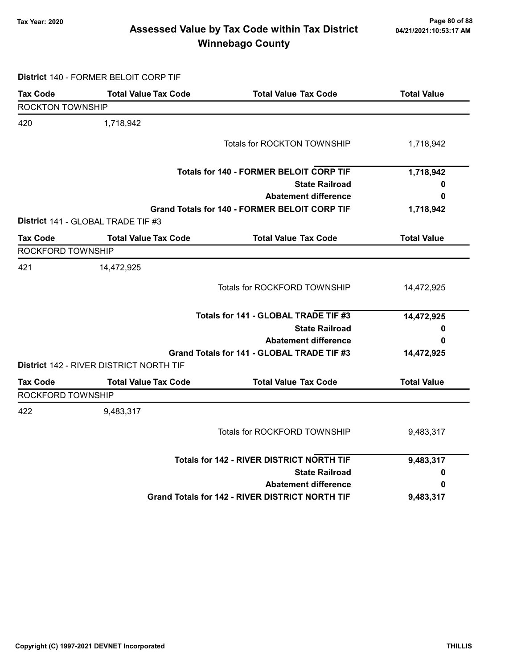### Page 80 of 88 وTax Year: 2020<br>Assessed Value by Tax Code within Tax District هو Assessed Value by Tax Code within Tax District Winnebago County

District 140 - FORMER BELOIT CORP TIF

| <b>Tax Code</b>         | <b>Total Value Tax Code</b>                    | <b>Total Value Tax Code</b>                            | <b>Total Value</b> |
|-------------------------|------------------------------------------------|--------------------------------------------------------|--------------------|
| <b>ROCKTON TOWNSHIP</b> |                                                |                                                        |                    |
| 420                     | 1,718,942                                      |                                                        |                    |
|                         |                                                | Totals for ROCKTON TOWNSHIP                            | 1,718,942          |
|                         |                                                | <b>Totals for 140 - FORMER BELOIT CORP TIF</b>         | 1,718,942          |
|                         |                                                | <b>State Railroad</b>                                  | 0                  |
|                         |                                                | <b>Abatement difference</b>                            | 0                  |
|                         |                                                | <b>Grand Totals for 140 - FORMER BELOIT CORP TIF</b>   | 1,718,942          |
|                         | District 141 - GLOBAL TRADE TIF #3             |                                                        |                    |
| Tax Code                | <b>Total Value Tax Code</b>                    | <b>Total Value Tax Code</b>                            | <b>Total Value</b> |
| ROCKFORD TOWNSHIP       |                                                |                                                        |                    |
| 421                     | 14,472,925                                     |                                                        |                    |
|                         |                                                | Totals for ROCKFORD TOWNSHIP                           | 14,472,925         |
|                         |                                                | Totals for 141 - GLOBAL TRADE TIF #3                   | 14,472,925         |
|                         |                                                | <b>State Railroad</b>                                  | 0                  |
|                         |                                                | <b>Abatement difference</b>                            | 0                  |
|                         |                                                | Grand Totals for 141 - GLOBAL TRADE TIF #3             | 14,472,925         |
|                         | <b>District 142 - RIVER DISTRICT NORTH TIF</b> |                                                        |                    |
| <b>Tax Code</b>         | <b>Total Value Tax Code</b>                    | <b>Total Value Tax Code</b>                            | <b>Total Value</b> |
| ROCKFORD TOWNSHIP       |                                                |                                                        |                    |
| 422                     | 9,483,317                                      |                                                        |                    |
|                         |                                                | Totals for ROCKFORD TOWNSHIP                           | 9,483,317          |
|                         |                                                | <b>Totals for 142 - RIVER DISTRICT NORTH TIF</b>       | 9,483,317          |
|                         |                                                | <b>State Railroad</b>                                  | 0                  |
|                         |                                                | <b>Abatement difference</b>                            | 0                  |
|                         |                                                | <b>Grand Totals for 142 - RIVER DISTRICT NORTH TIF</b> | 9,483,317          |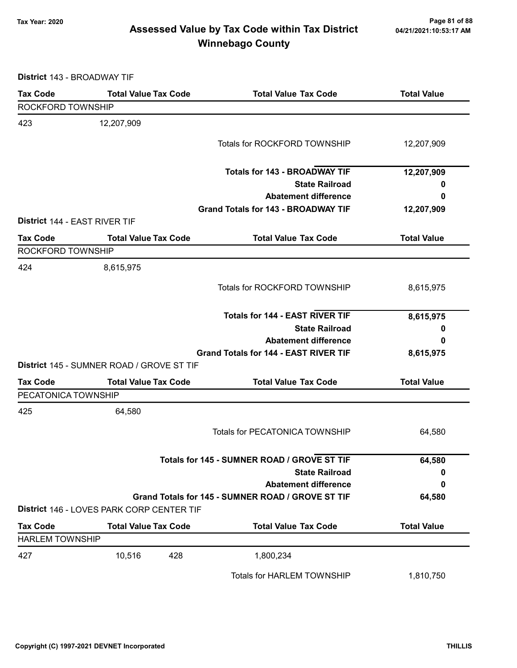### Page 81 of 88 وTax Year: 2020<br>Assessed Value by Tax Code within Tax District هو Assessed Value by Tax Code within Tax District Winnebago County

District 143 - BROADWAY TIF

| <b>Tax Code</b>               | <b>Total Value Tax Code</b>                      | <b>Total Value Tax Code</b>                       | <b>Total Value</b> |
|-------------------------------|--------------------------------------------------|---------------------------------------------------|--------------------|
| ROCKFORD TOWNSHIP             |                                                  |                                                   |                    |
| 423                           | 12,207,909                                       |                                                   |                    |
|                               |                                                  | Totals for ROCKFORD TOWNSHIP                      | 12,207,909         |
|                               |                                                  |                                                   |                    |
|                               |                                                  | <b>Totals for 143 - BROADWAY TIF</b>              | 12,207,909         |
|                               |                                                  | <b>State Railroad</b>                             | 0                  |
|                               |                                                  | <b>Abatement difference</b>                       | 0                  |
|                               |                                                  | <b>Grand Totals for 143 - BROADWAY TIF</b>        | 12,207,909         |
| District 144 - EAST RIVER TIF |                                                  |                                                   |                    |
| <b>Tax Code</b>               | <b>Total Value Tax Code</b>                      | <b>Total Value Tax Code</b>                       | <b>Total Value</b> |
| ROCKFORD TOWNSHIP             |                                                  |                                                   |                    |
| 424                           | 8,615,975                                        |                                                   |                    |
|                               |                                                  | Totals for ROCKFORD TOWNSHIP                      | 8,615,975          |
|                               |                                                  |                                                   |                    |
|                               |                                                  | <b>Totals for 144 - EAST RIVER TIF</b>            | 8,615,975          |
|                               |                                                  | <b>State Railroad</b>                             | 0                  |
|                               |                                                  | <b>Abatement difference</b>                       | 0                  |
|                               |                                                  | <b>Grand Totals for 144 - EAST RIVER TIF</b>      | 8,615,975          |
|                               | <b>District 145 - SUMNER ROAD / GROVE ST TIF</b> |                                                   |                    |
| <b>Tax Code</b>               | <b>Total Value Tax Code</b>                      | <b>Total Value Tax Code</b>                       | <b>Total Value</b> |
| PECATONICA TOWNSHIP           |                                                  |                                                   |                    |
| 425                           | 64,580                                           |                                                   |                    |
|                               |                                                  | <b>Totals for PECATONICA TOWNSHIP</b>             | 64,580             |
|                               |                                                  |                                                   |                    |
|                               |                                                  | Totals for 145 - SUMNER ROAD / GROVE ST TIF       | 64,580             |
|                               |                                                  | <b>State Railroad</b>                             | 0                  |
|                               |                                                  | <b>Abatement difference</b>                       | 0                  |
|                               |                                                  | Grand Totals for 145 - SUMNER ROAD / GROVE ST TIF | 64,580             |
|                               | District 146 - LOVES PARK CORP CENTER TIF        |                                                   |                    |
| <b>Tax Code</b>               | <b>Total Value Tax Code</b>                      | <b>Total Value Tax Code</b>                       | <b>Total Value</b> |
| <b>HARLEM TOWNSHIP</b>        |                                                  |                                                   |                    |
| 427                           | 10,516<br>428                                    | 1,800,234                                         |                    |
|                               |                                                  | <b>Totals for HARLEM TOWNSHIP</b>                 | 1,810,750          |
|                               |                                                  |                                                   |                    |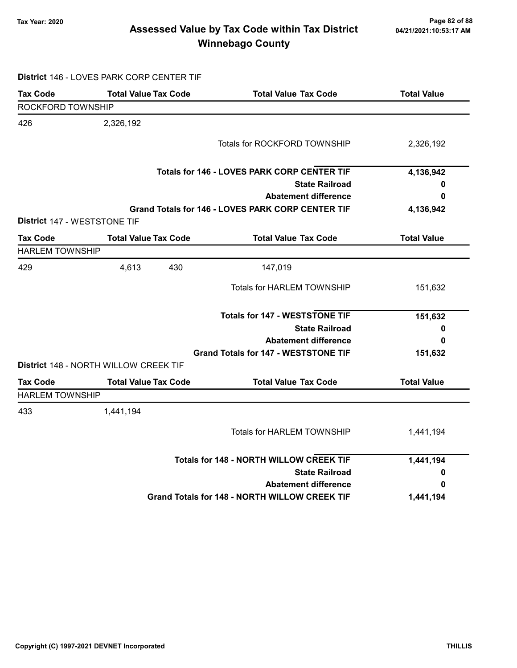### Page 82 of 88 مسمح Page 82 of 88<br>Assessed Value by Tax Code within Tax District مسمح Assessed Value by Tax Code within Tax District Winnebago County

# District 146 - LOVES PARK CORP CENTER TIF

| <b>Tax Code</b>        | <b>Total Value Tax Code</b>           | <b>Total Value Tax Code</b>                              | <b>Total Value</b> |
|------------------------|---------------------------------------|----------------------------------------------------------|--------------------|
| ROCKFORD TOWNSHIP      |                                       |                                                          |                    |
| 426                    | 2,326,192                             |                                                          |                    |
|                        |                                       | <b>Totals for ROCKFORD TOWNSHIP</b>                      | 2,326,192          |
|                        |                                       | <b>Totals for 146 - LOVES PARK CORP CENTER TIF</b>       | 4,136,942          |
|                        |                                       | <b>State Railroad</b>                                    | 0                  |
|                        |                                       | <b>Abatement difference</b>                              | 0                  |
|                        | District 147 - WESTSTONE TIF          | <b>Grand Totals for 146 - LOVES PARK CORP CENTER TIF</b> | 4,136,942          |
| <b>Tax Code</b>        | <b>Total Value Tax Code</b>           | <b>Total Value Tax Code</b>                              | <b>Total Value</b> |
| <b>HARLEM TOWNSHIP</b> |                                       |                                                          |                    |
| 429                    | 4,613<br>430                          | 147,019                                                  |                    |
|                        |                                       | <b>Totals for HARLEM TOWNSHIP</b>                        | 151,632            |
|                        |                                       | <b>Totals for 147 - WESTSTONE TIF</b>                    | 151,632            |
|                        |                                       | <b>State Railroad</b>                                    | 0                  |
|                        |                                       | <b>Abatement difference</b>                              | 0                  |
|                        |                                       | <b>Grand Totals for 147 - WESTSTONE TIF</b>              | 151,632            |
|                        | District 148 - NORTH WILLOW CREEK TIF |                                                          |                    |
| <b>Tax Code</b>        | <b>Total Value Tax Code</b>           | <b>Total Value Tax Code</b>                              | <b>Total Value</b> |
| <b>HARLEM TOWNSHIP</b> |                                       |                                                          |                    |
| 433                    | 1,441,194                             |                                                          |                    |
|                        |                                       | <b>Totals for HARLEM TOWNSHIP</b>                        | 1,441,194          |
|                        |                                       | <b>Totals for 148 - NORTH WILLOW CREEK TIF</b>           | 1,441,194          |
|                        |                                       | <b>State Railroad</b>                                    | 0                  |
|                        |                                       | <b>Abatement difference</b>                              | 0                  |
|                        |                                       | <b>Grand Totals for 148 - NORTH WILLOW CREEK TIF</b>     | 1,441,194          |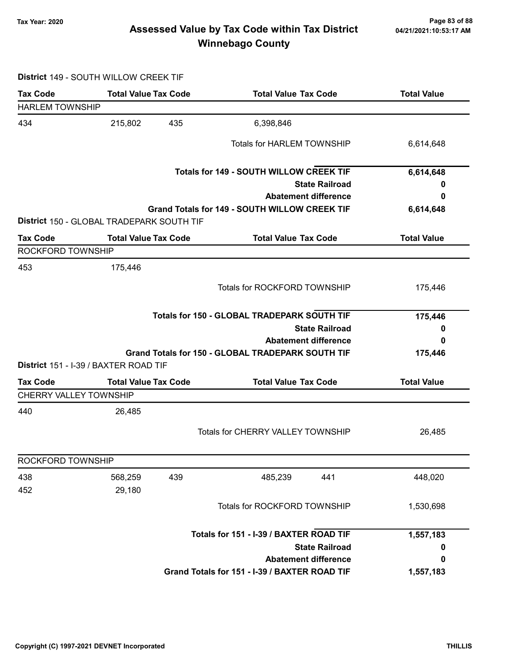### Page 83 of 88 مسمح Page 83 of 88<br>Assessed Value by Tax Code within Tax District مسمح Assessed Value by Tax Code within Tax District Winnebago County

#### District 149 - SOUTH WILLOW CREEK TIF

| <b>Tax Code</b>                                  | <b>Total Value Tax Code</b>               | <b>Total Value Tax Code</b>                          | <b>Total Value</b> |
|--------------------------------------------------|-------------------------------------------|------------------------------------------------------|--------------------|
| <b>HARLEM TOWNSHIP</b>                           |                                           |                                                      |                    |
| 434                                              | 435<br>215,802                            | 6,398,846                                            |                    |
|                                                  |                                           | <b>Totals for HARLEM TOWNSHIP</b>                    | 6,614,648          |
|                                                  |                                           | <b>Totals for 149 - SOUTH WILLOW CREEK TIF</b>       | 6,614,648          |
|                                                  |                                           | <b>State Railroad</b>                                | U                  |
|                                                  |                                           | <b>Abatement difference</b>                          | 0                  |
|                                                  | District 150 - GLOBAL TRADEPARK SOUTH TIF | <b>Grand Totals for 149 - SOUTH WILLOW CREEK TIF</b> | 6,614,648          |
| <b>Tax Code</b>                                  | <b>Total Value Tax Code</b>               | <b>Total Value Tax Code</b>                          | <b>Total Value</b> |
| ROCKFORD TOWNSHIP                                |                                           |                                                      |                    |
| 453                                              | 175,446                                   |                                                      |                    |
|                                                  |                                           | Totals for ROCKFORD TOWNSHIP                         | 175,446            |
|                                                  |                                           | Totals for 150 - GLOBAL TRADEPARK SOUTH TIF          | 175,446            |
|                                                  |                                           | <b>State Railroad</b>                                | 0                  |
|                                                  |                                           | <b>Abatement difference</b>                          | 0                  |
|                                                  |                                           | Grand Totals for 150 - GLOBAL TRADEPARK SOUTH TIF    | 175,446            |
|                                                  | District 151 - I-39 / BAXTER ROAD TIF     |                                                      |                    |
| <b>Tax Code</b><br><b>CHERRY VALLEY TOWNSHIP</b> | <b>Total Value Tax Code</b>               | <b>Total Value Tax Code</b>                          | <b>Total Value</b> |
| 440                                              | 26,485                                    |                                                      |                    |
|                                                  |                                           | Totals for CHERRY VALLEY TOWNSHIP                    | 26,485             |
|                                                  |                                           |                                                      |                    |
|                                                  |                                           |                                                      |                    |
|                                                  |                                           |                                                      |                    |
|                                                  | 568,259<br>439                            | 485,239<br>441                                       | 448,020            |
|                                                  | 29,180                                    |                                                      |                    |
|                                                  |                                           | Totals for ROCKFORD TOWNSHIP                         | 1,530,698          |
| ROCKFORD TOWNSHIP<br>438<br>452                  |                                           | Totals for 151 - I-39 / BAXTER ROAD TIF              |                    |
|                                                  |                                           | <b>State Railroad</b>                                | 1,557,183<br>0     |
|                                                  |                                           | <b>Abatement difference</b>                          | 0                  |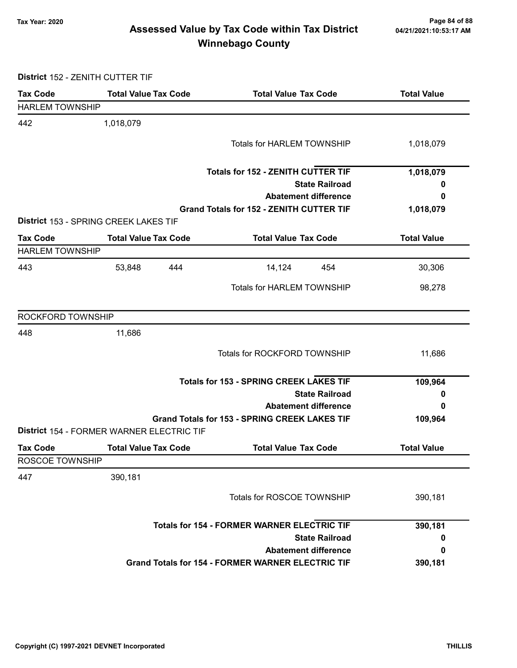### Page 84 of 88 مع Page 84 of 88<br>Assessed Value by Tax Code within Tax District مع Assessed Value by Tax Code within Tax District Winnebago County

District 152 - ZENITH CUTTER TIF

| <b>Tax Code</b>        | <b>Total Value Tax Code</b>               | <b>Total Value Tax Code</b>                              | <b>Total Value</b> |
|------------------------|-------------------------------------------|----------------------------------------------------------|--------------------|
| <b>HARLEM TOWNSHIP</b> |                                           |                                                          |                    |
| 442                    | 1,018,079                                 |                                                          |                    |
|                        |                                           | <b>Totals for HARLEM TOWNSHIP</b>                        | 1,018,079          |
|                        |                                           |                                                          |                    |
|                        |                                           | <b>Totals for 152 - ZENITH CUTTER TIF</b>                | 1,018,079          |
|                        |                                           | <b>State Railroad</b>                                    | 0                  |
|                        |                                           | <b>Abatement difference</b>                              | 0                  |
|                        |                                           | <b>Grand Totals for 152 - ZENITH CUTTER TIF</b>          | 1,018,079          |
|                        | District 153 - SPRING CREEK LAKES TIF     |                                                          |                    |
| <b>Tax Code</b>        | <b>Total Value Tax Code</b>               | <b>Total Value Tax Code</b>                              | <b>Total Value</b> |
| <b>HARLEM TOWNSHIP</b> |                                           |                                                          |                    |
| 443                    | 53,848<br>444                             | 14,124<br>454                                            | 30,306             |
|                        |                                           | Totals for HARLEM TOWNSHIP                               | 98,278             |
|                        |                                           |                                                          |                    |
| ROCKFORD TOWNSHIP      |                                           |                                                          |                    |
| 448                    | 11,686                                    |                                                          |                    |
|                        |                                           | Totals for ROCKFORD TOWNSHIP                             | 11,686             |
|                        |                                           |                                                          |                    |
|                        |                                           | <b>Totals for 153 - SPRING CREEK LAKES TIF</b>           | 109,964            |
|                        |                                           | <b>State Railroad</b>                                    | 0                  |
|                        |                                           | <b>Abatement difference</b>                              | 0                  |
|                        |                                           | Grand Totals for 153 - SPRING CREEK LAKES TIF            | 109,964            |
|                        | District 154 - FORMER WARNER ELECTRIC TIF |                                                          |                    |
| <b>Tax Code</b>        | <b>Total Value Tax Code</b>               | <b>Total Value Tax Code</b>                              | <b>Total Value</b> |
| ROSCOE TOWNSHIP        |                                           |                                                          |                    |
| 447                    | 390,181                                   |                                                          |                    |
|                        |                                           | Totals for ROSCOE TOWNSHIP                               | 390,181            |
|                        |                                           |                                                          |                    |
|                        |                                           | <b>Totals for 154 - FORMER WARNER ELECTRIC TIF</b>       | 390,181            |
|                        |                                           | <b>State Railroad</b>                                    | 0                  |
|                        |                                           | <b>Abatement difference</b>                              | 0                  |
|                        |                                           | <b>Grand Totals for 154 - FORMER WARNER ELECTRIC TIF</b> | 390,181            |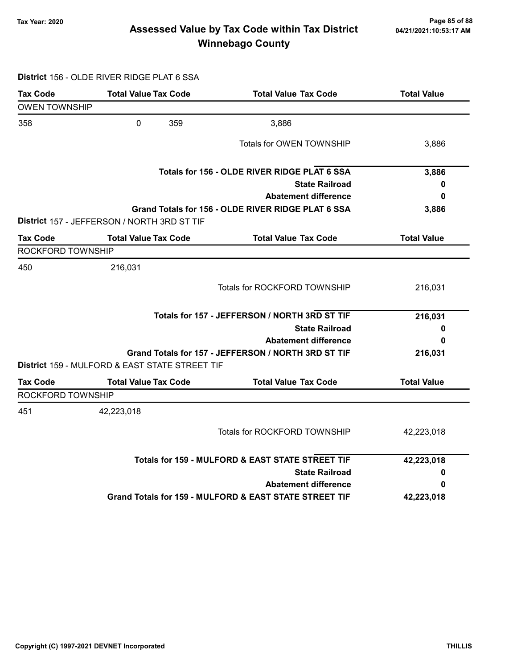### Page 85 of 88 وTax Year: 2020<br>Assessed Value by Tax Code within Tax District هو Assessed Value by Tax Code within Tax District Winnebago County

#### District 156 - OLDE RIVER RIDGE PLAT 6 SSA

| <b>Tax Code</b>      | <b>Total Value Tax Code</b>                    | <b>Total Value Tax Code</b>                            | <b>Total Value</b> |
|----------------------|------------------------------------------------|--------------------------------------------------------|--------------------|
| <b>OWEN TOWNSHIP</b> |                                                |                                                        |                    |
| 358                  | $\mathbf 0$<br>359                             | 3,886                                                  |                    |
|                      |                                                | Totals for OWEN TOWNSHIP                               | 3,886              |
|                      |                                                | Totals for 156 - OLDE RIVER RIDGE PLAT 6 SSA           | 3,886              |
|                      |                                                | <b>State Railroad</b>                                  | 0                  |
|                      |                                                | <b>Abatement difference</b>                            | 0                  |
|                      | District 157 - JEFFERSON / NORTH 3RD ST TIF    | Grand Totals for 156 - OLDE RIVER RIDGE PLAT 6 SSA     | 3,886              |
| <b>Tax Code</b>      | <b>Total Value Tax Code</b>                    | <b>Total Value Tax Code</b>                            | <b>Total Value</b> |
| ROCKFORD TOWNSHIP    |                                                |                                                        |                    |
| 450                  | 216,031                                        |                                                        |                    |
|                      |                                                | Totals for ROCKFORD TOWNSHIP                           | 216,031            |
|                      |                                                | Totals for 157 - JEFFERSON / NORTH 3RD ST TIF          | 216,031            |
|                      |                                                | <b>State Railroad</b>                                  | 0                  |
|                      |                                                | <b>Abatement difference</b>                            | 0                  |
|                      | District 159 - MULFORD & EAST STATE STREET TIF | Grand Totals for 157 - JEFFERSON / NORTH 3RD ST TIF    | 216,031            |
| <b>Tax Code</b>      | <b>Total Value Tax Code</b>                    | <b>Total Value Tax Code</b>                            | <b>Total Value</b> |
| ROCKFORD TOWNSHIP    |                                                |                                                        |                    |
| 451                  | 42,223,018                                     |                                                        |                    |
|                      |                                                | <b>Totals for ROCKFORD TOWNSHIP</b>                    | 42,223,018         |
|                      |                                                | Totals for 159 - MULFORD & EAST STATE STREET TIF       | 42,223,018         |
|                      |                                                | <b>State Railroad</b>                                  | 0                  |
|                      |                                                | <b>Abatement difference</b>                            | 0                  |
|                      |                                                | Grand Totals for 159 - MULFORD & EAST STATE STREET TIF | 42,223,018         |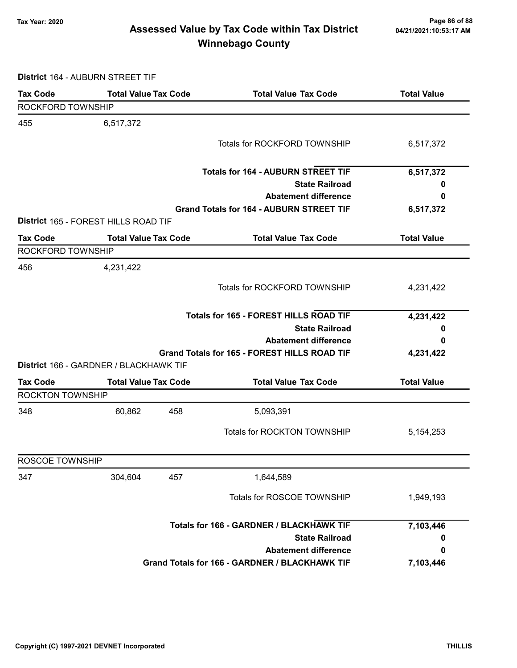### Page 86 of 88 وTax Year: 2020<br>Assessed Value by Tax Code within Tax District مa/21/2021:10:53:17 AM Winnebago County

District 164 - AUBURN STREET TIF

| <b>Tax Code</b>         | <b>Total Value Tax Code</b>                   | <b>Total Value Tax Code</b>                         | <b>Total Value</b> |  |  |
|-------------------------|-----------------------------------------------|-----------------------------------------------------|--------------------|--|--|
| ROCKFORD TOWNSHIP       |                                               |                                                     |                    |  |  |
| 455                     | 6,517,372                                     |                                                     |                    |  |  |
|                         |                                               | Totals for ROCKFORD TOWNSHIP                        | 6,517,372          |  |  |
|                         |                                               |                                                     |                    |  |  |
|                         |                                               | <b>Totals for 164 - AUBURN STREET TIF</b>           | 6,517,372          |  |  |
|                         |                                               | <b>State Railroad</b>                               | 0                  |  |  |
|                         |                                               | <b>Abatement difference</b>                         | 0                  |  |  |
|                         |                                               | <b>Grand Totals for 164 - AUBURN STREET TIF</b>     | 6,517,372          |  |  |
|                         | District 165 - FOREST HILLS ROAD TIF          |                                                     |                    |  |  |
| <b>Tax Code</b>         | <b>Total Value Tax Code</b>                   | <b>Total Value Tax Code</b>                         | <b>Total Value</b> |  |  |
| ROCKFORD TOWNSHIP       |                                               |                                                     |                    |  |  |
| 456                     | 4,231,422                                     |                                                     |                    |  |  |
|                         |                                               | Totals for ROCKFORD TOWNSHIP                        | 4,231,422          |  |  |
|                         |                                               |                                                     |                    |  |  |
|                         | <b>Totals for 165 - FOREST HILLS ROAD TIF</b> | 4,231,422                                           |                    |  |  |
|                         |                                               | <b>State Railroad</b>                               | 0                  |  |  |
|                         | <b>Abatement difference</b>                   |                                                     |                    |  |  |
|                         |                                               | <b>Grand Totals for 165 - FOREST HILLS ROAD TIF</b> | 4,231,422          |  |  |
|                         | District 166 - GARDNER / BLACKHAWK TIF        |                                                     |                    |  |  |
| <b>Tax Code</b>         | <b>Total Value Tax Code</b>                   | <b>Total Value Tax Code</b>                         | <b>Total Value</b> |  |  |
| <b>ROCKTON TOWNSHIP</b> |                                               |                                                     |                    |  |  |
| 348                     | 60,862<br>458                                 | 5,093,391                                           |                    |  |  |
|                         |                                               | Totals for ROCKTON TOWNSHIP                         |                    |  |  |
|                         |                                               |                                                     | 5, 154, 253        |  |  |
| ROSCOE TOWNSHIP         |                                               |                                                     |                    |  |  |
| 347                     | 457<br>304,604                                | 1,644,589                                           |                    |  |  |
|                         |                                               | Totals for ROSCOE TOWNSHIP                          | 1,949,193          |  |  |
|                         |                                               |                                                     |                    |  |  |
|                         |                                               | Totals for 166 - GARDNER / BLACKHAWK TIF            |                    |  |  |
|                         |                                               | <b>State Railroad</b>                               | 0                  |  |  |
|                         |                                               | <b>Abatement difference</b>                         | 0                  |  |  |
|                         |                                               | Grand Totals for 166 - GARDNER / BLACKHAWK TIF      | 7,103,446          |  |  |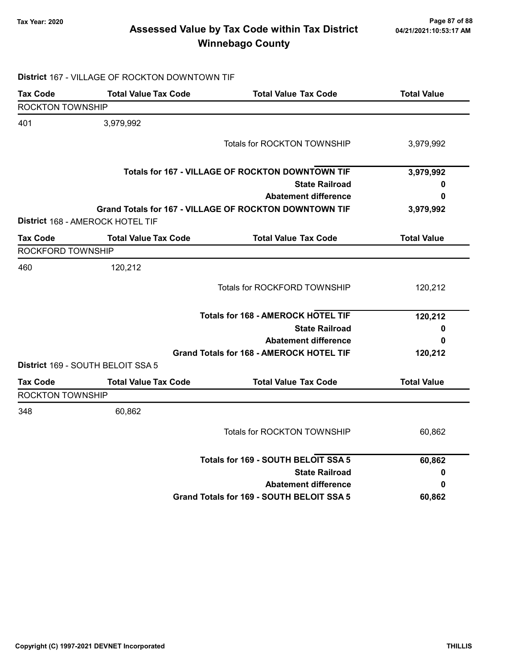### Page 87 of 88 وTax Year: 2020<br>Assessed Value by Tax Code within Tax District هو Assessed Value by Tax Code within Tax District Winnebago County

# District 167 - VILLAGE OF ROCKTON DOWNTOWN TIF

| <b>Tax Code</b>         | <b>Total Value Tax Code</b>       | <b>Total Value Tax Code</b>                            | <b>Total Value</b> |
|-------------------------|-----------------------------------|--------------------------------------------------------|--------------------|
| <b>ROCKTON TOWNSHIP</b> |                                   |                                                        |                    |
| 401                     | 3,979,992                         |                                                        |                    |
|                         |                                   | Totals for ROCKTON TOWNSHIP                            | 3,979,992          |
|                         |                                   | Totals for 167 - VILLAGE OF ROCKTON DOWNTOWN TIF       | 3,979,992          |
|                         |                                   | <b>State Railroad</b>                                  | 0                  |
|                         |                                   | <b>Abatement difference</b>                            | 0                  |
|                         | District 168 - AMEROCK HOTEL TIF  | Grand Totals for 167 - VILLAGE OF ROCKTON DOWNTOWN TIF | 3,979,992          |
| <b>Tax Code</b>         | <b>Total Value Tax Code</b>       | <b>Total Value Tax Code</b>                            | <b>Total Value</b> |
| ROCKFORD TOWNSHIP       |                                   |                                                        |                    |
| 460                     | 120,212                           |                                                        |                    |
|                         |                                   | Totals for ROCKFORD TOWNSHIP                           | 120,212            |
|                         |                                   | <b>Totals for 168 - AMEROCK HOTEL TIF</b>              | 120,212            |
|                         |                                   | <b>State Railroad</b>                                  | 0                  |
|                         |                                   | <b>Abatement difference</b>                            | 0                  |
|                         | District 169 - SOUTH BELOIT SSA 5 | <b>Grand Totals for 168 - AMEROCK HOTEL TIF</b>        | 120,212            |
| <b>Tax Code</b>         | <b>Total Value Tax Code</b>       | <b>Total Value Tax Code</b>                            | <b>Total Value</b> |
| ROCKTON TOWNSHIP        |                                   |                                                        |                    |
| 348                     | 60,862                            |                                                        |                    |
|                         |                                   | Totals for ROCKTON TOWNSHIP                            | 60,862             |
|                         |                                   | Totals for 169 - SOUTH BELOIT SSA 5                    | 60,862             |
|                         |                                   | <b>State Railroad</b>                                  | 0                  |
|                         |                                   | <b>Abatement difference</b>                            | 0                  |
|                         |                                   | Grand Totals for 169 - SOUTH BELOIT SSA 5              | 60,862             |